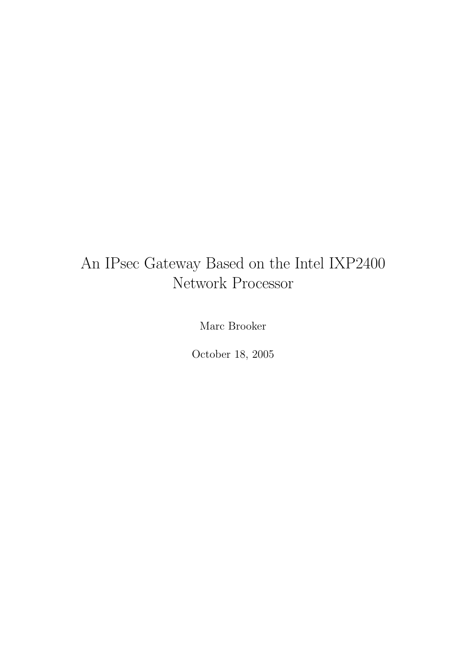## An IPsec Gateway Based on the Intel IXP2400 Network Processor

Marc Brooker

October 18, 2005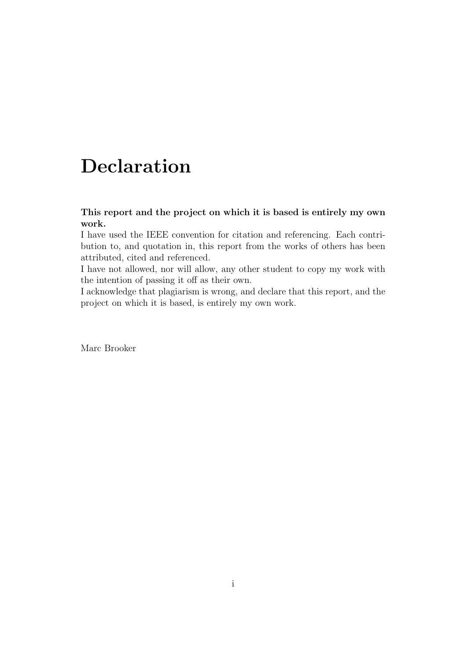## Declaration

### This report and the project on which it is based is entirely my own work.

I have used the IEEE convention for citation and referencing. Each contribution to, and quotation in, this report from the works of others has been attributed, cited and referenced.

I have not allowed, nor will allow, any other student to copy my work with the intention of passing it off as their own.

I acknowledge that plagiarism is wrong, and declare that this report, and the project on which it is based, is entirely my own work.

Marc Brooker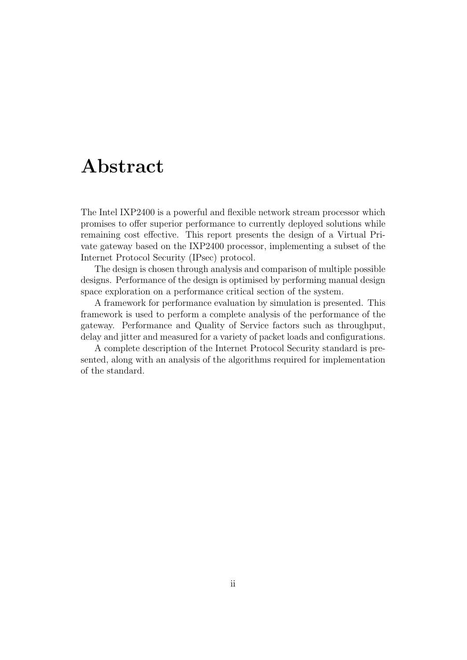## Abstract

The Intel IXP2400 is a powerful and flexible network stream processor which promises to offer superior performance to currently deployed solutions while remaining cost effective. This report presents the design of a Virtual Private gateway based on the IXP2400 processor, implementing a subset of the Internet Protocol Security (IPsec) protocol.

The design is chosen through analysis and comparison of multiple possible designs. Performance of the design is optimised by performing manual design space exploration on a performance critical section of the system.

A framework for performance evaluation by simulation is presented. This framework is used to perform a complete analysis of the performance of the gateway. Performance and Quality of Service factors such as throughput, delay and jitter and measured for a variety of packet loads and configurations.

A complete description of the Internet Protocol Security standard is presented, along with an analysis of the algorithms required for implementation of the standard.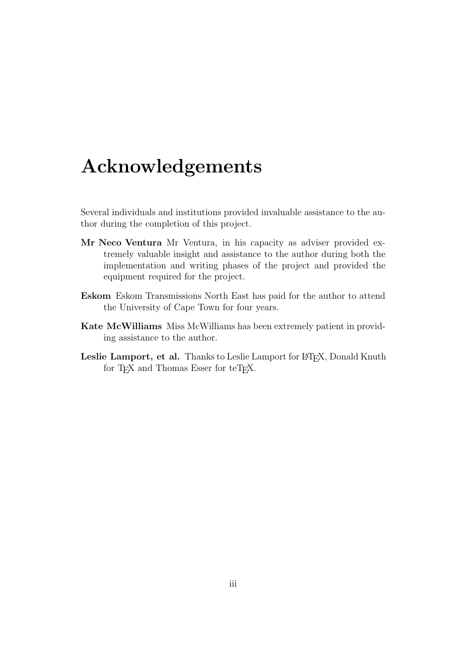## Acknowledgements

Several individuals and institutions provided invaluable assistance to the author during the completion of this project.

- Mr Neco Ventura Mr Ventura, in his capacity as adviser provided extremely valuable insight and assistance to the author during both the implementation and writing phases of the project and provided the equipment required for the project.
- Eskom Eskom Transmissions North East has paid for the author to attend the University of Cape Town for four years.
- Kate McWilliams Miss McWilliams has been extremely patient in providing assistance to the author.
- Leslie Lamport, et al. Thanks to Leslie Lamport for L<sup>AT</sup>EX, Donald Knuth for T<sub>F</sub>X and Thomas Esser for teT<sub>F</sub>X.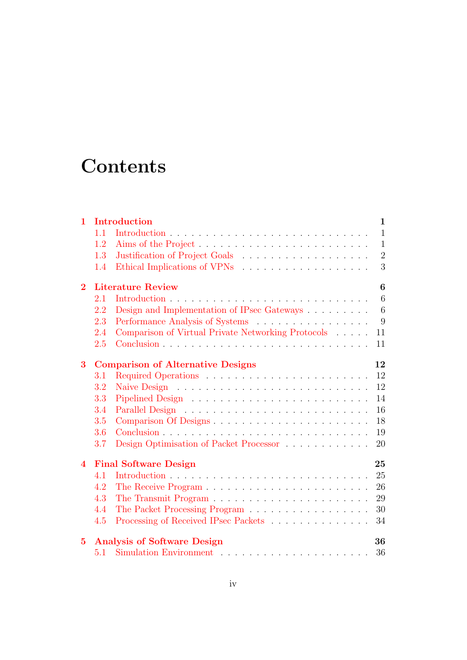## **Contents**

| $\mathbf{1}$   | Introduction                       |                                                          |  |  |  |  |
|----------------|------------------------------------|----------------------------------------------------------|--|--|--|--|
|                | 1.1                                | $\mathbf{1}$                                             |  |  |  |  |
|                | 1.2                                | $\mathbf{1}$                                             |  |  |  |  |
|                | 1.3                                | $\sqrt{2}$                                               |  |  |  |  |
|                | 1.4                                | 3                                                        |  |  |  |  |
| $\overline{2}$ |                                    | <b>Literature Review</b><br>6                            |  |  |  |  |
|                | 2.1                                | 6                                                        |  |  |  |  |
|                | 2.2                                | Design and Implementation of IPsec Gateways<br>6         |  |  |  |  |
|                | 2.3                                | Performance Analysis of Systems<br>9                     |  |  |  |  |
|                | 2.4                                | Comparison of Virtual Private Networking Protocols<br>11 |  |  |  |  |
|                | 2.5                                | 11                                                       |  |  |  |  |
| 3              |                                    | <b>Comparison of Alternative Designs</b><br>12           |  |  |  |  |
|                | 3.1                                | 12                                                       |  |  |  |  |
|                | 3.2                                | 12                                                       |  |  |  |  |
|                | 3.3                                | 14                                                       |  |  |  |  |
|                | 3.4                                | 16                                                       |  |  |  |  |
|                | 3.5                                | Comparison Of Designs<br>18                              |  |  |  |  |
|                | 3.6                                | 19                                                       |  |  |  |  |
|                | 3.7                                | Design Optimisation of Packet Processor<br>20            |  |  |  |  |
| $\overline{4}$ | <b>Final Software Design</b><br>25 |                                                          |  |  |  |  |
|                | 4.1                                | 25                                                       |  |  |  |  |
|                | 4.2                                | 26                                                       |  |  |  |  |
|                | 4.3                                | 29                                                       |  |  |  |  |
|                | 4.4                                | The Packet Processing Program<br>30                      |  |  |  |  |
|                | 4.5                                | Processing of Received IPsec Packets<br>34               |  |  |  |  |
| $\bf{5}$       |                                    | <b>Analysis of Software Design</b><br>36                 |  |  |  |  |
|                | 5.1                                | 36                                                       |  |  |  |  |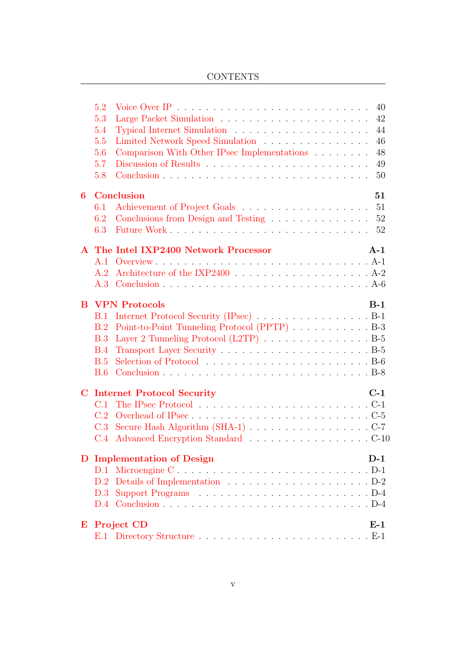### **CONTENTS**

|         | 5.2<br>5.3<br>5.4<br>5.5<br>5.6 | 40<br>42<br>44<br>Limited Network Speed Simulation<br>46<br>Comparison With Other IPsec Implementations<br>48 |
|---------|---------------------------------|---------------------------------------------------------------------------------------------------------------|
|         | 5.7<br>5.8                      | 49<br>50                                                                                                      |
| 6       |                                 | <b>Conclusion</b><br>51                                                                                       |
|         | 6.1                             | 51                                                                                                            |
|         | 6.2                             | Conclusions from Design and Testing<br>52                                                                     |
|         | 6.3                             | 52                                                                                                            |
|         |                                 | A The Intel IXP2400 Network Processor<br>$A-1$                                                                |
|         | A.1                             |                                                                                                               |
|         | A.2                             |                                                                                                               |
|         | A.3                             |                                                                                                               |
| B       |                                 | <b>VPN Protocols</b><br>$B-1$                                                                                 |
|         | B.1                             | Internet Protocol Security (IPsec) B-1                                                                        |
|         | B.2                             | Point-to-Point Tunneling Protocol (PPTP) B-3                                                                  |
|         | B.3                             | Layer 2 Tunneling Protocol (L2TP) B-5                                                                         |
|         | B.4                             |                                                                                                               |
|         | B.5                             |                                                                                                               |
|         | B.6                             |                                                                                                               |
| $\bf C$ |                                 | $C-1$<br><b>Internet Protocol Security</b>                                                                    |
|         | C.1                             |                                                                                                               |
|         | C.2                             |                                                                                                               |
|         | C.3                             |                                                                                                               |
|         | C.4                             | Advanced Encryption Standard C-10                                                                             |
| D       |                                 | $D-1$<br><b>Implementation of Design</b>                                                                      |
|         |                                 | D.1 Microengine CD-1                                                                                          |
|         | D.2                             |                                                                                                               |
|         | D.3                             |                                                                                                               |
|         | D.4                             |                                                                                                               |
| E       |                                 | <b>Project CD</b><br>$E-1$                                                                                    |
|         |                                 |                                                                                                               |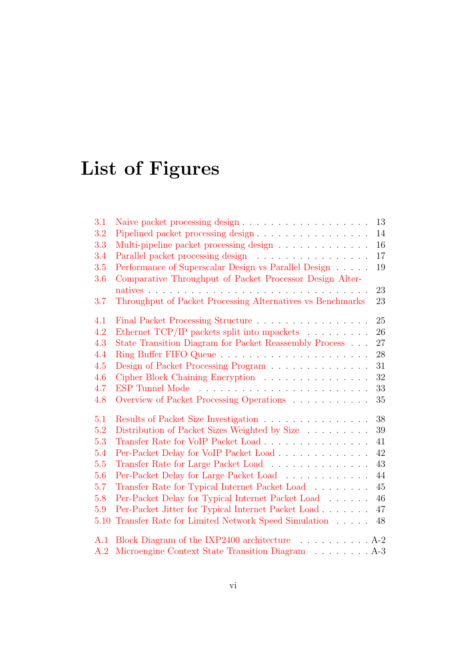# List of Figures

| 3.1  |                                                                              | 13     |
|------|------------------------------------------------------------------------------|--------|
| 3.2  | Pipelined packet processing design                                           | 14     |
| 3.3  | Multi-pipeline packet processing design $\ldots \ldots \ldots \ldots$        | 16     |
| 3.4  | Parallel packet processing design                                            | 17     |
| 3.5  | Performance of Superscalar Design vs Parallel Design                         | 19     |
| 3.6  | Comparative Throughput of Packet Processor Design Alter-                     |        |
|      |                                                                              | 23     |
| 3.7  | Throughput of Packet Processing Alternatives vs Benchmarks                   | 23     |
| 4.1  | Final Packet Processing Structure                                            | 25     |
| 4.2  | Ethernet TCP/IP packets split into mpackets $\hfill\ldots\ldots\ldots\ldots$ | 26     |
| 4.3  | State Transition Diagram for Packet Reassembly Process                       | 27     |
| 4.4  |                                                                              | $28\,$ |
| 4.5  | Design of Packet Processing Program                                          | 31     |
| 4.6  | Cipher Block Chaining Encryption                                             | 32     |
| 4.7  |                                                                              | 33     |
| 4.8  | Overview of Packet Processing Operations                                     | 35     |
| 5.1  | Results of Packet Size Investigation                                         | 38     |
| 5.2  | Distribution of Packet Sizes Weighted by Size                                | 39     |
| 5.3  | Transfer Rate for VoIP Packet Load                                           | 41     |
| 5.4  | Per-Packet Delay for VoIP Packet Load                                        | 42     |
| 5.5  | Transfer Rate for Large Packet Load                                          | 43     |
| 5.6  | Per-Packet Delay for Large Packet Load                                       | 44     |
| 5.7  | Transfer Rate for Typical Internet Packet Load                               | 45     |
| 5.8  | Per-Packet Delay for Typical Internet Packet Load                            | 46     |
| 5.9  | Per-Packet Jitter for Typical Internet Packet Load                           | 47     |
| 5.10 | Transfer Rate for Limited Network Speed Simulation                           | 48     |
| A.1  | Block Diagram of the IXP2400 architecture 4-2                                |        |
| A.2  | Microengine Context State Transition Diagram A-3                             |        |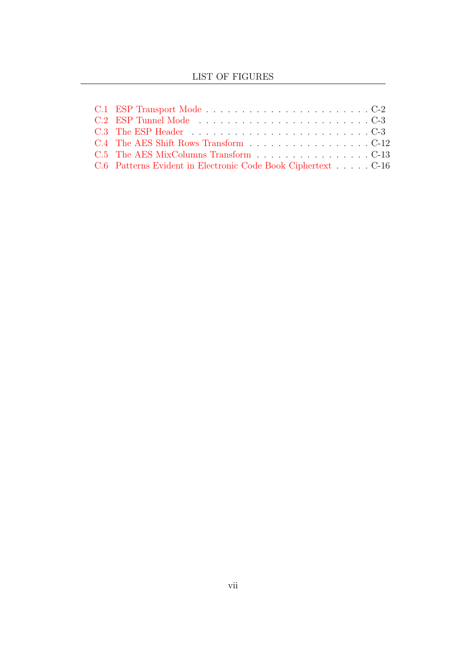| C.4 The AES Shift Rows Transform C-12                        |  |  |  |
|--------------------------------------------------------------|--|--|--|
| C.5 The AES MixColumns Transform C-13                        |  |  |  |
| C.6 Patterns Evident in Electronic Code Book Ciphertext C-16 |  |  |  |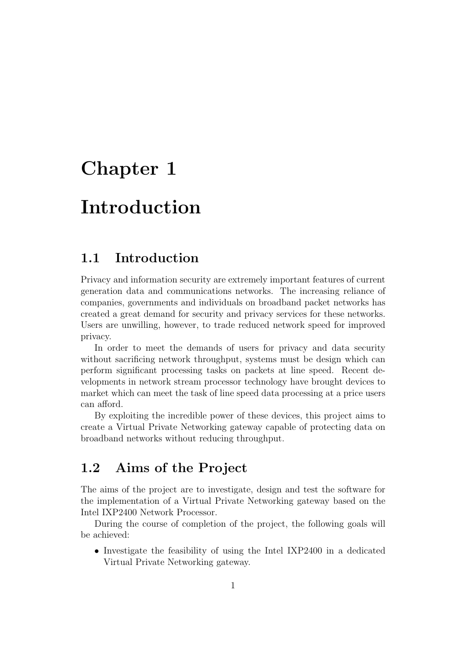## <span id="page-8-0"></span>Chapter 1

## Introduction

### <span id="page-8-1"></span>1.1 Introduction

Privacy and information security are extremely important features of current generation data and communications networks. The increasing reliance of companies, governments and individuals on broadband packet networks has created a great demand for security and privacy services for these networks. Users are unwilling, however, to trade reduced network speed for improved privacy.

In order to meet the demands of users for privacy and data security without sacrificing network throughput, systems must be design which can perform significant processing tasks on packets at line speed. Recent developments in network stream processor technology have brought devices to market which can meet the task of line speed data processing at a price users can afford.

By exploiting the incredible power of these devices, this project aims to create a Virtual Private Networking gateway capable of protecting data on broadband networks without reducing throughput.

### <span id="page-8-2"></span>1.2 Aims of the Project

The aims of the project are to investigate, design and test the software for the implementation of a Virtual Private Networking gateway based on the Intel IXP2400 Network Processor.

During the course of completion of the project, the following goals will be achieved:

• Investigate the feasibility of using the Intel IXP2400 in a dedicated Virtual Private Networking gateway.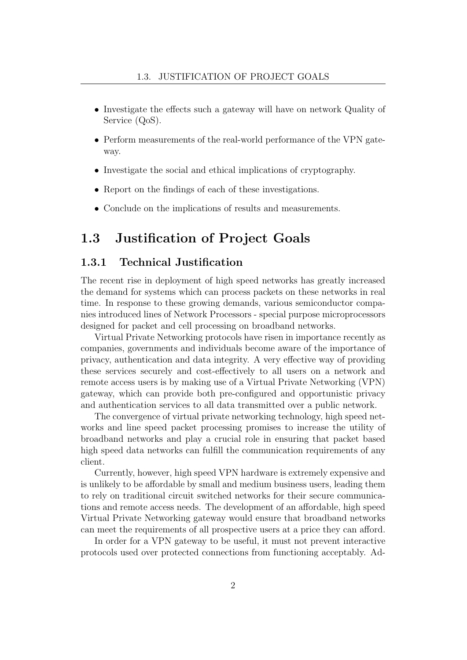- Investigate the effects such a gateway will have on network Quality of Service (QoS).
- Perform measurements of the real-world performance of the VPN gateway.
- Investigate the social and ethical implications of cryptography.
- Report on the findings of each of these investigations.
- Conclude on the implications of results and measurements.

### <span id="page-9-0"></span>1.3 Justification of Project Goals

### 1.3.1 Technical Justification

The recent rise in deployment of high speed networks has greatly increased the demand for systems which can process packets on these networks in real time. In response to these growing demands, various semiconductor companies introduced lines of Network Processors - special purpose microprocessors designed for packet and cell processing on broadband networks.

Virtual Private Networking protocols have risen in importance recently as companies, governments and individuals become aware of the importance of privacy, authentication and data integrity. A very effective way of providing these services securely and cost-effectively to all users on a network and remote access users is by making use of a Virtual Private Networking (VPN) gateway, which can provide both pre-configured and opportunistic privacy and authentication services to all data transmitted over a public network.

The convergence of virtual private networking technology, high speed networks and line speed packet processing promises to increase the utility of broadband networks and play a crucial role in ensuring that packet based high speed data networks can fulfill the communication requirements of any client.

Currently, however, high speed VPN hardware is extremely expensive and is unlikely to be affordable by small and medium business users, leading them to rely on traditional circuit switched networks for their secure communications and remote access needs. The development of an affordable, high speed Virtual Private Networking gateway would ensure that broadband networks can meet the requirements of all prospective users at a price they can afford.

In order for a VPN gateway to be useful, it must not prevent interactive protocols used over protected connections from functioning acceptably. Ad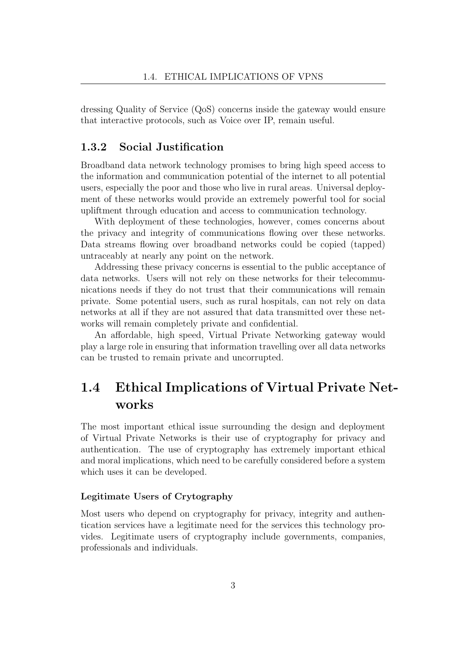dressing Quality of Service (QoS) concerns inside the gateway would ensure that interactive protocols, such as Voice over IP, remain useful.

### 1.3.2 Social Justification

Broadband data network technology promises to bring high speed access to the information and communication potential of the internet to all potential users, especially the poor and those who live in rural areas. Universal deployment of these networks would provide an extremely powerful tool for social upliftment through education and access to communication technology.

With deployment of these technologies, however, comes concerns about the privacy and integrity of communications flowing over these networks. Data streams flowing over broadband networks could be copied (tapped) untraceably at nearly any point on the network.

Addressing these privacy concerns is essential to the public acceptance of data networks. Users will not rely on these networks for their telecommunications needs if they do not trust that their communications will remain private. Some potential users, such as rural hospitals, can not rely on data networks at all if they are not assured that data transmitted over these networks will remain completely private and confidential.

An affordable, high speed, Virtual Private Networking gateway would play a large role in ensuring that information travelling over all data networks can be trusted to remain private and uncorrupted.

### <span id="page-10-0"></span>1.4 Ethical Implications of Virtual Private Networks

The most important ethical issue surrounding the design and deployment of Virtual Private Networks is their use of cryptography for privacy and authentication. The use of cryptography has extremely important ethical and moral implications, which need to be carefully considered before a system which uses it can be developed.

#### Legitimate Users of Crytography

Most users who depend on cryptography for privacy, integrity and authentication services have a legitimate need for the services this technology provides. Legitimate users of cryptography include governments, companies, professionals and individuals.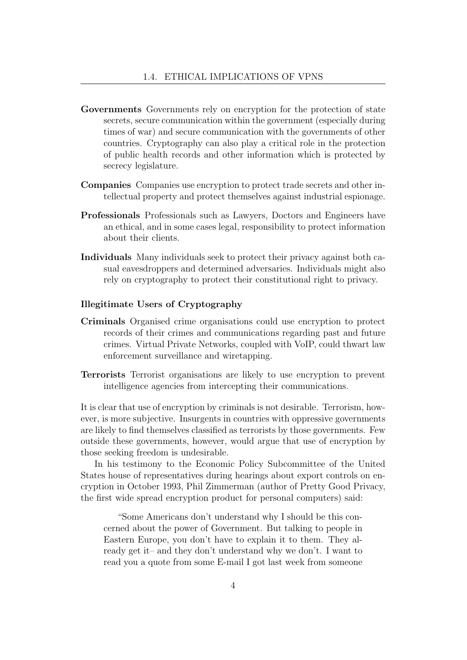- Governments Governments rely on encryption for the protection of state secrets, secure communication within the government (especially during times of war) and secure communication with the governments of other countries. Cryptography can also play a critical role in the protection of public health records and other information which is protected by secrecy legislature.
- Companies Companies use encryption to protect trade secrets and other intellectual property and protect themselves against industrial espionage.
- Professionals Professionals such as Lawyers, Doctors and Engineers have an ethical, and in some cases legal, responsibility to protect information about their clients.
- Individuals Many individuals seek to protect their privacy against both casual eavesdroppers and determined adversaries. Individuals might also rely on cryptography to protect their constitutional right to privacy.

#### Illegitimate Users of Cryptography

- Criminals Organised crime organisations could use encryption to protect records of their crimes and communications regarding past and future crimes. Virtual Private Networks, coupled with VoIP, could thwart law enforcement surveillance and wiretapping.
- Terrorists Terrorist organisations are likely to use encryption to prevent intelligence agencies from intercepting their communications.

It is clear that use of encryption by criminals is not desirable. Terrorism, however, is more subjective. Insurgents in countries with oppressive governments are likely to find themselves classified as terrorists by those governments. Few outside these governments, however, would argue that use of encryption by those seeking freedom is undesirable.

In his testimony to the Economic Policy Subcommittee of the United States house of representatives during hearings about export controls on encryption in October 1993, Phil Zimmerman (author of Pretty Good Privacy, the first wide spread encryption product for personal computers) said:

"Some Americans don't understand why I should be this concerned about the power of Government. But talking to people in Eastern Europe, you don't have to explain it to them. They already get it– and they don't understand why we don't. I want to read you a quote from some E-mail I got last week from someone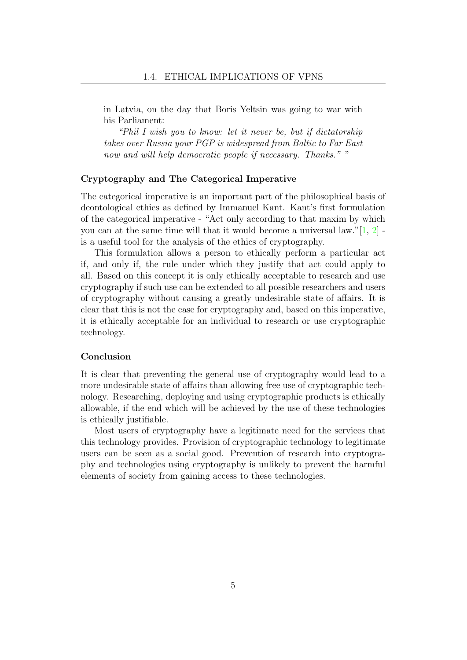in Latvia, on the day that Boris Yeltsin was going to war with his Parliament:

"Phil I wish you to know: let it never be, but if dictatorship takes over Russia your PGP is widespread from Baltic to Far East now and will help democratic people if necessary. Thanks.""

#### Cryptography and The Categorical Imperative

The categorical imperative is an important part of the philosophical basis of deontological ethics as defined by Immanuel Kant. Kant's first formulation of the categorical imperative - "Act only according to that maxim by which you can at the same time will that it would become a universal law." $[1, 2]$  $[1, 2]$  $[1, 2]$ is a useful tool for the analysis of the ethics of cryptography.

This formulation allows a person to ethically perform a particular act if, and only if, the rule under which they justify that act could apply to all. Based on this concept it is only ethically acceptable to research and use cryptography if such use can be extended to all possible researchers and users of cryptography without causing a greatly undesirable state of affairs. It is clear that this is not the case for cryptography and, based on this imperative, it is ethically acceptable for an individual to research or use cryptographic technology.

#### Conclusion

It is clear that preventing the general use of cryptography would lead to a more undesirable state of affairs than allowing free use of cryptographic technology. Researching, deploying and using cryptographic products is ethically allowable, if the end which will be achieved by the use of these technologies is ethically justifiable.

Most users of cryptography have a legitimate need for the services that this technology provides. Provision of cryptographic technology to legitimate users can be seen as a social good. Prevention of research into cryptography and technologies using cryptography is unlikely to prevent the harmful elements of society from gaining access to these technologies.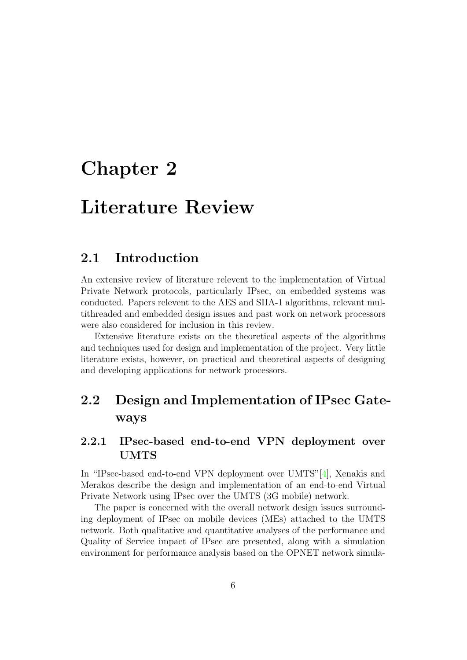## <span id="page-13-0"></span>Chapter 2

## Literature Review

### <span id="page-13-1"></span>2.1 Introduction

An extensive review of literature relevent to the implementation of Virtual Private Network protocols, particularly IPsec, on embedded systems was conducted. Papers relevent to the AES and SHA-1 algorithms, relevant multithreaded and embedded design issues and past work on network processors were also considered for inclusion in this review.

Extensive literature exists on the theoretical aspects of the algorithms and techniques used for design and implementation of the project. Very little literature exists, however, on practical and theoretical aspects of designing and developing applications for network processors.

### <span id="page-13-2"></span>2.2 Design and Implementation of IPsec Gateways

### 2.2.1 IPsec-based end-to-end VPN deployment over UMTS

In "IPsec-based end-to-end VPN deployment over UMTS"[\[4\]](#page-101-2), Xenakis and Merakos describe the design and implementation of an end-to-end Virtual Private Network using IPsec over the UMTS (3G mobile) network.

The paper is concerned with the overall network design issues surrounding deployment of IPsec on mobile devices (MEs) attached to the UMTS network. Both qualitative and quantitative analyses of the performance and Quality of Service impact of IPsec are presented, along with a simulation environment for performance analysis based on the OPNET network simula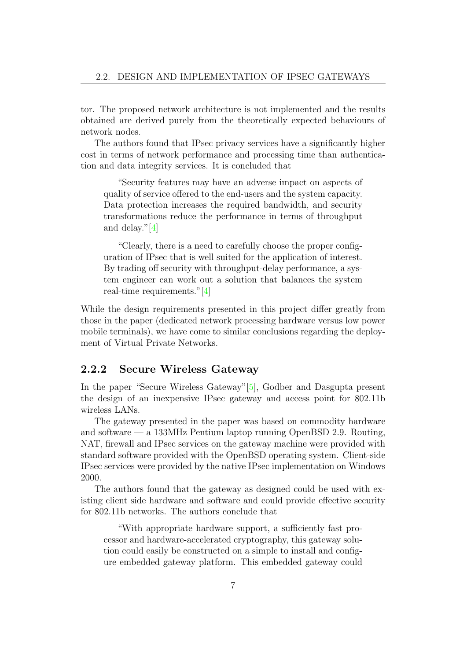tor. The proposed network architecture is not implemented and the results obtained are derived purely from the theoretically expected behaviours of network nodes.

The authors found that IPsec privacy services have a significantly higher cost in terms of network performance and processing time than authentication and data integrity services. It is concluded that

"Security features may have an adverse impact on aspects of quality of service offered to the end-users and the system capacity. Data protection increases the required bandwidth, and security transformations reduce the performance in terms of throughput and delay."[\[4\]](#page-101-2)

"Clearly, there is a need to carefully choose the proper configuration of IPsec that is well suited for the application of interest. By trading off security with throughput-delay performance, a system engineer can work out a solution that balances the system real-time requirements."[\[4\]](#page-101-2)

While the design requirements presented in this project differ greatly from those in the paper (dedicated network processing hardware versus low power mobile terminals), we have come to similar conclusions regarding the deployment of Virtual Private Networks.

### 2.2.2 Secure Wireless Gateway

In the paper "Secure Wireless Gateway"[\[5\]](#page-101-3), Godber and Dasgupta present the design of an inexpensive IPsec gateway and access point for 802.11b wireless LANs.

The gateway presented in the paper was based on commodity hardware and software — a 133MHz Pentium laptop running OpenBSD 2.9. Routing, NAT, firewall and IPsec services on the gateway machine were provided with standard software provided with the OpenBSD operating system. Client-side IPsec services were provided by the native IPsec implementation on Windows 2000.

The authors found that the gateway as designed could be used with existing client side hardware and software and could provide effective security for 802.11b networks. The authors conclude that

"With appropriate hardware support, a sufficiently fast processor and hardware-accelerated cryptography, this gateway solution could easily be constructed on a simple to install and configure embedded gateway platform. This embedded gateway could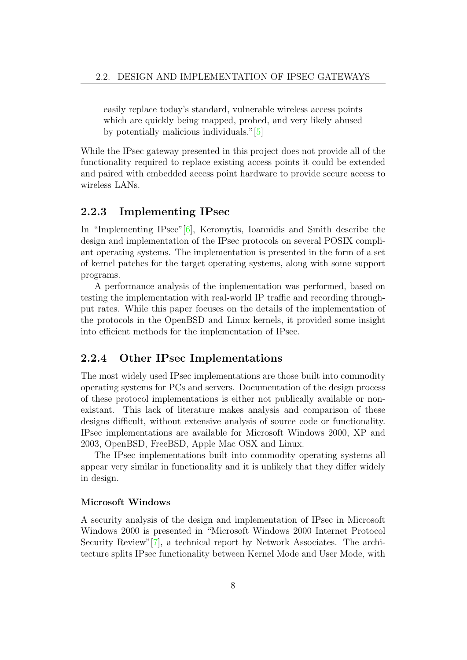easily replace today's standard, vulnerable wireless access points which are quickly being mapped, probed, and very likely abused by potentially malicious individuals."[\[5\]](#page-101-3)

While the IPsec gateway presented in this project does not provide all of the functionality required to replace existing access points it could be extended and paired with embedded access point hardware to provide secure access to wireless LANs.

#### 2.2.3 Implementing IPsec

In "Implementing IPsec"[\[6\]](#page-101-4), Keromytis, Ioannidis and Smith describe the design and implementation of the IPsec protocols on several POSIX compliant operating systems. The implementation is presented in the form of a set of kernel patches for the target operating systems, along with some support programs.

A performance analysis of the implementation was performed, based on testing the implementation with real-world IP traffic and recording throughput rates. While this paper focuses on the details of the implementation of the protocols in the OpenBSD and Linux kernels, it provided some insight into efficient methods for the implementation of IPsec.

### 2.2.4 Other IPsec Implementations

The most widely used IPsec implementations are those built into commodity operating systems for PCs and servers. Documentation of the design process of these protocol implementations is either not publically available or nonexistant. This lack of literature makes analysis and comparison of these designs difficult, without extensive analysis of source code or functionality. IPsec implementations are available for Microsoft Windows 2000, XP and 2003, OpenBSD, FreeBSD, Apple Mac OSX and Linux.

The IPsec implementations built into commodity operating systems all appear very similar in functionality and it is unlikely that they differ widely in design.

#### Microsoft Windows

A security analysis of the design and implementation of IPsec in Microsoft Windows 2000 is presented in "Microsoft Windows 2000 Internet Protocol Security Review"[\[7\]](#page-101-5), a technical report by Network Associates. The architecture splits IPsec functionality between Kernel Mode and User Mode, with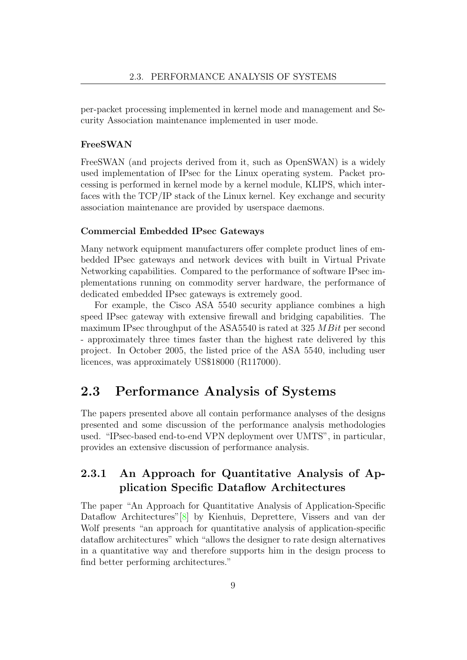per-packet processing implemented in kernel mode and management and Security Association maintenance implemented in user mode.

#### FreeSWAN

FreeSWAN (and projects derived from it, such as OpenSWAN) is a widely used implementation of IPsec for the Linux operating system. Packet processing is performed in kernel mode by a kernel module, KLIPS, which interfaces with the TCP/IP stack of the Linux kernel. Key exchange and security association maintenance are provided by userspace daemons.

#### Commercial Embedded IPsec Gateways

Many network equipment manufacturers offer complete product lines of embedded IPsec gateways and network devices with built in Virtual Private Networking capabilities. Compared to the performance of software IPsec implementations running on commodity server hardware, the performance of dedicated embedded IPsec gateways is extremely good.

For example, the Cisco ASA 5540 security appliance combines a high speed IPsec gateway with extensive firewall and bridging capabilities. The maximum IPsec throughput of the ASA5540 is rated at 325 MBit per second - approximately three times faster than the highest rate delivered by this project. In October 2005, the listed price of the ASA 5540, including user licences, was approximately US\$18000 (R117000).

### <span id="page-16-0"></span>2.3 Performance Analysis of Systems

The papers presented above all contain performance analyses of the designs presented and some discussion of the performance analysis methodologies used. "IPsec-based end-to-end VPN deployment over UMTS", in particular, provides an extensive discussion of performance analysis.

### 2.3.1 An Approach for Quantitative Analysis of Application Specific Dataflow Architectures

The paper "An Approach for Quantitative Analysis of Application-Specific Dataflow Architectures"[\[8\]](#page-101-6) by Kienhuis, Deprettere, Vissers and van der Wolf presents "an approach for quantitative analysis of application-specific dataflow architectures" which "allows the designer to rate design alternatives in a quantitative way and therefore supports him in the design process to find better performing architectures."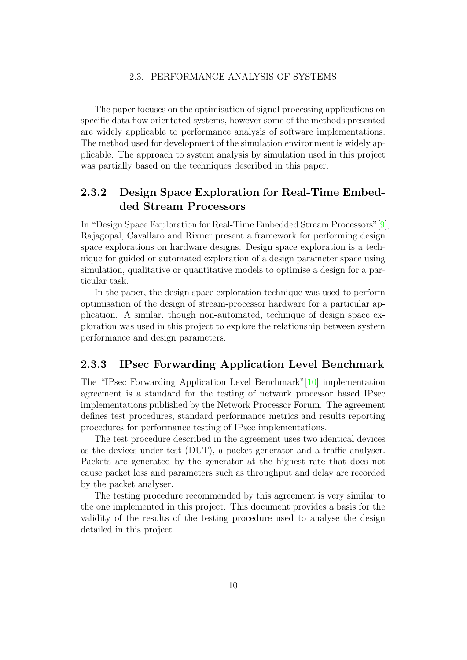The paper focuses on the optimisation of signal processing applications on specific data flow orientated systems, however some of the methods presented are widely applicable to performance analysis of software implementations. The method used for development of the simulation environment is widely applicable. The approach to system analysis by simulation used in this project was partially based on the techniques described in this paper.

### 2.3.2 Design Space Exploration for Real-Time Embedded Stream Processors

In "Design Space Exploration for Real-Time Embedded Stream Processors"[\[9\]](#page-101-7), Rajagopal, Cavallaro and Rixner present a framework for performing design space explorations on hardware designs. Design space exploration is a technique for guided or automated exploration of a design parameter space using simulation, qualitative or quantitative models to optimise a design for a particular task.

In the paper, the design space exploration technique was used to perform optimisation of the design of stream-processor hardware for a particular application. A similar, though non-automated, technique of design space exploration was used in this project to explore the relationship between system performance and design parameters.

### 2.3.3 IPsec Forwarding Application Level Benchmark

The "IPsec Forwarding Application Level Benchmark"[\[10\]](#page-101-8) implementation agreement is a standard for the testing of network processor based IPsec implementations published by the Network Processor Forum. The agreement defines test procedures, standard performance metrics and results reporting procedures for performance testing of IPsec implementations.

The test procedure described in the agreement uses two identical devices as the devices under test (DUT), a packet generator and a traffic analyser. Packets are generated by the generator at the highest rate that does not cause packet loss and parameters such as throughput and delay are recorded by the packet analyser.

The testing procedure recommended by this agreement is very similar to the one implemented in this project. This document provides a basis for the validity of the results of the testing procedure used to analyse the design detailed in this project.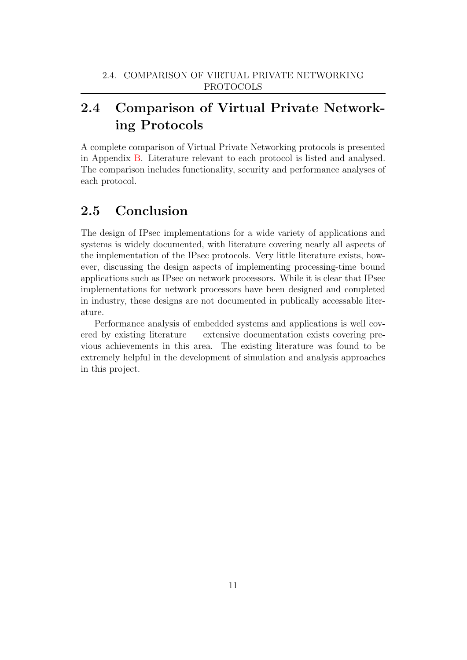### <span id="page-18-0"></span>2.4 Comparison of Virtual Private Networking Protocols

A complete comparison of Virtual Private Networking protocols is presented in Appendix [B.](#page-69-0) Literature relevant to each protocol is listed and analysed. The comparison includes functionality, security and performance analyses of each protocol.

### <span id="page-18-1"></span>2.5 Conclusion

The design of IPsec implementations for a wide variety of applications and systems is widely documented, with literature covering nearly all aspects of the implementation of the IPsec protocols. Very little literature exists, however, discussing the design aspects of implementing processing-time bound applications such as IPsec on network processors. While it is clear that IPsec implementations for network processors have been designed and completed in industry, these designs are not documented in publically accessable literature.

Performance analysis of embedded systems and applications is well covered by existing literature — extensive documentation exists covering previous achievements in this area. The existing literature was found to be extremely helpful in the development of simulation and analysis approaches in this project.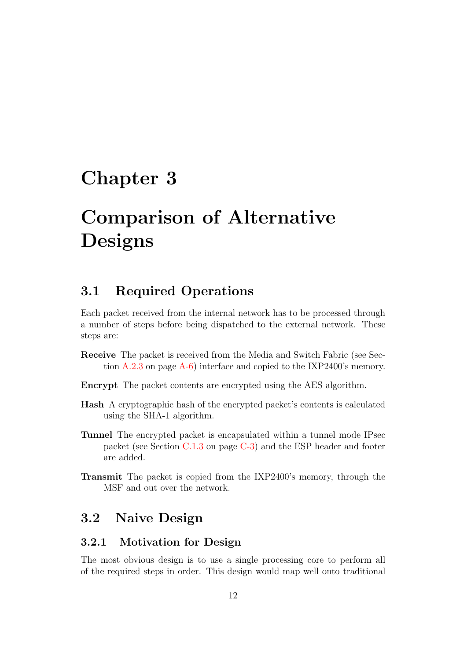## <span id="page-19-0"></span>Chapter 3

## Comparison of Alternative Designs

### <span id="page-19-1"></span>3.1 Required Operations

Each packet received from the internal network has to be processed through a number of steps before being dispatched to the external network. These steps are:

- Receive The packet is received from the Media and Switch Fabric (see Section [A.2.3](#page-67-1) on page [A-6\)](#page-67-1) interface and copied to the IXP2400's memory.
- Encrypt The packet contents are encrypted using the AES algorithm.
- Hash A cryptographic hash of the encrypted packet's contents is calculated using the SHA-1 algorithm.
- Tunnel The encrypted packet is encapsulated within a tunnel mode IPsec packet (see Section [C.1.3](#page-79-2) on page [C-3\)](#page-79-2) and the ESP header and footer are added.
- Transmit The packet is copied from the IXP2400's memory, through the MSF and out over the network.

### <span id="page-19-2"></span>3.2 Naive Design

### 3.2.1 Motivation for Design

The most obvious design is to use a single processing core to perform all of the required steps in order. This design would map well onto traditional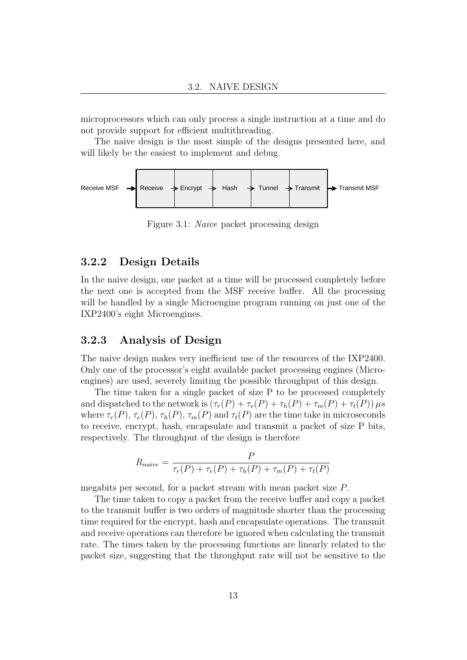microprocessors which can only process a single instruction at a time and do not provide support for efficient multithreading.

The naive design is the most simple of the designs presented here, and will likely be the easiest to implement and debug.



<span id="page-20-0"></span>Figure 3.1: Naive packet processing design

#### 3.2.2 Design Details

In the naive design, one packet at a time will be processed completely before the next one is accepted from the MSF receive buffer. All the processing will be handled by a single Microengine program running on just one of the IXP2400's eight Microengines.

### <span id="page-20-1"></span>3.2.3 Analysis of Design

The naive design makes very inefficient use of the resources of the IXP2400. Only one of the processor's eight available packet processing engines (Microengines) are used, severely limiting the possible throughput of this design.

The time taken for a single packet of size P to be processed completely and dispatched to the network is  $(\tau_r(P) + \tau_e(P) + \tau_h(P) + \tau_m(P) + \tau_t(P)) \mu s$ where  $\tau_r(P)$ ,  $\tau_e(P)$ ,  $\tau_h(P)$ ,  $\tau_m(P)$  and  $\tau_t(P)$  are the time take in microseconds to receive, encrypt, hash, encapsulate and transmit a packet of size P bits, respectively. The throughput of the design is therefore

$$
R_{naive} = \frac{P}{\tau_r(P) + \tau_e(P) + \tau_h(P) + \tau_m(P) + \tau_t(P)}
$$

megabits per second, for a packet stream with mean packet size P.

The time taken to copy a packet from the receive buffer and copy a packet to the transmit buffer is two orders of magnitude shorter than the processing time required for the encrypt, hash and encapsulate operations. The transmit and receive operations can therefore be ignored when calculating the transmit rate. The times taken by the processing functions are linearly related to the packet size, suggesting that the throughput rate will not be sensitive to the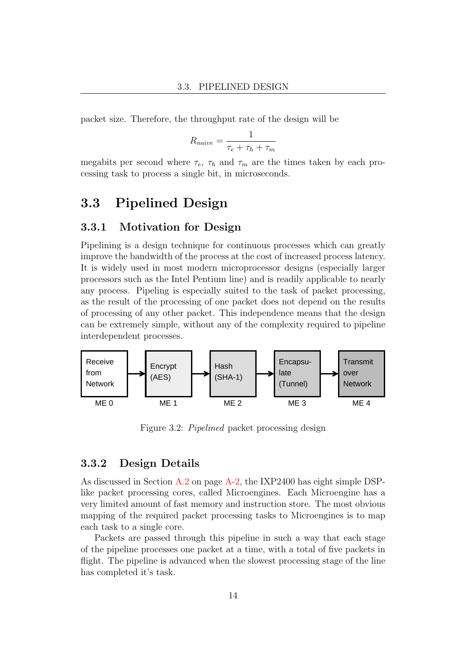packet size. Therefore, the throughput rate of the design will be

$$
R_{naive} = \frac{1}{\tau_e + \tau_h + \tau_m}
$$

megabits per second where  $\tau_e$ ,  $\tau_h$  and  $\tau_m$  are the times taken by each processing task to process a single bit, in microseconds.

### <span id="page-21-0"></span>3.3 Pipelined Design

### 3.3.1 Motivation for Design

Pipelining is a design technique for continuous processes which can greatly improve the bandwidth of the process at the cost of increased process latency. It is widely used in most modern microprocessor designs (especially larger processors such as the Intel Pentium line) and is readily applicable to nearly any process. Pipeling is especially suited to the task of packet processing, as the result of the processing of one packet does not depend on the results of processing of any other packet. This independence means that the design can be extremely simple, without any of the complexity required to pipeline interdependent processes.



<span id="page-21-1"></span>Figure 3.2: Pipelined packet processing design

### 3.3.2 Design Details

As discussed in Section [A.2](#page-63-0) on page [A-2,](#page-63-0) the IXP2400 has eight simple DSPlike packet processing cores, called Microengines. Each Microengine has a very limited amount of fast memory and instruction store. The most obvious mapping of the required packet processing tasks to Microengines is to map each task to a single core.

Packets are passed through this pipeline in such a way that each stage of the pipeline processes one packet at a time, with a total of five packets in flight. The pipeline is advanced when the slowest processing stage of the line has completed it's task.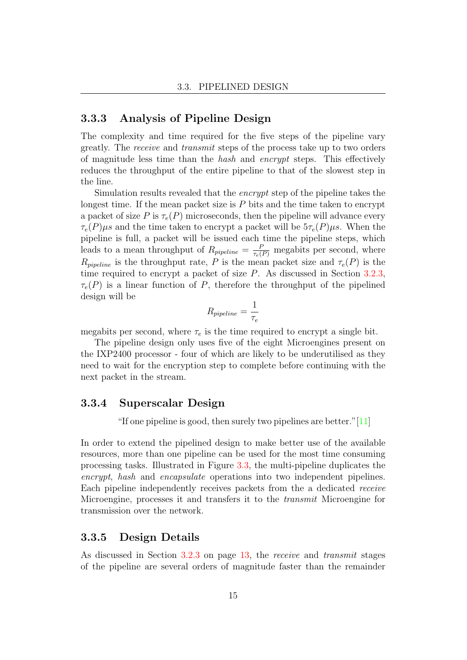### 3.3.3 Analysis of Pipeline Design

The complexity and time required for the five steps of the pipeline vary greatly. The receive and transmit steps of the process take up to two orders of magnitude less time than the hash and encrypt steps. This effectively reduces the throughput of the entire pipeline to that of the slowest step in the line.

Simulation results revealed that the encrypt step of the pipeline takes the longest time. If the mean packet size is  $P$  bits and the time taken to encrypt a packet of size P is  $\tau_e(P)$  microseconds, then the pipeline will advance every  $\tau_e(P)\mu s$  and the time taken to encrypt a packet will be  $5\tau_e(P)\mu s$ . When the pipeline is full, a packet will be issued each time the pipeline steps, which leads to a mean throughput of  $R_{pipeline} = \frac{P}{\tau_e(P)}$  megabits per second, where  $R_{\text{pipeline}}$  is the throughput rate, P is the mean packet size and  $\tau_e(P)$  is the time required to encrypt a packet of size P. As discussed in Section [3.2.3,](#page-20-1)  $\tau_e(P)$  is a linear function of P, therefore the throughput of the pipelined design will be

$$
R_{pipeline} = \frac{1}{\tau_e}
$$

megabits per second, where  $\tau_e$  is the time required to encrypt a single bit.

The pipeline design only uses five of the eight Microengines present on the IXP2400 processor - four of which are likely to be underutilised as they need to wait for the encryption step to complete before continuing with the next packet in the stream.

#### 3.3.4 Superscalar Design

"If one pipeline is good, then surely two pipelines are better."[\[11\]](#page-101-9)

In order to extend the pipelined design to make better use of the available resources, more than one pipeline can be used for the most time consuming processing tasks. Illustrated in Figure [3.3,](#page-23-1) the multi-pipeline duplicates the encrypt, hash and encapsulate operations into two independent pipelines. Each pipeline independently receives packets from the a dedicated receive Microengine, processes it and transfers it to the transmit Microengine for transmission over the network.

#### 3.3.5 Design Details

As discussed in Section [3.2.3](#page-20-1) on page [13,](#page-20-1) the receive and transmit stages of the pipeline are several orders of magnitude faster than the remainder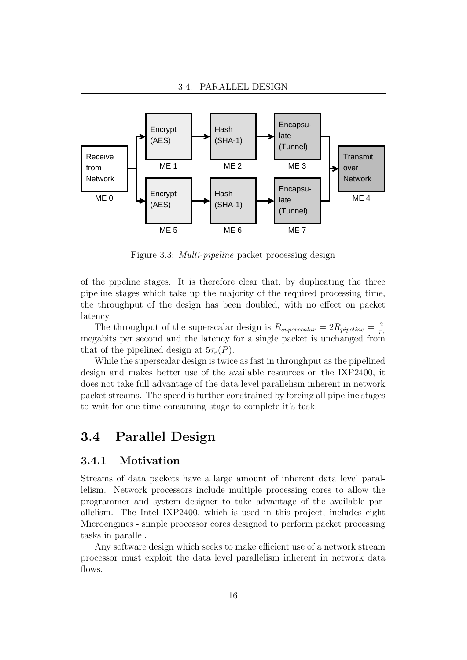

<span id="page-23-1"></span>Figure 3.3: Multi-pipeline packet processing design

of the pipeline stages. It is therefore clear that, by duplicating the three pipeline stages which take up the majority of the required processing time, the throughput of the design has been doubled, with no effect on packet latency.

The throughput of the superscalar design is  $R_{superscalar} = 2R_{pipeline} = \frac{2}{\tau}$  $\tau_e$ megabits per second and the latency for a single packet is unchanged from that of the pipelined design at  $5\tau_e(P)$ .

While the superscalar design is twice as fast in throughput as the pipelined design and makes better use of the available resources on the IXP2400, it does not take full advantage of the data level parallelism inherent in network packet streams. The speed is further constrained by forcing all pipeline stages to wait for one time consuming stage to complete it's task.

### <span id="page-23-0"></span>3.4 Parallel Design

### 3.4.1 Motivation

Streams of data packets have a large amount of inherent data level parallelism. Network processors include multiple processing cores to allow the programmer and system designer to take advantage of the available parallelism. The Intel IXP2400, which is used in this project, includes eight Microengines - simple processor cores designed to perform packet processing tasks in parallel.

Any software design which seeks to make efficient use of a network stream processor must exploit the data level parallelism inherent in network data flows.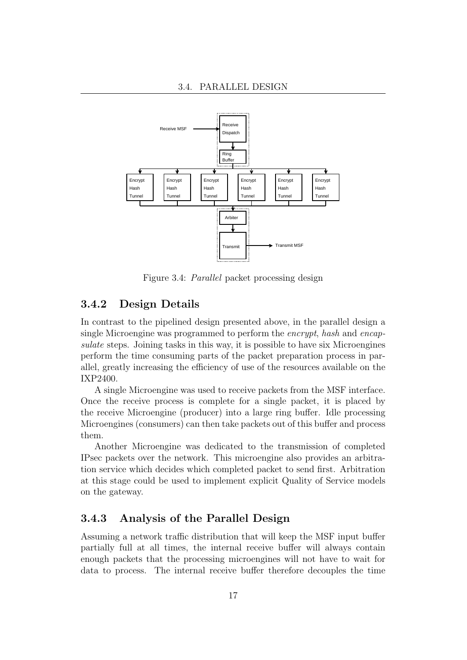

<span id="page-24-0"></span>Figure 3.4: Parallel packet processing design

### 3.4.2 Design Details

In contrast to the pipelined design presented above, in the parallel design a single Microengine was programmed to perform the encrypt, hash and encapsulate steps. Joining tasks in this way, it is possible to have six Microengines perform the time consuming parts of the packet preparation process in parallel, greatly increasing the efficiency of use of the resources available on the IXP2400.

A single Microengine was used to receive packets from the MSF interface. Once the receive process is complete for a single packet, it is placed by the receive Microengine (producer) into a large ring buffer. Idle processing Microengines (consumers) can then take packets out of this buffer and process them.

Another Microengine was dedicated to the transmission of completed IPsec packets over the network. This microengine also provides an arbitration service which decides which completed packet to send first. Arbitration at this stage could be used to implement explicit Quality of Service models on the gateway.

### 3.4.3 Analysis of the Parallel Design

Assuming a network traffic distribution that will keep the MSF input buffer partially full at all times, the internal receive buffer will always contain enough packets that the processing microengines will not have to wait for data to process. The internal receive buffer therefore decouples the time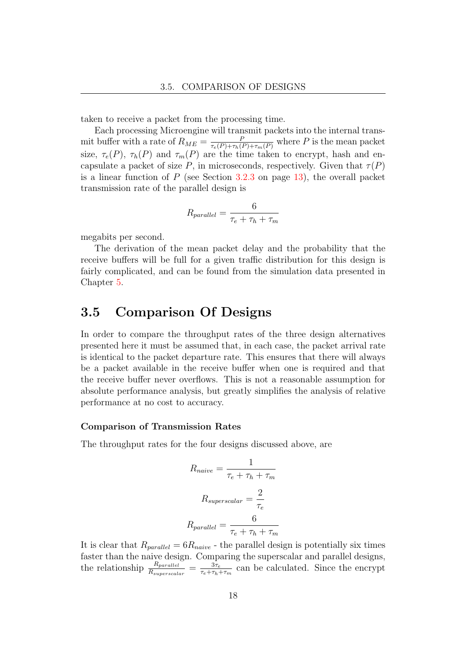taken to receive a packet from the processing time.

Each processing Microengine will transmit packets into the internal transmit buffer with a rate of  $R_{ME} = \frac{P}{\tau_e(P) + \tau_h(P) + \tau_m(P)}$  where P is the mean packet size,  $\tau_e(P)$ ,  $\tau_h(P)$  and  $\tau_m(P)$  are the time taken to encrypt, hash and encapsulate a packet of size P, in microseconds, respectively. Given that  $\tau(P)$ is a linear function of  $P$  (see Section [3.2.3](#page-20-1) on page [13\)](#page-20-1), the overall packet transmission rate of the parallel design is

$$
R_{parallel} = \frac{6}{\tau_e + \tau_h + \tau_m}
$$

megabits per second.

The derivation of the mean packet delay and the probability that the receive buffers will be full for a given traffic distribution for this design is fairly complicated, and can be found from the simulation data presented in Chapter [5.](#page-43-0)

### <span id="page-25-0"></span>3.5 Comparison Of Designs

In order to compare the throughput rates of the three design alternatives presented here it must be assumed that, in each case, the packet arrival rate is identical to the packet departure rate. This ensures that there will always be a packet available in the receive buffer when one is required and that the receive buffer never overflows. This is not a reasonable assumption for absolute performance analysis, but greatly simplifies the analysis of relative performance at no cost to accuracy.

#### Comparison of Transmission Rates

The throughput rates for the four designs discussed above, are

$$
R_{naive} = \frac{1}{\tau_e + \tau_h + \tau_m}
$$

$$
R_{superscalar} = \frac{2}{\tau_e}
$$

$$
R_{parallel} = \frac{6}{\tau_e + \tau_h + \tau_m}
$$

It is clear that  $R_{parallel} = 6R_{naive}$  - the parallel design is potentially six times faster than the naive design. Comparing the superscalar and parallel designs, the relationship  $\frac{R_{parallel}}{R_{superscalar}} = \frac{3\tau_e}{\tau_e + \tau_h}$  $\frac{3\tau_e}{\tau_e+\tau_h+\tau_m}$  can be calculated. Since the encrypt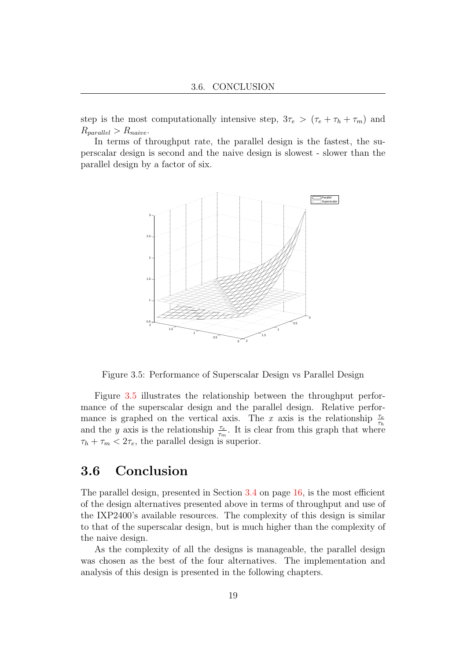step is the most computationally intensive step,  $3\tau_e > (\tau_e + \tau_h + \tau_m)$  and  $R_{parallel} > R_{naive}.$ 

In terms of throughput rate, the parallel design is the fastest, the superscalar design is second and the naive design is slowest - slower than the parallel design by a factor of six.



<span id="page-26-1"></span>Figure 3.5: Performance of Superscalar Design vs Parallel Design

Figure [3.5](#page-26-1) illustrates the relationship between the throughput performance of the superscalar design and the parallel design. Relative performance is graphed on the vertical axis. The x axis is the relationship  $\frac{\tau_e}{\tau_h}$ and the y axis is the relationship  $\frac{\tau_e}{\tau_m}$ . It is clear from this graph that where  $\tau_h + \tau_m < 2\tau_e$ , the parallel design is superior.

### <span id="page-26-0"></span>3.6 Conclusion

The parallel design, presented in Section [3.4](#page-23-0) on page [16,](#page-23-0) is the most efficient of the design alternatives presented above in terms of throughput and use of the IXP2400's available resources. The complexity of this design is similar to that of the superscalar design, but is much higher than the complexity of the naive design.

As the complexity of all the designs is manageable, the parallel design was chosen as the best of the four alternatives. The implementation and analysis of this design is presented in the following chapters.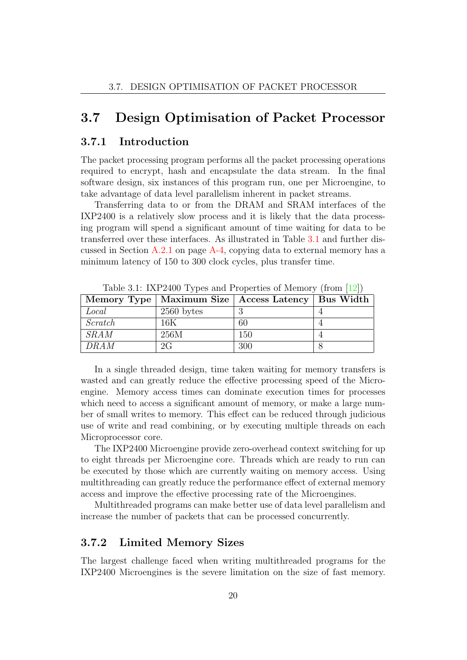### <span id="page-27-0"></span>3.7 Design Optimisation of Packet Processor

### 3.7.1 Introduction

The packet processing program performs all the packet processing operations required to encrypt, hash and encapsulate the data stream. In the final software design, six instances of this program run, one per Microengine, to take advantage of data level parallelism inherent in packet streams.

Transferring data to or from the DRAM and SRAM interfaces of the IXP2400 is a relatively slow process and it is likely that the data processing program will spend a significant amount of time waiting for data to be transferred over these interfaces. As illustrated in Table [3.1](#page-27-1) and further discussed in Section  $A.2.1$  on page  $A-4$ , copying data to external memory has a minimum latency of 150 to 300 clock cycles, plus transfer time.

|         |              | Memory Type   Maximum Size   Access Latency   Bus Width |  |
|---------|--------------|---------------------------------------------------------|--|
| Local   | $2560$ bytes |                                                         |  |
| Scratch | 16K          | 60                                                      |  |
| SRAM    | 256M         | 150                                                     |  |
| DRAM    | 2G           | 300                                                     |  |

<span id="page-27-1"></span>Table 3.1: IXP2400 Types and Properties of Memory (from [\[12\]](#page-102-0))

In a single threaded design, time taken waiting for memory transfers is wasted and can greatly reduce the effective processing speed of the Microengine. Memory access times can dominate execution times for processes which need to access a significant amount of memory, or make a large number of small writes to memory. This effect can be reduced through judicious use of write and read combining, or by executing multiple threads on each Microprocessor core.

The IXP2400 Microengine provide zero-overhead context switching for up to eight threads per Microengine core. Threads which are ready to run can be executed by those which are currently waiting on memory access. Using multithreading can greatly reduce the performance effect of external memory access and improve the effective processing rate of the Microengines.

Multithreaded programs can make better use of data level parallelism and increase the number of packets that can be processed concurrently.

### 3.7.2 Limited Memory Sizes

The largest challenge faced when writing multithreaded programs for the IXP2400 Microengines is the severe limitation on the size of fast memory.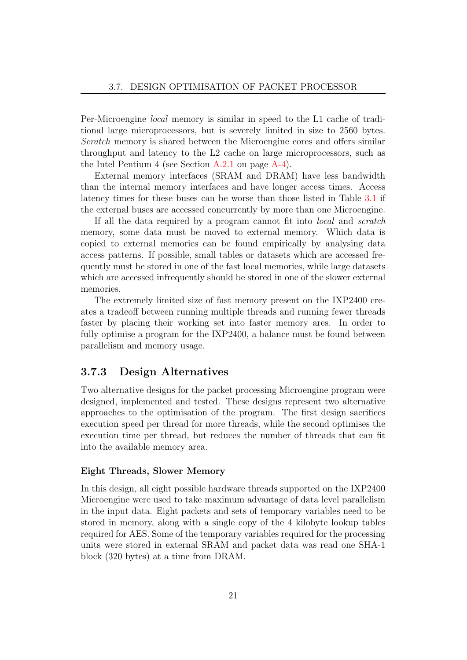Per-Microengine local memory is similar in speed to the L1 cache of traditional large microprocessors, but is severely limited in size to 2560 bytes. Scratch memory is shared between the Microengine cores and offers similar throughput and latency to the L2 cache on large microprocessors, such as the Intel Pentium 4 (see Section [A.2.1](#page-65-0) on page [A-4\)](#page-65-0).

External memory interfaces (SRAM and DRAM) have less bandwidth than the internal memory interfaces and have longer access times. Access latency times for these buses can be worse than those listed in Table [3.1](#page-27-1) if the external buses are accessed concurrently by more than one Microengine.

If all the data required by a program cannot fit into local and scratch memory, some data must be moved to external memory. Which data is copied to external memories can be found empirically by analysing data access patterns. If possible, small tables or datasets which are accessed frequently must be stored in one of the fast local memories, while large datasets which are accessed infrequently should be stored in one of the slower external memories.

The extremely limited size of fast memory present on the IXP2400 creates a tradeoff between running multiple threads and running fewer threads faster by placing their working set into faster memory ares. In order to fully optimise a program for the IXP2400, a balance must be found between parallelism and memory usage.

#### 3.7.3 Design Alternatives

Two alternative designs for the packet processing Microengine program were designed, implemented and tested. These designs represent two alternative approaches to the optimisation of the program. The first design sacrifices execution speed per thread for more threads, while the second optimises the execution time per thread, but reduces the number of threads that can fit into the available memory area.

#### Eight Threads, Slower Memory

In this design, all eight possible hardware threads supported on the IXP2400 Microengine were used to take maximum advantage of data level parallelism in the input data. Eight packets and sets of temporary variables need to be stored in memory, along with a single copy of the 4 kilobyte lookup tables required for AES. Some of the temporary variables required for the processing units were stored in external SRAM and packet data was read one SHA-1 block (320 bytes) at a time from DRAM.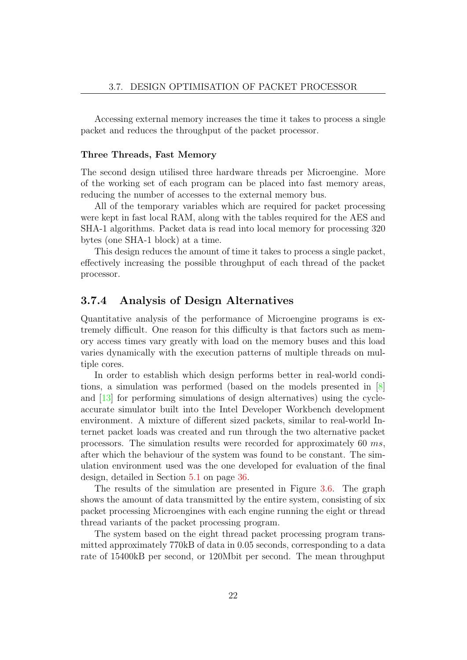Accessing external memory increases the time it takes to process a single packet and reduces the throughput of the packet processor.

#### Three Threads, Fast Memory

The second design utilised three hardware threads per Microengine. More of the working set of each program can be placed into fast memory areas, reducing the number of accesses to the external memory bus.

All of the temporary variables which are required for packet processing were kept in fast local RAM, along with the tables required for the AES and SHA-1 algorithms. Packet data is read into local memory for processing 320 bytes (one SHA-1 block) at a time.

This design reduces the amount of time it takes to process a single packet, effectively increasing the possible throughput of each thread of the packet processor.

#### 3.7.4 Analysis of Design Alternatives

Quantitative analysis of the performance of Microengine programs is extremely difficult. One reason for this difficulty is that factors such as memory access times vary greatly with load on the memory buses and this load varies dynamically with the execution patterns of multiple threads on multiple cores.

In order to establish which design performs better in real-world conditions, a simulation was performed (based on the models presented in [\[8\]](#page-101-6) and [\[13\]](#page-102-1) for performing simulations of design alternatives) using the cycleaccurate simulator built into the Intel Developer Workbench development environment. A mixture of different sized packets, similar to real-world Internet packet loads was created and run through the two alternative packet processors. The simulation results were recorded for approximately 60 ms, after which the behaviour of the system was found to be constant. The simulation environment used was the one developed for evaluation of the final design, detailed in Section [5.1](#page-43-1) on page [36.](#page-43-1)

The results of the simulation are presented in Figure [3.6.](#page-30-0) The graph shows the amount of data transmitted by the entire system, consisting of six packet processing Microengines with each engine running the eight or thread thread variants of the packet processing program.

The system based on the eight thread packet processing program transmitted approximately 770kB of data in 0.05 seconds, corresponding to a data rate of 15400kB per second, or 120Mbit per second. The mean throughput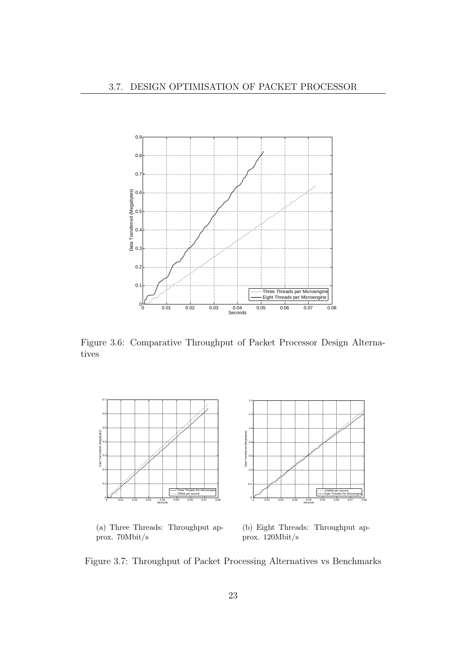

<span id="page-30-0"></span>Figure 3.6: Comparative Throughput of Packet Processor Design Alternatives



(a) Three Threads: Throughput approx. 70Mbit/s

(b) Eight Threads: Throughput approx. 120Mbit/s

<span id="page-30-1"></span>Figure 3.7: Throughput of Packet Processing Alternatives vs Benchmarks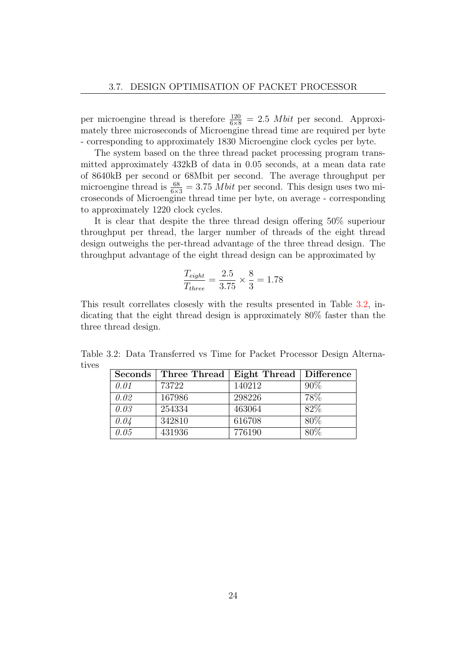per microengine thread is therefore  $\frac{120}{6 \times 8} = 2.5$  *Mbit* per second. Approximately three microseconds of Microengine thread time are required per byte - corresponding to approximately 1830 Microengine clock cycles per byte.

The system based on the three thread packet processing program transmitted approximately 432kB of data in 0.05 seconds, at a mean data rate of 8640kB per second or 68Mbit per second. The average throughput per microengine thread is  $\frac{68}{6\times3} = 3.75$  *Mbit* per second. This design uses two microseconds of Microengine thread time per byte, on average - corresponding to approximately 1220 clock cycles.

It is clear that despite the three thread design offering 50% superiour throughput per thread, the larger number of threads of the eight thread design outweighs the per-thread advantage of the three thread design. The throughput advantage of the eight thread design can be approximated by

$$
\frac{T_{eight}}{T_{three}} = \frac{2.5}{3.75} \times \frac{8}{3} = 1.78
$$

This result correllates closesly with the results presented in Table [3.2,](#page-31-0) indicating that the eight thread design is approximately 80% faster than the three thread design.

Table 3.2: Data Transferred vs Time for Packet Processor Design Alternatives

<span id="page-31-0"></span>

| Seconds | Three Thread | Eight Thread   Difference |      |  |  |  |
|---------|--------------|---------------------------|------|--|--|--|
| 0.01    | 73722        | 140212                    | 90%  |  |  |  |
| 0.02    | 167986       | 298226                    | 78%  |  |  |  |
| 0.03    | 254334       | 463064                    | 82%  |  |  |  |
| 0.04    | 342810       | 616708                    | 80\% |  |  |  |
| 0.05    | 431936       | 776190                    | 80\% |  |  |  |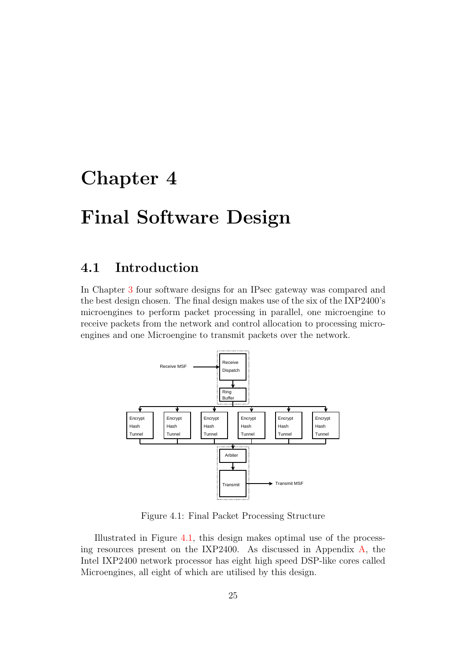## <span id="page-32-0"></span>Chapter 4

## Final Software Design

### <span id="page-32-1"></span>4.1 Introduction

In Chapter [3](#page-19-0) four software designs for an IPsec gateway was compared and the best design chosen. The final design makes use of the six of the IXP2400's microengines to perform packet processing in parallel, one microengine to receive packets from the network and control allocation to processing microengines and one Microengine to transmit packets over the network.



<span id="page-32-2"></span>Figure 4.1: Final Packet Processing Structure

Illustrated in Figure [4.1,](#page-32-2) this design makes optimal use of the processing resources present on the IXP2400. As discussed in Appendix [A,](#page-62-0) the Intel IXP2400 network processor has eight high speed DSP-like cores called Microengines, all eight of which are utilised by this design.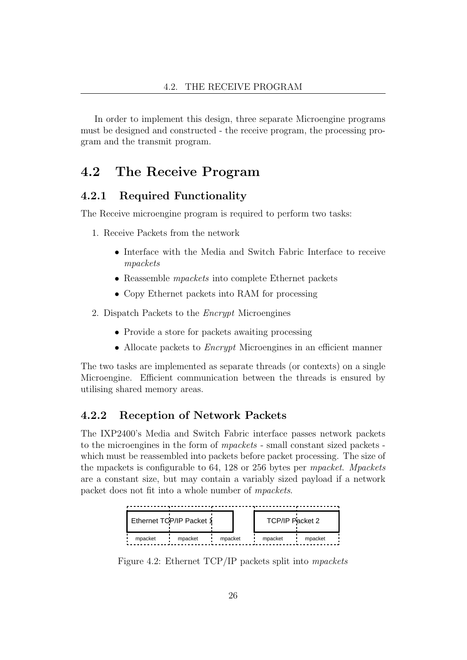In order to implement this design, three separate Microengine programs must be designed and constructed - the receive program, the processing program and the transmit program.

### <span id="page-33-0"></span>4.2 The Receive Program

### 4.2.1 Required Functionality

The Receive microengine program is required to perform two tasks:

- 1. Receive Packets from the network
	- Interface with the Media and Switch Fabric Interface to receive mpackets
	- Reassemble mpackets into complete Ethernet packets
	- Copy Ethernet packets into RAM for processing
- 2. Dispatch Packets to the Encrypt Microengines
	- Provide a store for packets awaiting processing
	- Allocate packets to *Encrypt* Microengines in an efficient manner

The two tasks are implemented as separate threads (or contexts) on a single Microengine. Efficient communication between the threads is ensured by utilising shared memory areas.

#### 4.2.2 Reception of Network Packets

The IXP2400's Media and Switch Fabric interface passes network packets to the microengines in the form of mpackets - small constant sized packets which must be reassembled into packets before packet processing. The size of the mpackets is configurable to 64, 128 or 256 bytes per mpacket. Mpackets are a constant size, but may contain a variably sized payload if a network packet does not fit into a whole number of mpackets.



<span id="page-33-1"></span>Figure 4.2: Ethernet TCP/IP packets split into mpackets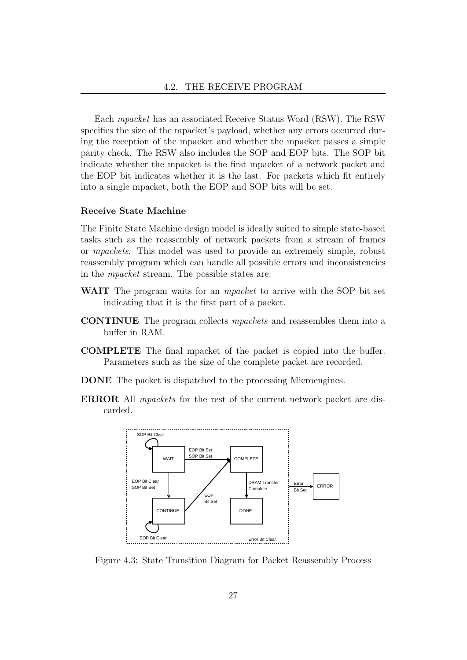Each mpacket has an associated Receive Status Word (RSW). The RSW specifies the size of the mpacket's payload, whether any errors occurred during the reception of the mpacket and whether the mpacket passes a simple parity check. The RSW also includes the SOP and EOP bits. The SOP bit indicate whether the mpacket is the first mpacket of a network packet and the EOP bit indicates whether it is the last. For packets which fit entirely into a single mpacket, both the EOP and SOP bits will be set.

#### Receive State Machine

The Finite State Machine design model is ideally suited to simple state-based tasks such as the reassembly of network packets from a stream of frames or mpackets. This model was used to provide an extremely simple, robust reassembly program which can handle all possible errors and inconsistencies in the mpacket stream. The possible states are:

- WAIT The program waits for an *mpacket* to arrive with the SOP bit set indicating that it is the first part of a packet.
- CONTINUE The program collects mpackets and reassembles them into a buffer in RAM.
- COMPLETE The final mpacket of the packet is copied into the buffer. Parameters such as the size of the complete packet are recorded.
- DONE The packet is dispatched to the processing Microengines.
- ERROR All mpackets for the rest of the current network packet are discarded.



<span id="page-34-0"></span>Figure 4.3: State Transition Diagram for Packet Reassembly Process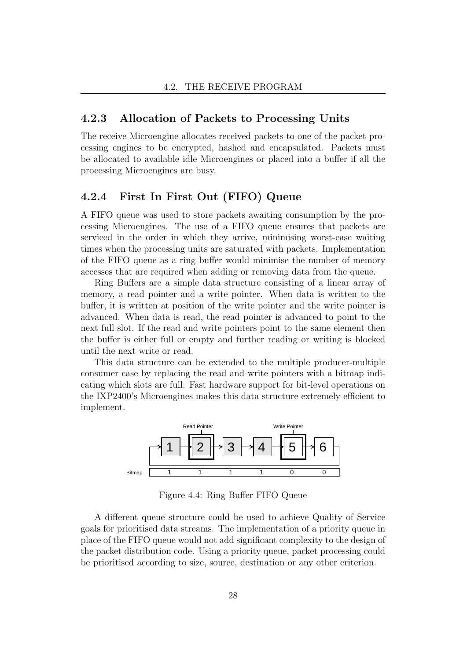### 4.2.3 Allocation of Packets to Processing Units

The receive Microengine allocates received packets to one of the packet processing engines to be encrypted, hashed and encapsulated. Packets must be allocated to available idle Microengines or placed into a buffer if all the processing Microengines are busy.

### 4.2.4 First In First Out (FIFO) Queue

A FIFO queue was used to store packets awaiting consumption by the processing Microengines. The use of a FIFO queue ensures that packets are serviced in the order in which they arrive, minimising worst-case waiting times when the processing units are saturated with packets. Implementation of the FIFO queue as a ring buffer would minimise the number of memory accesses that are required when adding or removing data from the queue.

Ring Buffers are a simple data structure consisting of a linear array of memory, a read pointer and a write pointer. When data is written to the buffer, it is written at position of the write pointer and the write pointer is advanced. When data is read, the read pointer is advanced to point to the next full slot. If the read and write pointers point to the same element then the buffer is either full or empty and further reading or writing is blocked until the next write or read.

This data structure can be extended to the multiple producer-multiple consumer case by replacing the read and write pointers with a bitmap indicating which slots are full. Fast hardware support for bit-level operations on the IXP2400's Microengines makes this data structure extremely efficient to implement.



<span id="page-35-0"></span>Figure 4.4: Ring Buffer FIFO Queue

A different queue structure could be used to achieve Quality of Service goals for prioritised data streams. The implementation of a priority queue in place of the FIFO queue would not add significant complexity to the design of the packet distribution code. Using a priority queue, packet processing could be prioritised according to size, source, destination or any other criterion.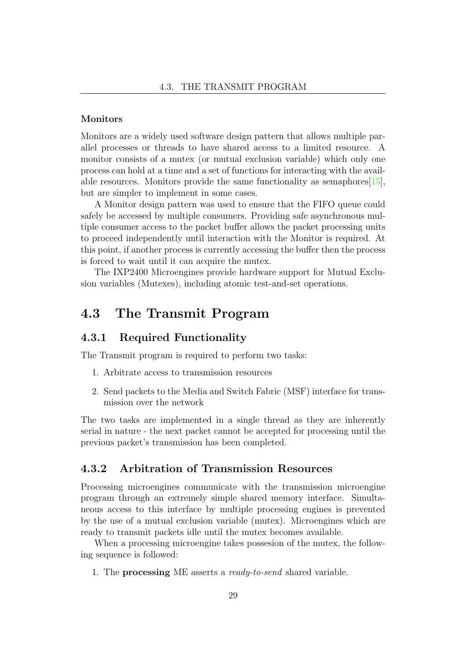#### Monitors

Monitors are a widely used software design pattern that allows multiple parallel processes or threads to have shared access to a limited resource. A monitor consists of a mutex (or mutual exclusion variable) which only one process can hold at a time and a set of functions for interacting with the available resources. Monitors provide the same functionality as semaphores  $[15]$ , but are simpler to implement in some cases.

A Monitor design pattern was used to ensure that the FIFO queue could safely be accessed by multiple consumers. Providing safe asynchronous multiple consumer access to the packet buffer allows the packet processing units to proceed independently until interaction with the Monitor is required. At this point, if another process is currently accessing the buffer then the process is forced to wait until it can acquire the mutex.

The IXP2400 Microengines provide hardware support for Mutual Exclusion variables (Mutexes), including atomic test-and-set operations.

# 4.3 The Transmit Program

### 4.3.1 Required Functionality

The Transmit program is required to perform two tasks:

- 1. Arbitrate access to transmission resources
- 2. Send packets to the Media and Switch Fabric (MSF) interface for transmission over the network

The two tasks are implemented in a single thread as they are inherently serial in nature - the next packet cannot be accepted for processing until the previous packet's transmission has been completed.

### 4.3.2 Arbitration of Transmission Resources

Processing microengines communicate with the transmission microengine program through an extremely simple shared memory interface. Simultaneous access to this interface by multiple processing engines is prevented by the use of a mutual exclusion variable (mutex). Microengines which are ready to transmit packets idle until the mutex becomes available.

When a processing microengine takes possesion of the mutex, the following sequence is followed:

1. The **processing** ME asserts a *ready-to-send* shared variable.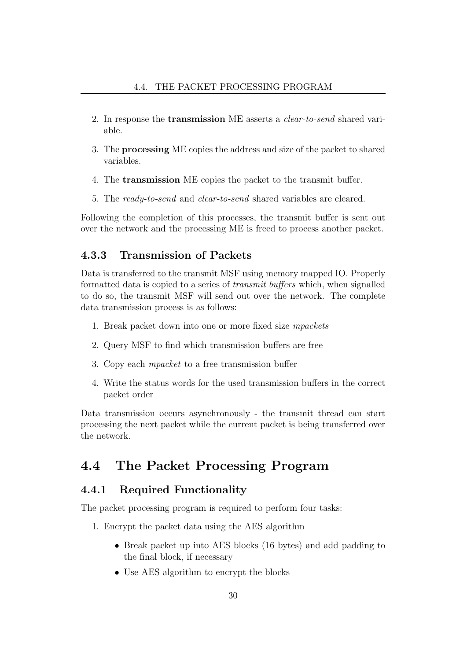- 2. In response the transmission ME asserts a clear-to-send shared variable.
- 3. The processing ME copies the address and size of the packet to shared variables.
- 4. The transmission ME copies the packet to the transmit buffer.
- 5. The ready-to-send and clear-to-send shared variables are cleared.

Following the completion of this processes, the transmit buffer is sent out over the network and the processing ME is freed to process another packet.

### 4.3.3 Transmission of Packets

Data is transferred to the transmit MSF using memory mapped IO. Properly formatted data is copied to a series of transmit buffers which, when signalled to do so, the transmit MSF will send out over the network. The complete data transmission process is as follows:

- 1. Break packet down into one or more fixed size mpackets
- 2. Query MSF to find which transmission buffers are free
- 3. Copy each mpacket to a free transmission buffer
- 4. Write the status words for the used transmission buffers in the correct packet order

Data transmission occurs asynchronously - the transmit thread can start processing the next packet while the current packet is being transferred over the network.

# 4.4 The Packet Processing Program

### 4.4.1 Required Functionality

The packet processing program is required to perform four tasks:

- 1. Encrypt the packet data using the AES algorithm
	- Break packet up into AES blocks (16 bytes) and add padding to the final block, if necessary
	- Use AES algorithm to encrypt the blocks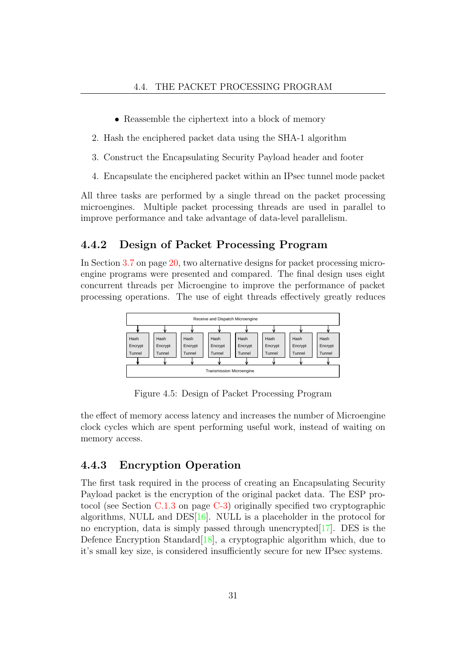- Reassemble the ciphertext into a block of memory
- 2. Hash the enciphered packet data using the SHA-1 algorithm
- 3. Construct the Encapsulating Security Payload header and footer
- 4. Encapsulate the enciphered packet within an IPsec tunnel mode packet

All three tasks are performed by a single thread on the packet processing microengines. Multiple packet processing threads are used in parallel to improve performance and take advantage of data-level parallelism.

### 4.4.2 Design of Packet Processing Program

In Section [3.7](#page-27-0) on page [20,](#page-27-0) two alternative designs for packet processing microengine programs were presented and compared. The final design uses eight concurrent threads per Microengine to improve the performance of packet processing operations. The use of eight threads effectively greatly reduces



Figure 4.5: Design of Packet Processing Program

the effect of memory access latency and increases the number of Microengine clock cycles which are spent performing useful work, instead of waiting on memory access.

### 4.4.3 Encryption Operation

The first task required in the process of creating an Encapsulating Security Payload packet is the encryption of the original packet data. The ESP protocol (see Section [C.1.3](#page-79-0) on page [C-3\)](#page-79-0) originally specified two cryptographic algorithms, NULL and DES $[16]$ . NULL is a placeholder in the protocol for no encryption, data is simply passed through unencrypted  $[17]$ . DES is the Defence Encryption Standard<sup>[\[18\]](#page-102-3)</sup>, a cryptographic algorithm which, due to it's small key size, is considered insufficiently secure for new IPsec systems.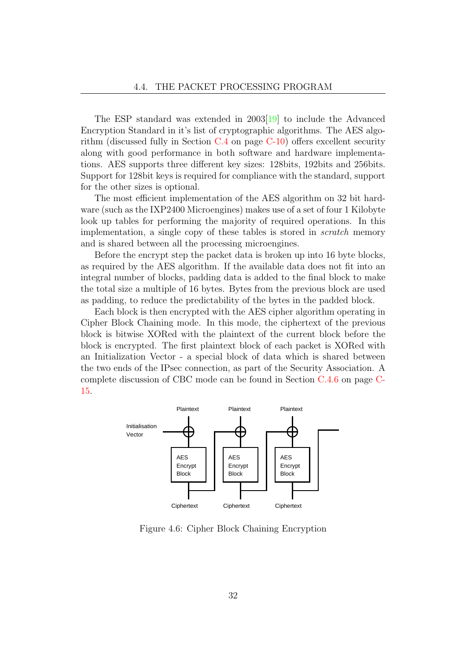The ESP standard was extended in 2003[\[19\]](#page-102-4) to include the Advanced Encryption Standard in it's list of cryptographic algorithms. The AES algorithm (discussed fully in Section [C.4](#page-86-0) on page [C-10\)](#page-86-0) offers excellent security along with good performance in both software and hardware implementations. AES supports three different key sizes: 128bits, 192bits and 256bits. Support for 128bit keys is required for compliance with the standard, support for the other sizes is optional.

The most efficient implementation of the AES algorithm on 32 bit hardware (such as the IXP2400 Microengines) makes use of a set of four 1 Kilobyte look up tables for performing the majority of required operations. In this implementation, a single copy of these tables is stored in scratch memory and is shared between all the processing microengines.

Before the encrypt step the packet data is broken up into 16 byte blocks, as required by the AES algorithm. If the available data does not fit into an integral number of blocks, padding data is added to the final block to make the total size a multiple of 16 bytes. Bytes from the previous block are used as padding, to reduce the predictability of the bytes in the padded block.

Each block is then encrypted with the AES cipher algorithm operating in Cipher Block Chaining mode. In this mode, the ciphertext of the previous block is bitwise XORed with the plaintext of the current block before the block is encrypted. The first plaintext block of each packet is XORed with an Initialization Vector - a special block of data which is shared between the two ends of the IPsec connection, as part of the Security Association. A complete discussion of CBC mode can be found in Section [C.4.6](#page-91-0) on page [C-](#page-91-0)[15.](#page-91-0)



Figure 4.6: Cipher Block Chaining Encryption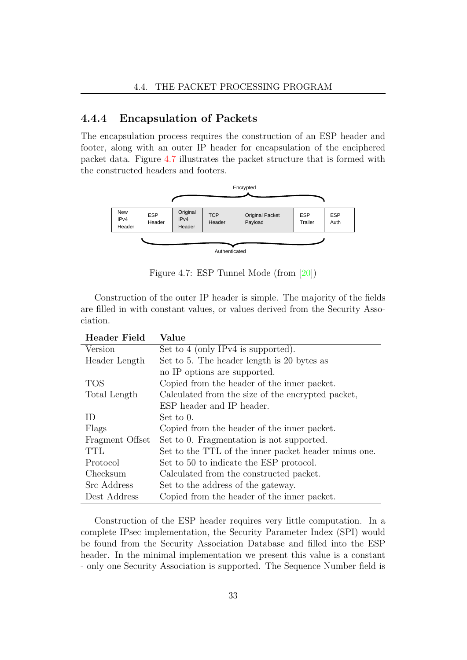### 4.4.4 Encapsulation of Packets

The encapsulation process requires the construction of an ESP header and footer, along with an outer IP header for encapsulation of the enciphered packet data. Figure [4.7](#page-40-0) illustrates the packet structure that is formed with the constructed headers and footers.



<span id="page-40-0"></span>Figure 4.7: ESP Tunnel Mode (from [\[20\]](#page-102-5))

Construction of the outer IP header is simple. The majority of the fields are filled in with constant values, or values derived from the Security Association.

| <b>Header Field</b> | Value                                                |  |  |
|---------------------|------------------------------------------------------|--|--|
| Version             | Set to 4 (only IPv4 is supported).                   |  |  |
| Header Length       | Set to 5. The header length is 20 bytes as           |  |  |
|                     | no IP options are supported.                         |  |  |
| TOS                 | Copied from the header of the inner packet.          |  |  |
| Total Length        | Calculated from the size of the encrypted packet,    |  |  |
|                     | ESP header and IP header.                            |  |  |
| ID                  | Set to 0.                                            |  |  |
| Flags               | Copied from the header of the inner packet.          |  |  |
| Fragment Offset     | Set to 0. Fragmentation is not supported.            |  |  |
| TTL                 | Set to the TTL of the inner packet header minus one. |  |  |
| Protocol            | Set to 50 to indicate the ESP protocol.              |  |  |
| Checksum            | Calculated from the constructed packet.              |  |  |
| Src Address         | Set to the address of the gateway.                   |  |  |
| Dest Address        | Copied from the header of the inner packet.          |  |  |

Construction of the ESP header requires very little computation. In a complete IPsec implementation, the Security Parameter Index (SPI) would be found from the Security Association Database and filled into the ESP header. In the minimal implementation we present this value is a constant - only one Security Association is supported. The Sequence Number field is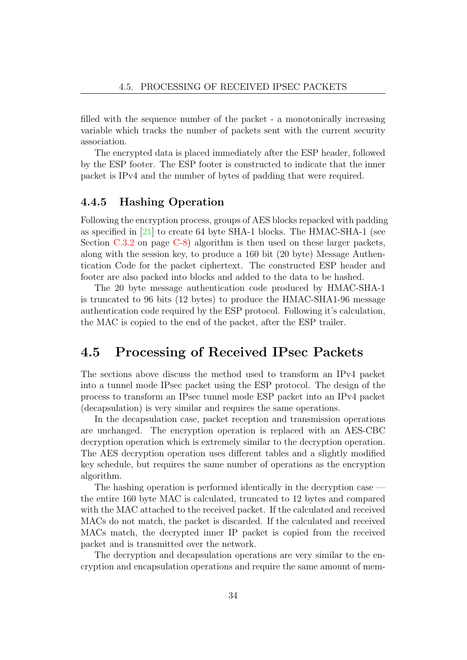filled with the sequence number of the packet - a monotonically increasing variable which tracks the number of packets sent with the current security association.

The encrypted data is placed immediately after the ESP header, followed by the ESP footer. The ESP footer is constructed to indicate that the inner packet is IPv4 and the number of bytes of padding that were required.

### 4.4.5 Hashing Operation

Following the encryption process, groups of AES blocks repacked with padding as specified in  $[21]$  to create 64 byte SHA-1 blocks. The HMAC-SHA-1 (see Section [C.3.2](#page-84-0) on page [C-8\)](#page-84-0) algorithm is then used on these larger packets, along with the session key, to produce a 160 bit (20 byte) Message Authentication Code for the packet ciphertext. The constructed ESP header and footer are also packed into blocks and added to the data to be hashed.

The 20 byte message authentication code produced by HMAC-SHA-1 is truncated to 96 bits (12 bytes) to produce the HMAC-SHA1-96 message authentication code required by the ESP protocol. Following it's calculation, the MAC is copied to the end of the packet, after the ESP trailer.

## 4.5 Processing of Received IPsec Packets

The sections above discuss the method used to transform an IPv4 packet into a tunnel mode IPsec packet using the ESP protocol. The design of the process to transform an IPsec tunnel mode ESP packet into an IPv4 packet (decapsulation) is very similar and requires the same operations.

In the decapsulation case, packet reception and transmission operations are unchanged. The encryption operation is replaced with an AES-CBC decryption operation which is extremely similar to the decryption operation. The AES decryption operation uses different tables and a slightly modified key schedule, but requires the same number of operations as the encryption algorithm.

The hashing operation is performed identically in the decryption case the entire 160 byte MAC is calculated, truncated to 12 bytes and compared with the MAC attached to the received packet. If the calculated and received MACs do not match, the packet is discarded. If the calculated and received MACs match, the decrypted inner IP packet is copied from the received packet and is transmitted over the network.

The decryption and decapsulation operations are very similar to the encryption and encapsulation operations and require the same amount of mem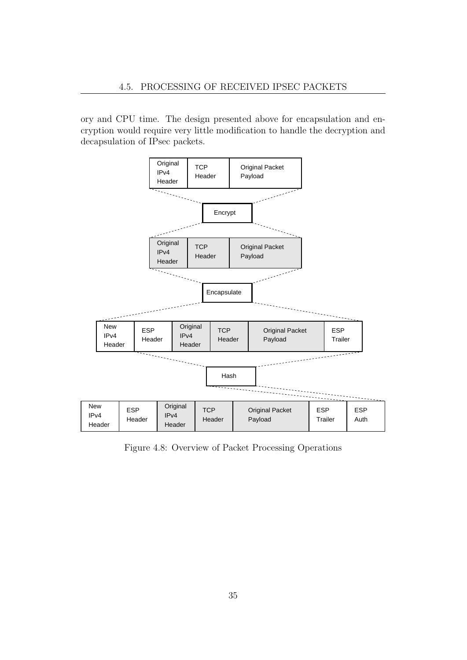ory and CPU time. The design presented above for encapsulation and encryption would require very little modification to handle the decryption and decapsulation of IPsec packets.



Figure 4.8: Overview of Packet Processing Operations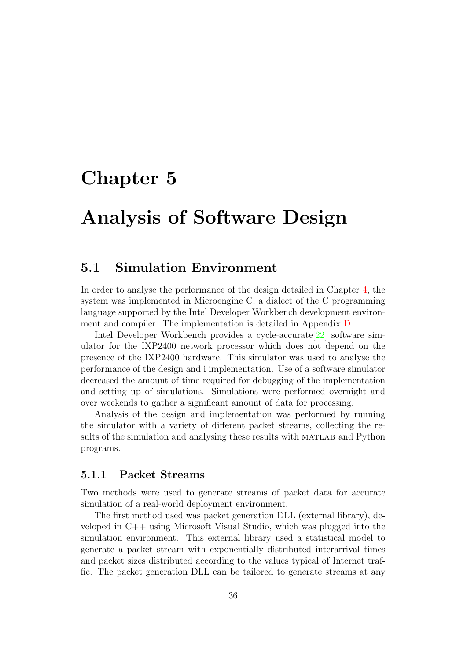# Chapter 5

# Analysis of Software Design

## 5.1 Simulation Environment

In order to analyse the performance of the design detailed in Chapter [4,](#page-32-0) the system was implemented in Microengine C, a dialect of the C programming language supported by the Intel Developer Workbench development environment and compiler. The implementation is detailed in Appendix [D.](#page-94-0)

Intel Developer Workbench provides a cycle-accurate<sup>[\[22\]](#page-102-7)</sup> software simulator for the IXP2400 network processor which does not depend on the presence of the IXP2400 hardware. This simulator was used to analyse the performance of the design and i implementation. Use of a software simulator decreased the amount of time required for debugging of the implementation and setting up of simulations. Simulations were performed overnight and over weekends to gather a significant amount of data for processing.

Analysis of the design and implementation was performed by running the simulator with a variety of different packet streams, collecting the results of the simulation and analysing these results with MATLAB and Python programs.

#### 5.1.1 Packet Streams

Two methods were used to generate streams of packet data for accurate simulation of a real-world deployment environment.

The first method used was packet generation DLL (external library), developed in C++ using Microsoft Visual Studio, which was plugged into the simulation environment. This external library used a statistical model to generate a packet stream with exponentially distributed interarrival times and packet sizes distributed according to the values typical of Internet traffic. The packet generation DLL can be tailored to generate streams at any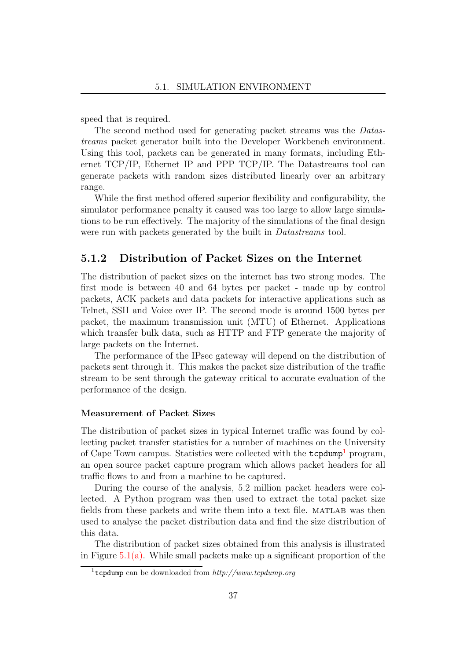speed that is required.

The second method used for generating packet streams was the Datastreams packet generator built into the Developer Workbench environment. Using this tool, packets can be generated in many formats, including Ethernet TCP/IP, Ethernet IP and PPP TCP/IP. The Datastreams tool can generate packets with random sizes distributed linearly over an arbitrary range.

While the first method offered superior flexibility and configurability, the simulator performance penalty it caused was too large to allow large simulations to be run effectively. The majority of the simulations of the final design were run with packets generated by the built in *Datastreams* tool.

### <span id="page-44-1"></span>5.1.2 Distribution of Packet Sizes on the Internet

The distribution of packet sizes on the internet has two strong modes. The first mode is between 40 and 64 bytes per packet - made up by control packets, ACK packets and data packets for interactive applications such as Telnet, SSH and Voice over IP. The second mode is around 1500 bytes per packet, the maximum transmission unit (MTU) of Ethernet. Applications which transfer bulk data, such as HTTP and FTP generate the majority of large packets on the Internet.

The performance of the IPsec gateway will depend on the distribution of packets sent through it. This makes the packet size distribution of the traffic stream to be sent through the gateway critical to accurate evaluation of the performance of the design.

#### Measurement of Packet Sizes

The distribution of packet sizes in typical Internet traffic was found by collecting packet transfer statistics for a number of machines on the University of Cape Town campus. Statistics were collected with the tcpdump<sup>[1](#page-44-0)</sup> program, an open source packet capture program which allows packet headers for all traffic flows to and from a machine to be captured.

During the course of the analysis, 5.2 million packet headers were collected. A Python program was then used to extract the total packet size fields from these packets and write them into a text file. MATLAB was then used to analyse the packet distribution data and find the size distribution of this data.

The distribution of packet sizes obtained from this analysis is illustrated in Figure  $5.1(a)$ . While small packets make up a significant proportion of the

<span id="page-44-0"></span><sup>&</sup>lt;sup>1</sup>tcpdump can be downloaded from  $http://www.tcpdump.org$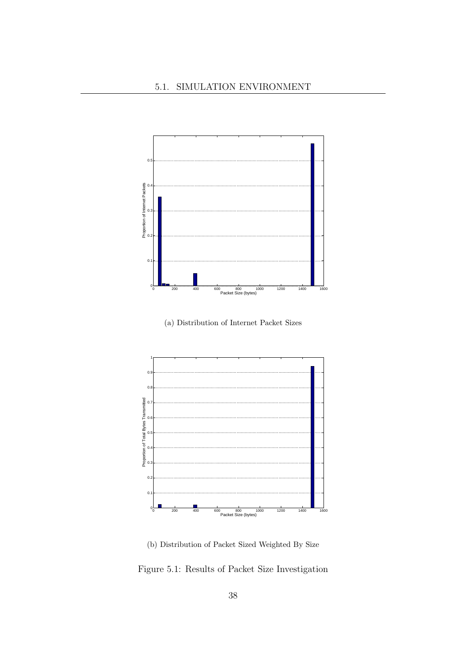<span id="page-45-0"></span>

(a) Distribution of Internet Packet Sizes

<span id="page-45-1"></span>

(b) Distribution of Packet Sized Weighted By Size

Figure 5.1: Results of Packet Size Investigation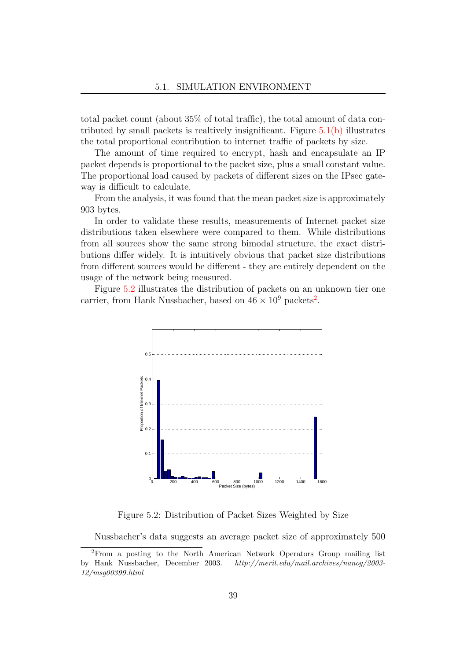total packet count (about 35% of total traffic), the total amount of data contributed by small packets is realtively insignificant. Figure  $5.1(b)$  illustrates the total proportional contribution to internet traffic of packets by size.

The amount of time required to encrypt, hash and encapsulate an IP packet depends is proportional to the packet size, plus a small constant value. The proportional load caused by packets of different sizes on the IPsec gateway is difficult to calculate.

From the analysis, it was found that the mean packet size is approximately 903 bytes.

In order to validate these results, measurements of Internet packet size distributions taken elsewhere were compared to them. While distributions from all sources show the same strong bimodal structure, the exact distributions differ widely. It is intuitively obvious that packet size distributions from different sources would be different - they are entirely dependent on the usage of the network being measured.

Figure [5.2](#page-46-0) illustrates the distribution of packets on an unknown tier one carrier, from Hank Nussbacher, based on  $46 \times 10^9$  packets<sup>[2](#page-46-1)</sup>.



<span id="page-46-0"></span>Figure 5.2: Distribution of Packet Sizes Weighted by Size

<span id="page-46-1"></span>Nussbacher's data suggests an average packet size of approximately 500

<sup>2</sup>From a posting to the North American Network Operators Group mailing list by Hank Nussbacher, December 2003. http://merit.edu/mail.archives/nanog/2003- 12/msg00399.html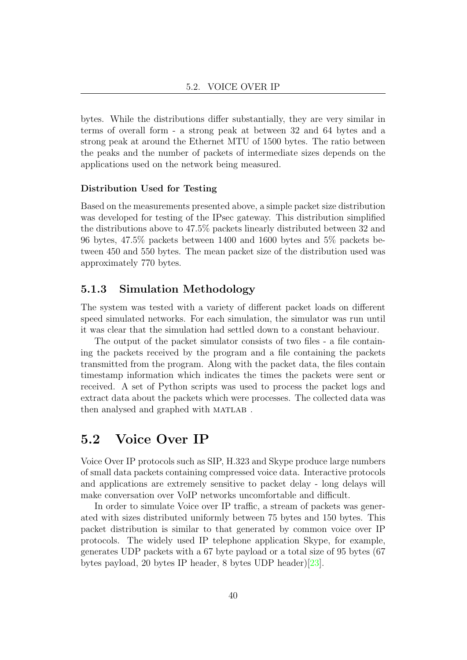bytes. While the distributions differ substantially, they are very similar in terms of overall form - a strong peak at between 32 and 64 bytes and a strong peak at around the Ethernet MTU of 1500 bytes. The ratio between the peaks and the number of packets of intermediate sizes depends on the applications used on the network being measured.

#### Distribution Used for Testing

Based on the measurements presented above, a simple packet size distribution was developed for testing of the IPsec gateway. This distribution simplified the distributions above to 47.5% packets linearly distributed between 32 and 96 bytes, 47.5% packets between 1400 and 1600 bytes and 5% packets between 450 and 550 bytes. The mean packet size of the distribution used was approximately 770 bytes.

### 5.1.3 Simulation Methodology

The system was tested with a variety of different packet loads on different speed simulated networks. For each simulation, the simulator was run until it was clear that the simulation had settled down to a constant behaviour.

The output of the packet simulator consists of two files - a file containing the packets received by the program and a file containing the packets transmitted from the program. Along with the packet data, the files contain timestamp information which indicates the times the packets were sent or received. A set of Python scripts was used to process the packet logs and extract data about the packets which were processes. The collected data was then analysed and graphed with MATLAB.

# 5.2 Voice Over IP

Voice Over IP protocols such as SIP, H.323 and Skype produce large numbers of small data packets containing compressed voice data. Interactive protocols and applications are extremely sensitive to packet delay - long delays will make conversation over VoIP networks uncomfortable and difficult.

In order to simulate Voice over IP traffic, a stream of packets was generated with sizes distributed uniformly between 75 bytes and 150 bytes. This packet distribution is similar to that generated by common voice over IP protocols. The widely used IP telephone application Skype, for example, generates UDP packets with a 67 byte payload or a total size of 95 bytes (67 bytes payload, 20 bytes IP header, 8 bytes UDP header)[\[23\]](#page-102-8).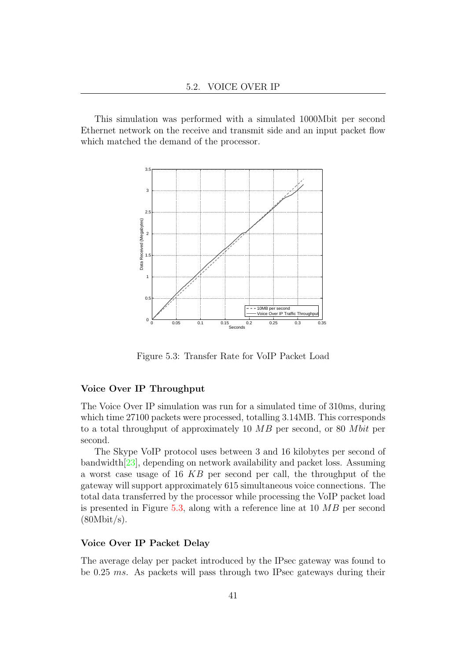This simulation was performed with a simulated 1000Mbit per second Ethernet network on the receive and transmit side and an input packet flow which matched the demand of the processor.



<span id="page-48-0"></span>Figure 5.3: Transfer Rate for VoIP Packet Load

#### Voice Over IP Throughput

The Voice Over IP simulation was run for a simulated time of 310ms, during which time 27100 packets were processed, totalling 3.14MB. This corresponds to a total throughput of approximately 10  $MB$  per second, or 80  $Mbit$  per second.

The Skype VoIP protocol uses between 3 and 16 kilobytes per second of bandwidth[\[23\]](#page-102-8), depending on network availability and packet loss. Assuming a worst case usage of 16 KB per second per call, the throughput of the gateway will support approximately 615 simultaneous voice connections. The total data transferred by the processor while processing the VoIP packet load is presented in Figure [5.3,](#page-48-0) along with a reference line at 10 MB per second  $(80Mbit/s).$ 

#### Voice Over IP Packet Delay

The average delay per packet introduced by the IPsec gateway was found to be 0.25 ms. As packets will pass through two IPsec gateways during their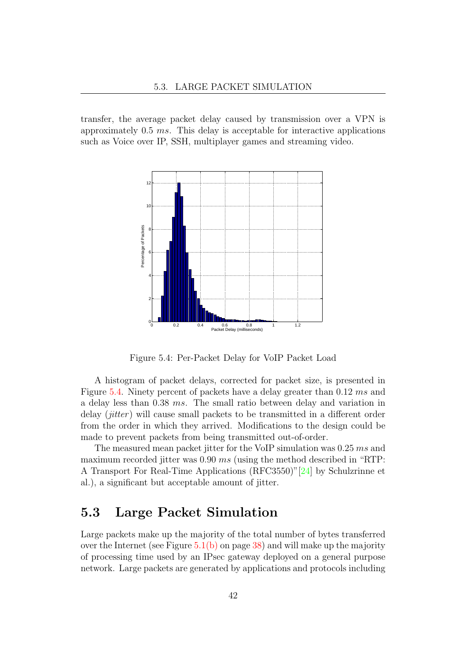transfer, the average packet delay caused by transmission over a VPN is approximately 0.5 ms. This delay is acceptable for interactive applications such as Voice over IP, SSH, multiplayer games and streaming video.



<span id="page-49-0"></span>Figure 5.4: Per-Packet Delay for VoIP Packet Load

A histogram of packet delays, corrected for packet size, is presented in Figure [5.4.](#page-49-0) Ninety percent of packets have a delay greater than 0.12 ms and a delay less than 0.38 ms. The small ratio between delay and variation in delay  $(jitter)$  will cause small packets to be transmitted in a different order from the order in which they arrived. Modifications to the design could be made to prevent packets from being transmitted out-of-order.

The measured mean packet jitter for the VoIP simulation was 0.25 ms and maximum recorded jitter was 0.90 ms (using the method described in "RTP: A Transport For Real-Time Applications (RFC3550)"[\[24\]](#page-102-9) by Schulzrinne et al.), a significant but acceptable amount of jitter.

# 5.3 Large Packet Simulation

Large packets make up the majority of the total number of bytes transferred over the Internet (see Figure  $5.1(b)$  on page [38\)](#page-45-1) and will make up the majority of processing time used by an IPsec gateway deployed on a general purpose network. Large packets are generated by applications and protocols including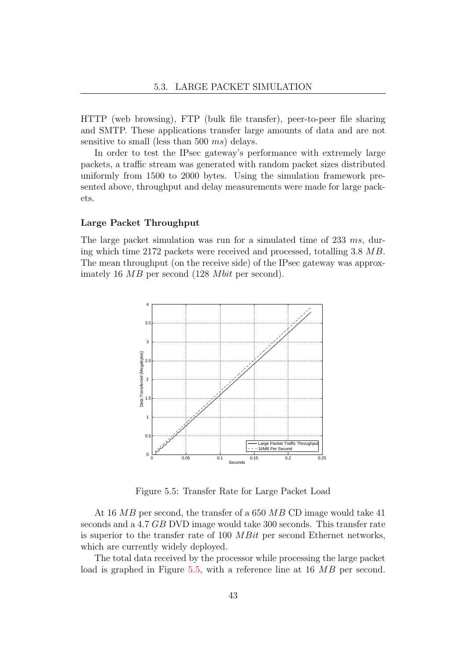HTTP (web browsing), FTP (bulk file transfer), peer-to-peer file sharing and SMTP. These applications transfer large amounts of data and are not sensitive to small (less than 500 ms) delays.

In order to test the IPsec gateway's performance with extremely large packets, a traffic stream was generated with random packet sizes distributed uniformly from 1500 to 2000 bytes. Using the simulation framework presented above, throughput and delay measurements were made for large packets.

#### Large Packet Throughput

The large packet simulation was run for a simulated time of 233 ms, during which time 2172 packets were received and processed, totalling 3.8 MB. The mean throughput (on the receive side) of the IPsec gateway was approximately 16  $MB$  per second (128 *Mbit* per second).



<span id="page-50-0"></span>Figure 5.5: Transfer Rate for Large Packet Load

At 16 MB per second, the transfer of a 650 MB CD image would take 41 seconds and a 4.7 GB DVD image would take 300 seconds. This transfer rate is superior to the transfer rate of 100 MBit per second Ethernet networks, which are currently widely deployed.

The total data received by the processor while processing the large packet load is graphed in Figure [5.5,](#page-50-0) with a reference line at 16 MB per second.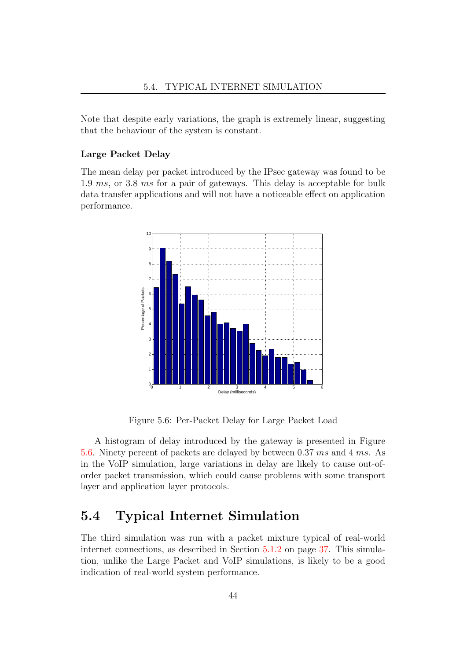Note that despite early variations, the graph is extremely linear, suggesting that the behaviour of the system is constant.

#### Large Packet Delay

The mean delay per packet introduced by the IPsec gateway was found to be 1.9 ms, or 3.8 ms for a pair of gateways. This delay is acceptable for bulk data transfer applications and will not have a noticeable effect on application performance.



<span id="page-51-0"></span>Figure 5.6: Per-Packet Delay for Large Packet Load

A histogram of delay introduced by the gateway is presented in Figure [5.6.](#page-51-0) Ninety percent of packets are delayed by between 0.37 ms and 4 ms. As in the VoIP simulation, large variations in delay are likely to cause out-oforder packet transmission, which could cause problems with some transport layer and application layer protocols.

# 5.4 Typical Internet Simulation

The third simulation was run with a packet mixture typical of real-world internet connections, as described in Section [5.1.2](#page-44-1) on page [37.](#page-44-1) This simulation, unlike the Large Packet and VoIP simulations, is likely to be a good indication of real-world system performance.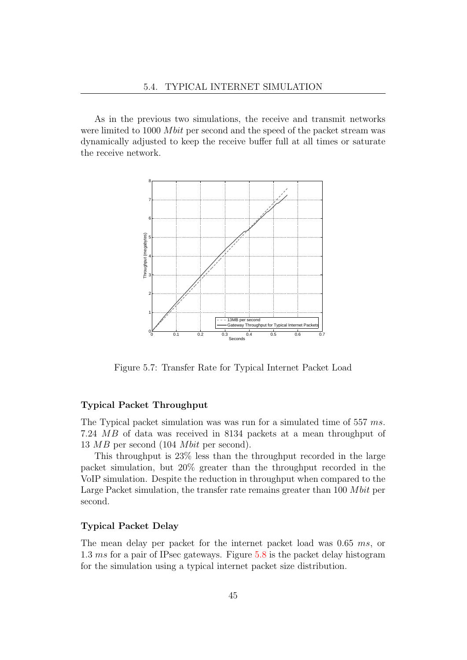As in the previous two simulations, the receive and transmit networks were limited to 1000 *Mbit* per second and the speed of the packet stream was dynamically adjusted to keep the receive buffer full at all times or saturate the receive network.



Figure 5.7: Transfer Rate for Typical Internet Packet Load

#### Typical Packet Throughput

The Typical packet simulation was was run for a simulated time of 557 ms. 7.24 MB of data was received in 8134 packets at a mean throughput of 13  $MB$  per second (104 *Mbit* per second).

This throughput is 23% less than the throughput recorded in the large packet simulation, but 20% greater than the throughput recorded in the VoIP simulation. Despite the reduction in throughput when compared to the Large Packet simulation, the transfer rate remains greater than  $100$  Mbit per second.

#### Typical Packet Delay

The mean delay per packet for the internet packet load was 0.65 ms, or 1.3 ms for a pair of IPsec gateways. Figure [5.8](#page-53-0) is the packet delay histogram for the simulation using a typical internet packet size distribution.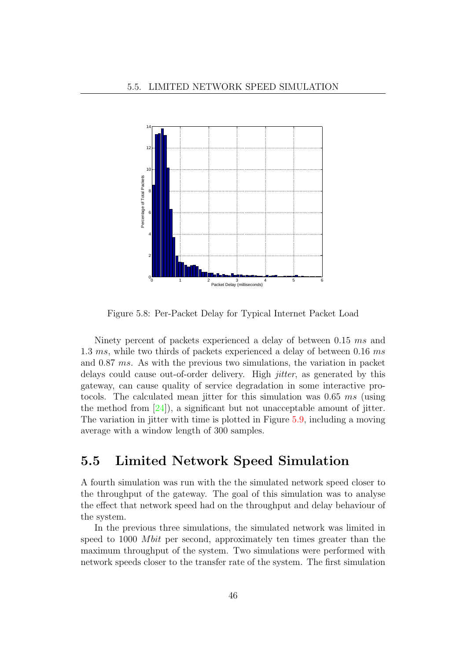

<span id="page-53-0"></span>Figure 5.8: Per-Packet Delay for Typical Internet Packet Load

Ninety percent of packets experienced a delay of between 0.15 ms and 1.3 ms, while two thirds of packets experienced a delay of between 0.16 ms and 0.87 ms. As with the previous two simulations, the variation in packet delays could cause out-of-order delivery. High *jitter*, as generated by this gateway, can cause quality of service degradation in some interactive protocols. The calculated mean jitter for this simulation was 0.65 ms (using the method from [\[24\]](#page-102-9)), a significant but not unacceptable amount of jitter. The variation in jitter with time is plotted in Figure [5.9,](#page-54-0) including a moving average with a window length of 300 samples.

## 5.5 Limited Network Speed Simulation

A fourth simulation was run with the the simulated network speed closer to the throughput of the gateway. The goal of this simulation was to analyse the effect that network speed had on the throughput and delay behaviour of the system.

In the previous three simulations, the simulated network was limited in speed to 1000 *Mbit* per second, approximately ten times greater than the maximum throughput of the system. Two simulations were performed with network speeds closer to the transfer rate of the system. The first simulation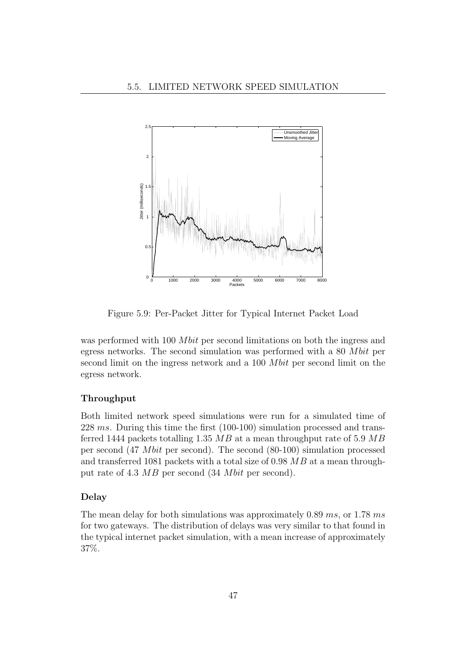

<span id="page-54-0"></span>Figure 5.9: Per-Packet Jitter for Typical Internet Packet Load

was performed with 100 *Mbit* per second limitations on both the ingress and egress networks. The second simulation was performed with a 80 M bit per second limit on the ingress network and a 100 *Mbit* per second limit on the egress network.

#### Throughput

Both limited network speed simulations were run for a simulated time of 228 ms. During this time the first (100-100) simulation processed and transferred 1444 packets totalling 1.35  $MB$  at a mean throughput rate of 5.9  $MB$ per second  $(47 \; Mbit \; per \; second)$ . The second  $(80-100)$  simulation processed and transferred 1081 packets with a total size of 0.98  $MB$  at a mean throughput rate of 4.3  $MB$  per second (34 *Mbit* per second).

#### Delay

The mean delay for both simulations was approximately 0.89 ms, or 1.78 ms for two gateways. The distribution of delays was very similar to that found in the typical internet packet simulation, with a mean increase of approximately 37%.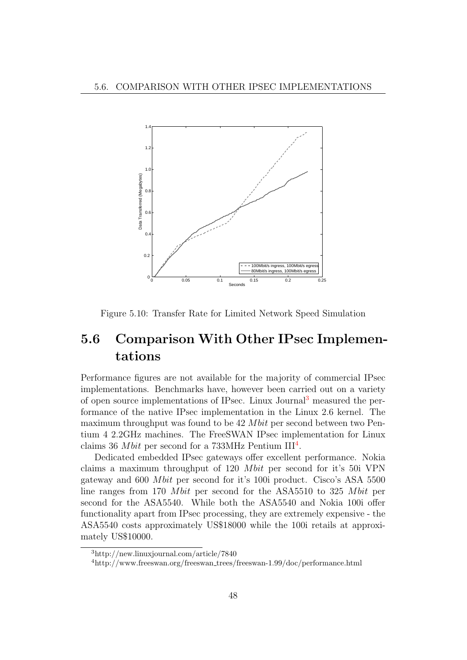

Figure 5.10: Transfer Rate for Limited Network Speed Simulation

# 5.6 Comparison With Other IPsec Implementations

Performance figures are not available for the majority of commercial IPsec implementations. Benchmarks have, however been carried out on a variety of open source implementations of IPsec. Linux Journal[3](#page-55-0) measured the performance of the native IPsec implementation in the Linux 2.6 kernel. The maximum throughput was found to be  $42 M bit$  per second between two Pentium 4 2.2GHz machines. The FreeSWAN IPsec implementation for Linux claims 36 *Mbit* per second for a 733MHz Pentium  $III<sup>4</sup>$  $III<sup>4</sup>$  $III<sup>4</sup>$ .

Dedicated embedded IPsec gateways offer excellent performance. Nokia claims a maximum throughput of  $120$  *Mbit* per second for it's  $50i$  VPN gateway and  $600$  *Mbit* per second for it's 100i product. Cisco's ASA 5500 line ranges from 170 M bit per second for the ASA5510 to 325 M bit per second for the ASA5540. While both the ASA5540 and Nokia 100i offer functionality apart from IPsec processing, they are extremely expensive - the ASA5540 costs approximately US\$18000 while the 100i retails at approximately US\$10000.

<span id="page-55-0"></span><sup>3</sup>http://new.linuxjournal.com/article/7840

<span id="page-55-1"></span><sup>4</sup>http://www.freeswan.org/freeswan trees/freeswan-1.99/doc/performance.html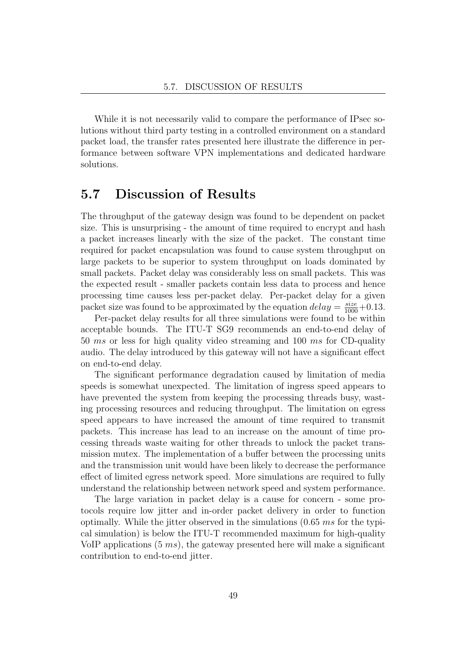While it is not necessarily valid to compare the performance of IPsec solutions without third party testing in a controlled environment on a standard packet load, the transfer rates presented here illustrate the difference in performance between software VPN implementations and dedicated hardware solutions.

## 5.7 Discussion of Results

The throughput of the gateway design was found to be dependent on packet size. This is unsurprising - the amount of time required to encrypt and hash a packet increases linearly with the size of the packet. The constant time required for packet encapsulation was found to cause system throughput on large packets to be superior to system throughput on loads dominated by small packets. Packet delay was considerably less on small packets. This was the expected result - smaller packets contain less data to process and hence processing time causes less per-packet delay. Per-packet delay for a given packet size was found to be approximated by the equation  $delay = \frac{size}{1000} + 0.13$ .

Per-packet delay results for all three simulations were found to be within acceptable bounds. The ITU-T SG9 recommends an end-to-end delay of 50 ms or less for high quality video streaming and 100 ms for CD-quality audio. The delay introduced by this gateway will not have a significant effect on end-to-end delay.

The significant performance degradation caused by limitation of media speeds is somewhat unexpected. The limitation of ingress speed appears to have prevented the system from keeping the processing threads busy, wasting processing resources and reducing throughput. The limitation on egress speed appears to have increased the amount of time required to transmit packets. This increase has lead to an increase on the amount of time processing threads waste waiting for other threads to unlock the packet transmission mutex. The implementation of a buffer between the processing units and the transmission unit would have been likely to decrease the performance effect of limited egress network speed. More simulations are required to fully understand the relationship between network speed and system performance.

The large variation in packet delay is a cause for concern - some protocols require low jitter and in-order packet delivery in order to function optimally. While the jitter observed in the simulations  $(0.65 \, ms \, \text{for the typi-}$ cal simulation) is below the ITU-T recommended maximum for high-quality VoIP applications  $(5 \text{ ms})$ , the gateway presented here will make a significant contribution to end-to-end jitter.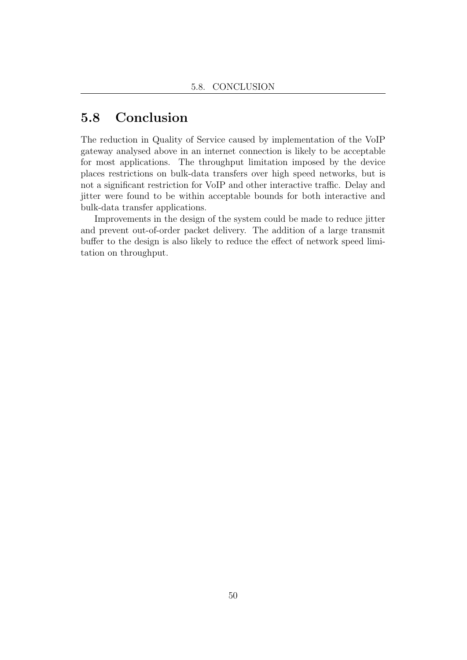# 5.8 Conclusion

The reduction in Quality of Service caused by implementation of the VoIP gateway analysed above in an internet connection is likely to be acceptable for most applications. The throughput limitation imposed by the device places restrictions on bulk-data transfers over high speed networks, but is not a significant restriction for VoIP and other interactive traffic. Delay and jitter were found to be within acceptable bounds for both interactive and bulk-data transfer applications.

Improvements in the design of the system could be made to reduce jitter and prevent out-of-order packet delivery. The addition of a large transmit buffer to the design is also likely to reduce the effect of network speed limitation on throughput.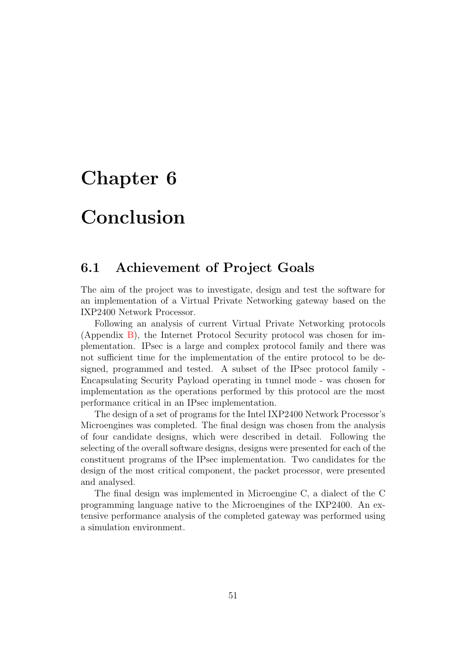# Chapter 6

# Conclusion

# 6.1 Achievement of Project Goals

The aim of the project was to investigate, design and test the software for an implementation of a Virtual Private Networking gateway based on the IXP2400 Network Processor.

Following an analysis of current Virtual Private Networking protocols (Appendix [B\)](#page-69-0), the Internet Protocol Security protocol was chosen for implementation. IPsec is a large and complex protocol family and there was not sufficient time for the implementation of the entire protocol to be designed, programmed and tested. A subset of the IPsec protocol family - Encapsulating Security Payload operating in tunnel mode - was chosen for implementation as the operations performed by this protocol are the most performance critical in an IPsec implementation.

The design of a set of programs for the Intel IXP2400 Network Processor's Microengines was completed. The final design was chosen from the analysis of four candidate designs, which were described in detail. Following the selecting of the overall software designs, designs were presented for each of the constituent programs of the IPsec implementation. Two candidates for the design of the most critical component, the packet processor, were presented and analysed.

The final design was implemented in Microengine C, a dialect of the C programming language native to the Microengines of the IXP2400. An extensive performance analysis of the completed gateway was performed using a simulation environment.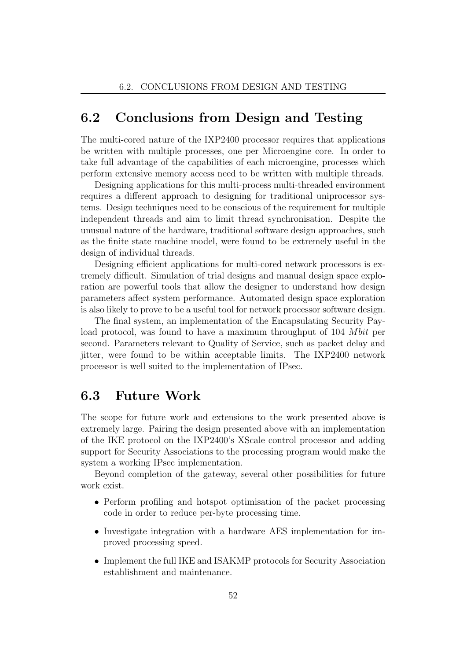## 6.2 Conclusions from Design and Testing

The multi-cored nature of the IXP2400 processor requires that applications be written with multiple processes, one per Microengine core. In order to take full advantage of the capabilities of each microengine, processes which perform extensive memory access need to be written with multiple threads.

Designing applications for this multi-process multi-threaded environment requires a different approach to designing for traditional uniprocessor systems. Design techniques need to be conscious of the requirement for multiple independent threads and aim to limit thread synchronisation. Despite the unusual nature of the hardware, traditional software design approaches, such as the finite state machine model, were found to be extremely useful in the design of individual threads.

Designing efficient applications for multi-cored network processors is extremely difficult. Simulation of trial designs and manual design space exploration are powerful tools that allow the designer to understand how design parameters affect system performance. Automated design space exploration is also likely to prove to be a useful tool for network processor software design.

The final system, an implementation of the Encapsulating Security Payload protocol, was found to have a maximum throughput of 104 M bit per second. Parameters relevant to Quality of Service, such as packet delay and jitter, were found to be within acceptable limits. The IXP2400 network processor is well suited to the implementation of IPsec.

# 6.3 Future Work

The scope for future work and extensions to the work presented above is extremely large. Pairing the design presented above with an implementation of the IKE protocol on the IXP2400's XScale control processor and adding support for Security Associations to the processing program would make the system a working IPsec implementation.

Beyond completion of the gateway, several other possibilities for future work exist.

- Perform profiling and hotspot optimisation of the packet processing code in order to reduce per-byte processing time.
- Investigate integration with a hardware AES implementation for improved processing speed.
- Implement the full IKE and ISAKMP protocols for Security Association establishment and maintenance.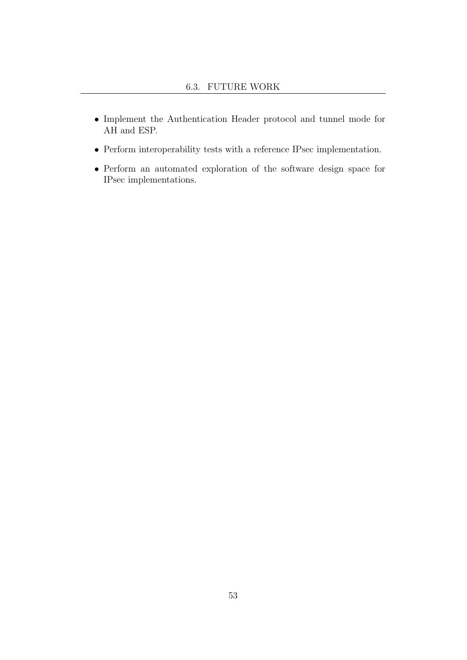- Implement the Authentication Header protocol and tunnel mode for AH and ESP.
- Perform interoperability tests with a reference IPsec implementation.
- Perform an automated exploration of the software design space for IPsec implementations.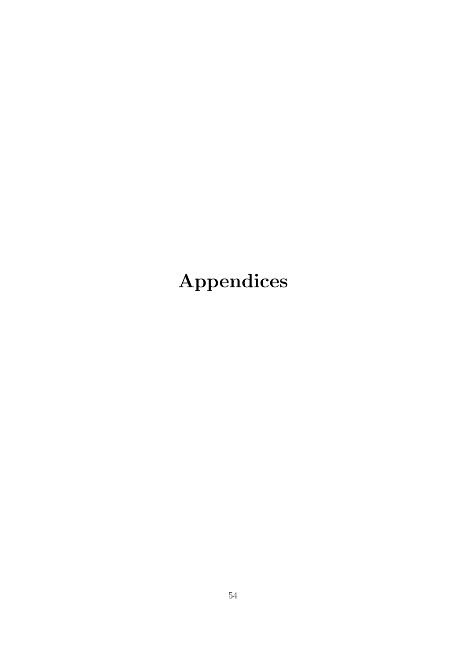# Appendices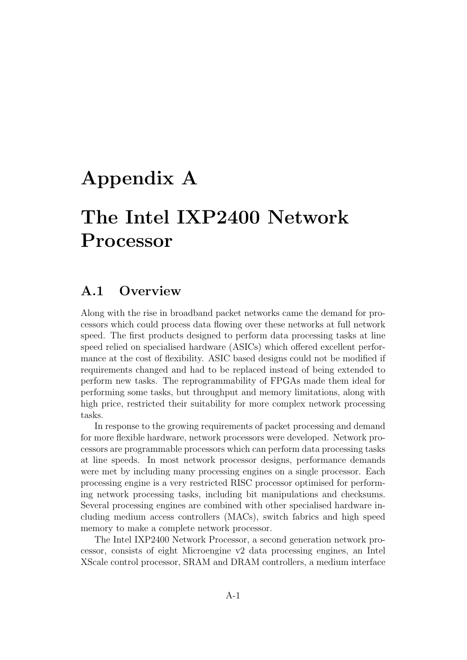# Appendix A

# The Intel IXP2400 Network Processor

## A.1 Overview

Along with the rise in broadband packet networks came the demand for processors which could process data flowing over these networks at full network speed. The first products designed to perform data processing tasks at line speed relied on specialised hardware (ASICs) which offered excellent performance at the cost of flexibility. ASIC based designs could not be modified if requirements changed and had to be replaced instead of being extended to perform new tasks. The reprogrammability of FPGAs made them ideal for performing some tasks, but throughput and memory limitations, along with high price, restricted their suitability for more complex network processing tasks.

In response to the growing requirements of packet processing and demand for more flexible hardware, network processors were developed. Network processors are programmable processors which can perform data processing tasks at line speeds. In most network processor designs, performance demands were met by including many processing engines on a single processor. Each processing engine is a very restricted RISC processor optimised for performing network processing tasks, including bit manipulations and checksums. Several processing engines are combined with other specialised hardware including medium access controllers (MACs), switch fabrics and high speed memory to make a complete network processor.

The Intel IXP2400 Network Processor, a second generation network processor, consists of eight Microengine v2 data processing engines, an Intel XScale control processor, SRAM and DRAM controllers, a medium interface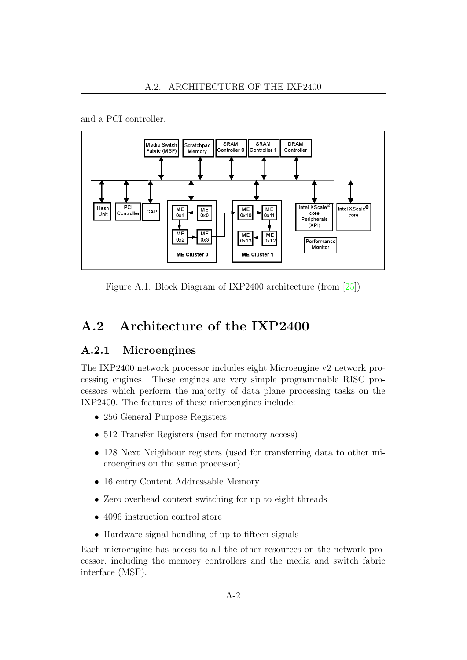

and a PCI controller.

Figure A.1: Block Diagram of IXP2400 architecture (from [\[25\]](#page-102-10))

# A.2 Architecture of the IXP2400

### A.2.1 Microengines

The IXP2400 network processor includes eight Microengine v2 network processing engines. These engines are very simple programmable RISC processors which perform the majority of data plane processing tasks on the IXP2400. The features of these microengines include:

- 256 General Purpose Registers
- 512 Transfer Registers (used for memory access)
- 128 Next Neighbour registers (used for transferring data to other microengines on the same processor)
- 16 entry Content Addressable Memory
- Zero overhead context switching for up to eight threads
- 4096 instruction control store
- Hardware signal handling of up to fifteen signals

Each microengine has access to all the other resources on the network processor, including the memory controllers and the media and switch fabric interface (MSF).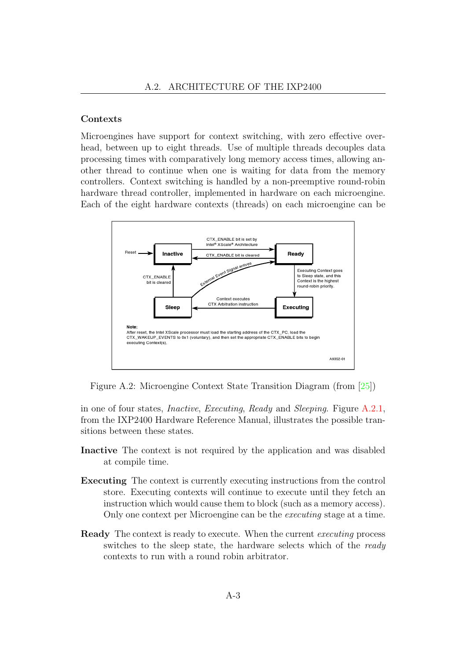#### Contexts

<span id="page-64-0"></span>Microengines have support for context switching, with zero effective overhead, between up to eight threads. Use of multiple threads decouples data processing times with comparatively long memory access times, allowing another thread to continue when one is waiting for data from the memory controllers. Context switching is handled by a non-preemptive round-robin hardware thread controller, implemented in hardware on each microengine. Each of the eight hardware contexts (threads) on each microengine can be



Figure A.2: Microengine Context State Transition Diagram (from [\[25\]](#page-102-10))

in one of four states, Inactive, Executing, Ready and Sleeping. Figure [A.2.1,](#page-64-0) from the IXP2400 Hardware Reference Manual, illustrates the possible transitions between these states.

- Inactive The context is not required by the application and was disabled at compile time.
- Executing The context is currently executing instructions from the control store. Executing contexts will continue to execute until they fetch an instruction which would cause them to block (such as a memory access). Only one context per Microengine can be the executing stage at a time.
- Ready The context is ready to execute. When the current executing process switches to the sleep state, the hardware selects which of the ready contexts to run with a round robin arbitrator.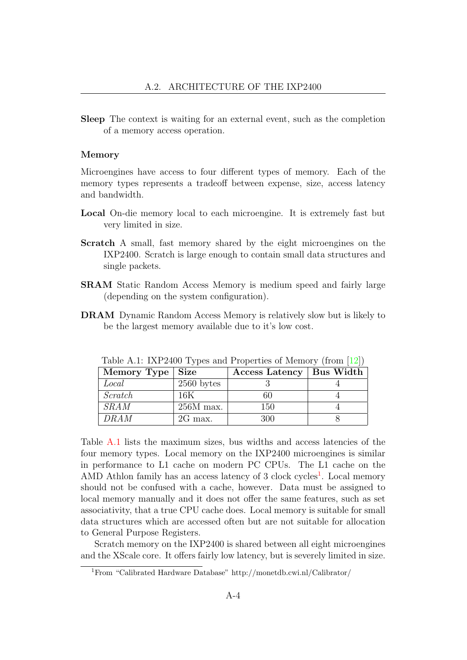Sleep The context is waiting for an external event, such as the completion of a memory access operation.

#### Memory

Microengines have access to four different types of memory. Each of the memory types represents a tradeoff between expense, size, access latency and bandwidth.

- Local On-die memory local to each microengine. It is extremely fast but very limited in size.
- Scratch A small, fast memory shared by the eight microengines on the IXP2400. Scratch is large enough to contain small data structures and single packets.
- SRAM Static Random Access Memory is medium speed and fairly large (depending on the system configuration).
- DRAM Dynamic Random Access Memory is relatively slow but is likely to be the largest memory available due to it's low cost.

| $1000 \pm 11.1$ . IAI 2700 T ypus and I roperates of memory (from [12]) |              |                            |  |  |
|-------------------------------------------------------------------------|--------------|----------------------------|--|--|
| Memory Type                                                             | <b>Size</b>  | Access Latency   Bus Width |  |  |
| Local                                                                   | $2560$ bytes |                            |  |  |
| Scratch                                                                 | 16K          | 60                         |  |  |
| SRAM                                                                    | $256M$ max.  | 150                        |  |  |
| DRAM                                                                    | $2G$ max.    | 300                        |  |  |

<span id="page-65-0"></span>Table A.1: IXP2400 Types and Properties of Memory (from [19])

Table [A.1](#page-65-0) lists the maximum sizes, bus widths and access latencies of the four memory types. Local memory on the IXP2400 microengines is similar in performance to L1 cache on modern PC CPUs. The L1 cache on the AMD Athlon family has an access latency of 3 clock cycles<sup>[1](#page-65-1)</sup>. Local memory should not be confused with a cache, however. Data must be assigned to local memory manually and it does not offer the same features, such as set associativity, that a true CPU cache does. Local memory is suitable for small data structures which are accessed often but are not suitable for allocation to General Purpose Registers.

Scratch memory on the IXP2400 is shared between all eight microengines and the XScale core. It offers fairly low latency, but is severely limited in size.

<span id="page-65-1"></span><sup>1</sup>From "Calibrated Hardware Database" http://monetdb.cwi.nl/Calibrator/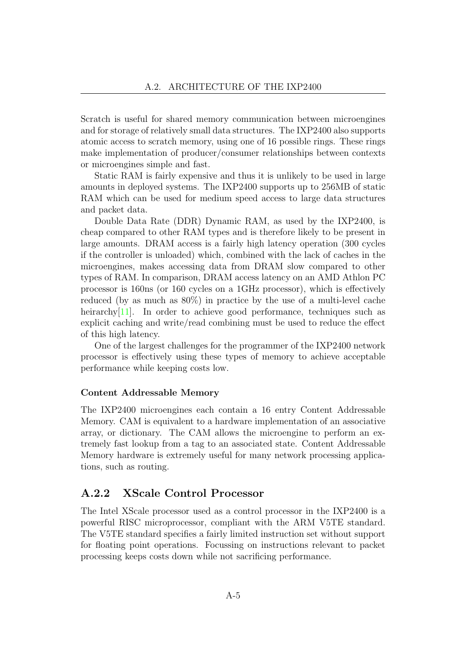Scratch is useful for shared memory communication between microengines and for storage of relatively small data structures. The IXP2400 also supports atomic access to scratch memory, using one of 16 possible rings. These rings make implementation of producer/consumer relationships between contexts or microengines simple and fast.

Static RAM is fairly expensive and thus it is unlikely to be used in large amounts in deployed systems. The IXP2400 supports up to 256MB of static RAM which can be used for medium speed access to large data structures and packet data.

Double Data Rate (DDR) Dynamic RAM, as used by the IXP2400, is cheap compared to other RAM types and is therefore likely to be present in large amounts. DRAM access is a fairly high latency operation (300 cycles if the controller is unloaded) which, combined with the lack of caches in the microengines, makes accessing data from DRAM slow compared to other types of RAM. In comparison, DRAM access latency on an AMD Athlon PC processor is 160ns (or 160 cycles on a 1GHz processor), which is effectively reduced (by as much as 80%) in practice by the use of a multi-level cache heirarchy<sup>[\[11\]](#page-101-0)</sup>. In order to achieve good performance, techniques such as explicit caching and write/read combining must be used to reduce the effect of this high latency.

One of the largest challenges for the programmer of the IXP2400 network processor is effectively using these types of memory to achieve acceptable performance while keeping costs low.

#### Content Addressable Memory

The IXP2400 microengines each contain a 16 entry Content Addressable Memory. CAM is equivalent to a hardware implementation of an associative array, or dictionary. The CAM allows the microengine to perform an extremely fast lookup from a tag to an associated state. Content Addressable Memory hardware is extremely useful for many network processing applications, such as routing.

### A.2.2 XScale Control Processor

The Intel XScale processor used as a control processor in the IXP2400 is a powerful RISC microprocessor, compliant with the ARM V5TE standard. The V5TE standard specifies a fairly limited instruction set without support for floating point operations. Focussing on instructions relevant to packet processing keeps costs down while not sacrificing performance.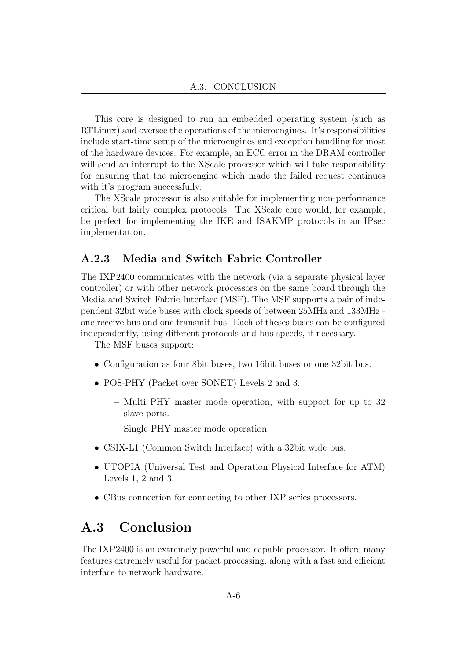This core is designed to run an embedded operating system (such as RTLinux) and oversee the operations of the microengines. It's responsibilities include start-time setup of the microengines and exception handling for most of the hardware devices. For example, an ECC error in the DRAM controller will send an interrupt to the XScale processor which will take responsibility for ensuring that the microengine which made the failed request continues with it's program successfully.

The XScale processor is also suitable for implementing non-performance critical but fairly complex protocols. The XScale core would, for example, be perfect for implementing the IKE and ISAKMP protocols in an IPsec implementation.

### A.2.3 Media and Switch Fabric Controller

The IXP2400 communicates with the network (via a separate physical layer controller) or with other network processors on the same board through the Media and Switch Fabric Interface (MSF). The MSF supports a pair of independent 32bit wide buses with clock speeds of between 25MHz and 133MHz one receive bus and one transmit bus. Each of theses buses can be configured independently, using different protocols and bus speeds, if necessary.

The MSF buses support:

- Configuration as four 8bit buses, two 16bit buses or one 32bit bus.
- POS-PHY (Packet over SONET) Levels 2 and 3.
	- Multi PHY master mode operation, with support for up to 32 slave ports.
	- Single PHY master mode operation.
- CSIX-L1 (Common Switch Interface) with a 32bit wide bus.
- UTOPIA (Universal Test and Operation Physical Interface for ATM) Levels 1, 2 and 3.
- CBus connection for connecting to other IXP series processors.

## A.3 Conclusion

The IXP2400 is an extremely powerful and capable processor. It offers many features extremely useful for packet processing, along with a fast and efficient interface to network hardware.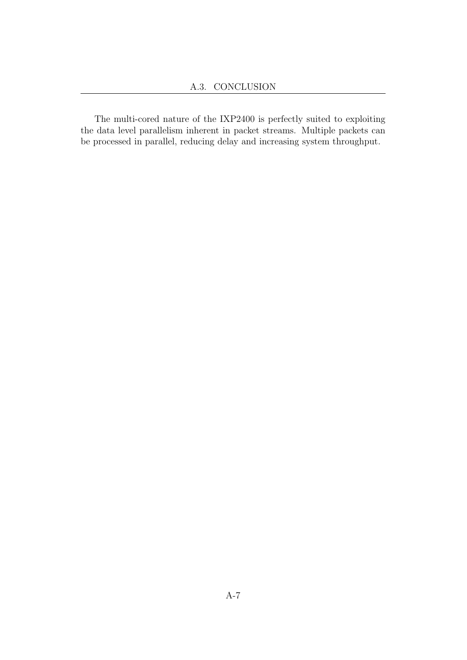The multi-cored nature of the IXP2400 is perfectly suited to exploiting the data level parallelism inherent in packet streams. Multiple packets can be processed in parallel, reducing delay and increasing system throughput.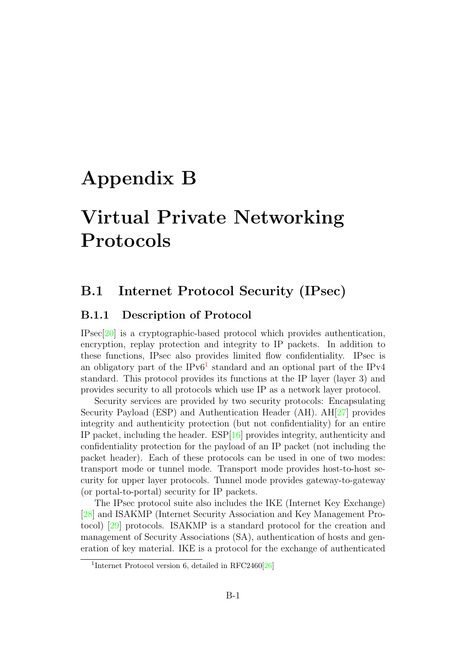# <span id="page-69-0"></span>Appendix B

# Virtual Private Networking Protocols

# B.1 Internet Protocol Security (IPsec)

### B.1.1 Description of Protocol

IPsec[\[20\]](#page-102-5) is a cryptographic-based protocol which provides authentication, encryption, replay protection and integrity to IP packets. In addition to these functions, IPsec also provides limited flow confidentiality. IPsec is an obligatory part of the  $IPv6<sup>1</sup>$  $IPv6<sup>1</sup>$  $IPv6<sup>1</sup>$  standard and an optional part of the IPv4 standard. This protocol provides its functions at the IP layer (layer 3) and provides security to all protocols which use IP as a network layer protocol.

Security services are provided by two security protocols: Encapsulating Security Payload (ESP) and Authentication Header (AH). AH[\[27\]](#page-103-0) provides integrity and authenticity protection (but not confidentiality) for an entire IP packet, including the header. ESP[\[16\]](#page-102-1) provides integrity, authenticity and confidentiality protection for the payload of an IP packet (not including the packet header). Each of these protocols can be used in one of two modes: transport mode or tunnel mode. Transport mode provides host-to-host security for upper layer protocols. Tunnel mode provides gateway-to-gateway (or portal-to-portal) security for IP packets.

The IPsec protocol suite also includes the IKE (Internet Key Exchange) [\[28\]](#page-103-1) and ISAKMP (Internet Security Association and Key Management Protocol) [\[29\]](#page-103-2) protocols. ISAKMP is a standard protocol for the creation and management of Security Associations (SA), authentication of hosts and generation of key material. IKE is a protocol for the exchange of authenticated

<span id="page-69-1"></span><sup>&</sup>lt;sup>1</sup>Internet Protocol version 6, detailed in RFC2460<sup>[\[26\]](#page-102-12)</sup>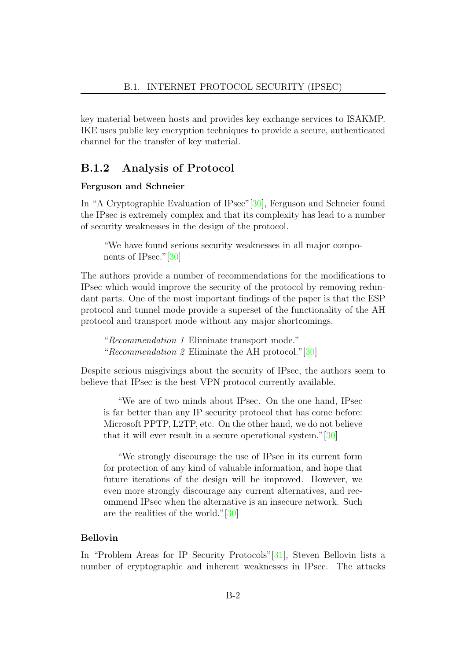key material between hosts and provides key exchange services to ISAKMP. IKE uses public key encryption techniques to provide a secure, authenticated channel for the transfer of key material.

### B.1.2 Analysis of Protocol

#### Ferguson and Schneier

In "A Cryptographic Evaluation of IPsec"[\[30\]](#page-103-3), Ferguson and Schneier found the IPsec is extremely complex and that its complexity has lead to a number of security weaknesses in the design of the protocol.

"We have found serious security weaknesses in all major components of IPsec."[\[30\]](#page-103-3)

The authors provide a number of recommendations for the modifications to IPsec which would improve the security of the protocol by removing redundant parts. One of the most important findings of the paper is that the ESP protocol and tunnel mode provide a superset of the functionality of the AH protocol and transport mode without any major shortcomings.

"Recommendation 1 Eliminate transport mode." "Recommendation 2 Eliminate the AH protocol."[\[30\]](#page-103-3)

Despite serious misgivings about the security of IPsec, the authors seem to believe that IPsec is the best VPN protocol currently available.

"We are of two minds about IPsec. On the one hand, IPsec is far better than any IP security protocol that has come before: Microsoft PPTP, L2TP, etc. On the other hand, we do not believe that it will ever result in a secure operational system."[\[30\]](#page-103-3)

"We strongly discourage the use of IPsec in its current form for protection of any kind of valuable information, and hope that future iterations of the design will be improved. However, we even more strongly discourage any current alternatives, and recommend IPsec when the alternative is an insecure network. Such are the realities of the world."[\[30\]](#page-103-3)

#### Bellovin

In "Problem Areas for IP Security Protocols"[\[31\]](#page-103-4), Steven Bellovin lists a number of cryptographic and inherent weaknesses in IPsec. The attacks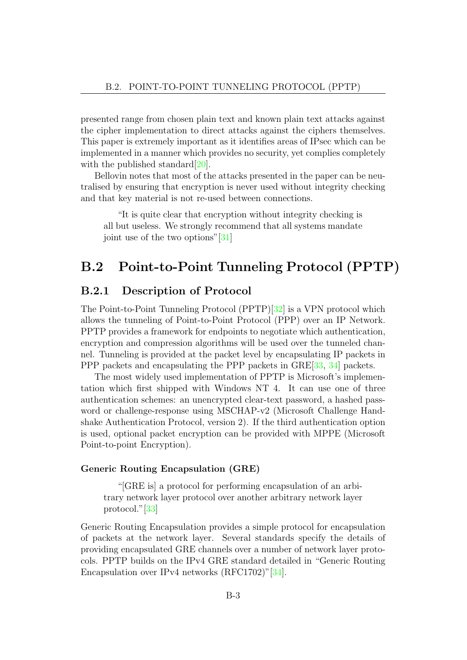presented range from chosen plain text and known plain text attacks against the cipher implementation to direct attacks against the ciphers themselves. This paper is extremely important as it identifies areas of IPsec which can be implemented in a manner which provides no security, yet complies completely with the published standard  $[20]$ .

Bellovin notes that most of the attacks presented in the paper can be neutralised by ensuring that encryption is never used without integrity checking and that key material is not re-used between connections.

"It is quite clear that encryption without integrity checking is all but useless. We strongly recommend that all systems mandate joint use of the two options"[\[31\]](#page-103-4)

# B.2 Point-to-Point Tunneling Protocol (PPTP)

### B.2.1 Description of Protocol

The Point-to-Point Tunneling Protocol (PPTP)[\[32\]](#page-103-5) is a VPN protocol which allows the tunneling of Point-to-Point Protocol (PPP) over an IP Network. PPTP provides a framework for endpoints to negotiate which authentication, encryption and compression algorithms will be used over the tunneled channel. Tunneling is provided at the packet level by encapsulating IP packets in PPP packets and encapsulating the PPP packets in GRE[\[33,](#page-103-6) [34\]](#page-103-7) packets.

The most widely used implementation of PPTP is Microsoft's implementation which first shipped with Windows NT 4. It can use one of three authentication schemes: an unencrypted clear-text password, a hashed password or challenge-response using MSCHAP-v2 (Microsoft Challenge Handshake Authentication Protocol, version 2). If the third authentication option is used, optional packet encryption can be provided with MPPE (Microsoft Point-to-point Encryption).

#### Generic Routing Encapsulation (GRE)

"[GRE is] a protocol for performing encapsulation of an arbitrary network layer protocol over another arbitrary network layer protocol."[\[33\]](#page-103-6)

Generic Routing Encapsulation provides a simple protocol for encapsulation of packets at the network layer. Several standards specify the details of providing encapsulated GRE channels over a number of network layer protocols. PPTP builds on the IPv4 GRE standard detailed in "Generic Routing Encapsulation over IPv4 networks (RFC1702)"[\[34\]](#page-103-7).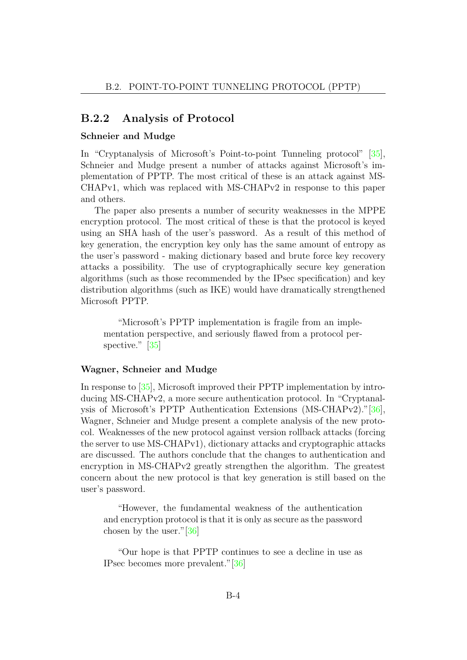### B.2.2 Analysis of Protocol

#### Schneier and Mudge

In "Cryptanalysis of Microsoft's Point-to-point Tunneling protocol" [\[35\]](#page-103-0), Schneier and Mudge present a number of attacks against Microsoft's implementation of PPTP. The most critical of these is an attack against MS-CHAPv1, which was replaced with MS-CHAPv2 in response to this paper and others.

The paper also presents a number of security weaknesses in the MPPE encryption protocol. The most critical of these is that the protocol is keyed using an SHA hash of the user's password. As a result of this method of key generation, the encryption key only has the same amount of entropy as the user's password - making dictionary based and brute force key recovery attacks a possibility. The use of cryptographically secure key generation algorithms (such as those recommended by the IPsec specification) and key distribution algorithms (such as IKE) would have dramatically strengthened Microsoft PPTP.

"Microsoft's PPTP implementation is fragile from an implementation perspective, and seriously flawed from a protocol per-spective." [\[35\]](#page-103-0)

#### Wagner, Schneier and Mudge

In response to [\[35\]](#page-103-0), Microsoft improved their PPTP implementation by introducing MS-CHAPv2, a more secure authentication protocol. In "Cryptanalysis of Microsoft's PPTP Authentication Extensions (MS-CHAPv2)."[\[36\]](#page-103-1), Wagner, Schneier and Mudge present a complete analysis of the new protocol. Weaknesses of the new protocol against version rollback attacks (forcing the server to use MS-CHAPv1), dictionary attacks and cryptographic attacks are discussed. The authors conclude that the changes to authentication and encryption in MS-CHAPv2 greatly strengthen the algorithm. The greatest concern about the new protocol is that key generation is still based on the user's password.

"However, the fundamental weakness of the authentication and encryption protocol is that it is only as secure as the password chosen by the user."[\[36\]](#page-103-1)

"Our hope is that PPTP continues to see a decline in use as IPsec becomes more prevalent."[\[36\]](#page-103-1)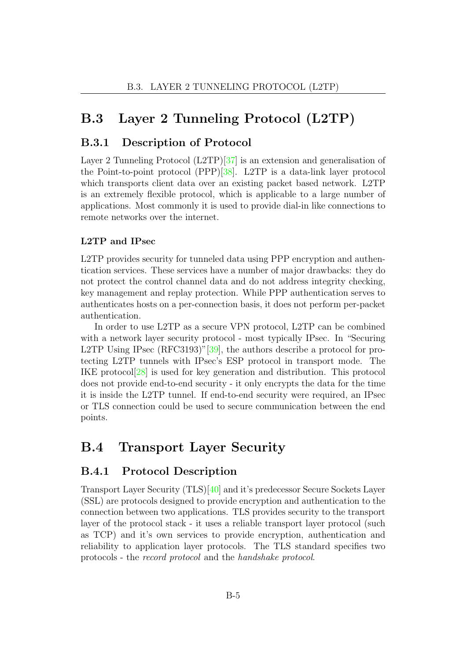### B.3 Layer 2 Tunneling Protocol (L2TP)

### B.3.1 Description of Protocol

Layer 2 Tunneling Protocol (L2TP)[\[37\]](#page-103-2) is an extension and generalisation of the Point-to-point protocol (PPP)[\[38\]](#page-103-3). L2TP is a data-link layer protocol which transports client data over an existing packet based network. L2TP is an extremely flexible protocol, which is applicable to a large number of applications. Most commonly it is used to provide dial-in like connections to remote networks over the internet.

### L2TP and IPsec

L2TP provides security for tunneled data using PPP encryption and authentication services. These services have a number of major drawbacks: they do not protect the control channel data and do not address integrity checking, key management and replay protection. While PPP authentication serves to authenticates hosts on a per-connection basis, it does not perform per-packet authentication.

In order to use L2TP as a secure VPN protocol, L2TP can be combined with a network layer security protocol - most typically IPsec. In "Securing L2TP Using IPsec (RFC3193)"[\[39\]](#page-103-4), the authors describe a protocol for protecting L2TP tunnels with IPsec's ESP protocol in transport mode. The IKE protocol[\[28\]](#page-103-5) is used for key generation and distribution. This protocol does not provide end-to-end security - it only encrypts the data for the time it is inside the L2TP tunnel. If end-to-end security were required, an IPsec or TLS connection could be used to secure communication between the end points.

### B.4 Transport Layer Security

### B.4.1 Protocol Description

Transport Layer Security (TLS)[\[40\]](#page-104-0) and it's predecessor Secure Sockets Layer (SSL) are protocols designed to provide encryption and authentication to the connection between two applications. TLS provides security to the transport layer of the protocol stack - it uses a reliable transport layer protocol (such as TCP) and it's own services to provide encryption, authentication and reliability to application layer protocols. The TLS standard specifies two protocols - the record protocol and the handshake protocol.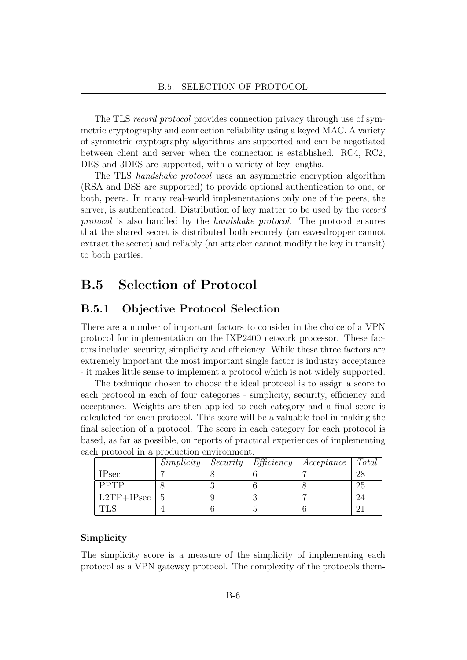The TLS record protocol provides connection privacy through use of symmetric cryptography and connection reliability using a keyed MAC. A variety of symmetric cryptography algorithms are supported and can be negotiated between client and server when the connection is established. RC4, RC2, DES and 3DES are supported, with a variety of key lengths.

The TLS handshake protocol uses an asymmetric encryption algorithm (RSA and DSS are supported) to provide optional authentication to one, or both, peers. In many real-world implementations only one of the peers, the server, is authenticated. Distribution of key matter to be used by the record protocol is also handled by the handshake protocol. The protocol ensures that the shared secret is distributed both securely (an eavesdropper cannot extract the secret) and reliably (an attacker cannot modify the key in transit) to both parties.

### B.5 Selection of Protocol

### B.5.1 Objective Protocol Selection

There are a number of important factors to consider in the choice of a VPN protocol for implementation on the IXP2400 network processor. These factors include: security, simplicity and efficiency. While these three factors are extremely important the most important single factor is industry acceptance - it makes little sense to implement a protocol which is not widely supported.

The technique chosen to choose the ideal protocol is to assign a score to each protocol in each of four categories - simplicity, security, efficiency and acceptance. Weights are then applied to each category and a final score is calculated for each protocol. This score will be a valuable tool in making the final selection of a protocol. The score in each category for each protocol is based, as far as possible, on reports of practical experiences of implementing each protocol in a production environment.

|                  | Simplicity | Security | Efficiency | Acceptance | Total |
|------------------|------------|----------|------------|------------|-------|
| <b>IPsec</b>     |            |          |            |            |       |
| <b>PPTP</b>      |            |          |            |            | 25    |
| $L2TP+IPsec$   5 |            |          |            |            |       |
|                  |            |          |            |            |       |

### Simplicity

The simplicity score is a measure of the simplicity of implementing each protocol as a VPN gateway protocol. The complexity of the protocols them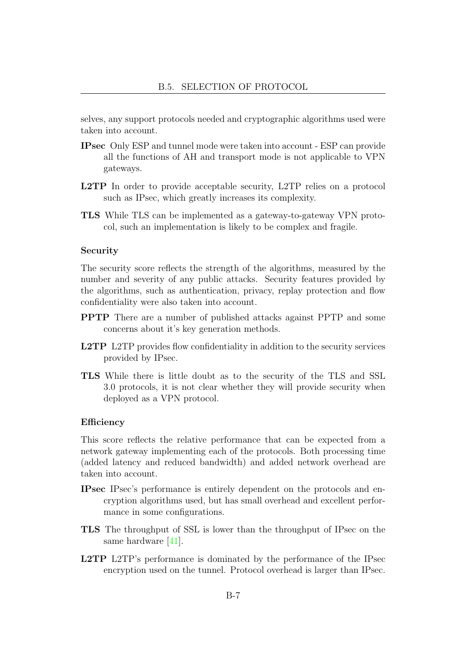selves, any support protocols needed and cryptographic algorithms used were taken into account.

- IPsec Only ESP and tunnel mode were taken into account ESP can provide all the functions of AH and transport mode is not applicable to VPN gateways.
- L2TP In order to provide acceptable security, L2TP relies on a protocol such as IPsec, which greatly increases its complexity.
- TLS While TLS can be implemented as a gateway-to-gateway VPN protocol, such an implementation is likely to be complex and fragile.

#### Security

The security score reflects the strength of the algorithms, measured by the number and severity of any public attacks. Security features provided by the algorithms, such as authentication, privacy, replay protection and flow confidentiality were also taken into account.

- PPTP There are a number of published attacks against PPTP and some concerns about it's key generation methods.
- L2TP L2TP provides flow confidentiality in addition to the security services provided by IPsec.
- TLS While there is little doubt as to the security of the TLS and SSL 3.0 protocols, it is not clear whether they will provide security when deployed as a VPN protocol.

#### Efficiency

This score reflects the relative performance that can be expected from a network gateway implementing each of the protocols. Both processing time (added latency and reduced bandwidth) and added network overhead are taken into account.

- IPsec IPsec's performance is entirely dependent on the protocols and encryption algorithms used, but has small overhead and excellent performance in some configurations.
- TLS The throughput of SSL is lower than the throughput of IPsec on the same hardware [\[41\]](#page-104-1).
- L2TP L2TP's performance is dominated by the performance of the IPsec encryption used on the tunnel. Protocol overhead is larger than IPsec.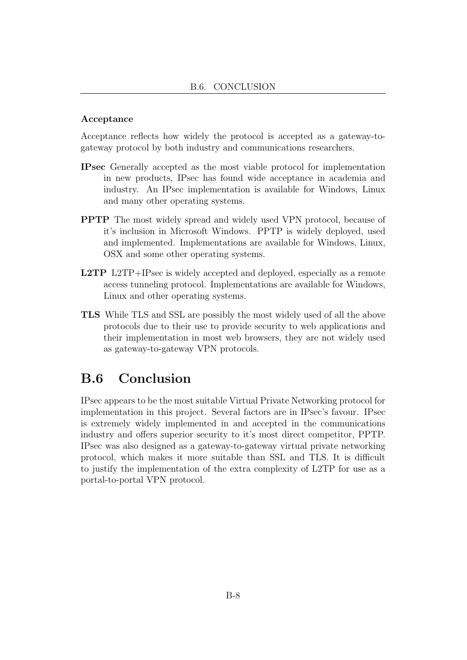### Acceptance

Acceptance reflects how widely the protocol is accepted as a gateway-togateway protocol by both industry and communications researchers.

- IPsec Generally accepted as the most viable protocol for implementation in new products, IPsec has found wide acceptance in academia and industry. An IPsec implementation is available for Windows, Linux and many other operating systems.
- PPTP The most widely spread and widely used VPN protocol, because of it's inclusion in Microsoft Windows. PPTP is widely deployed, used and implemented. Implementations are available for Windows, Linux, OSX and some other operating systems.
- L2TP L2TP+IPsec is widely accepted and deployed, especially as a remote access tunneling protocol. Implementations are available for Windows, Linux and other operating systems.
- TLS While TLS and SSL are possibly the most widely used of all the above protocols due to their use to provide security to web applications and their implementation in most web browsers, they are not widely used as gateway-to-gateway VPN protocols.

### B.6 Conclusion

IPsec appears to be the most suitable Virtual Private Networking protocol for implementation in this project. Several factors are in IPsec's favour. IPsec is extremely widely implemented in and accepted in the communications industry and offers superior security to it's most direct competitor, PPTP. IPsec was also designed as a gateway-to-gateway virtual private networking protocol, which makes it more suitable than SSL and TLS. It is difficult to justify the implementation of the extra complexity of L2TP for use as a portal-to-portal VPN protocol.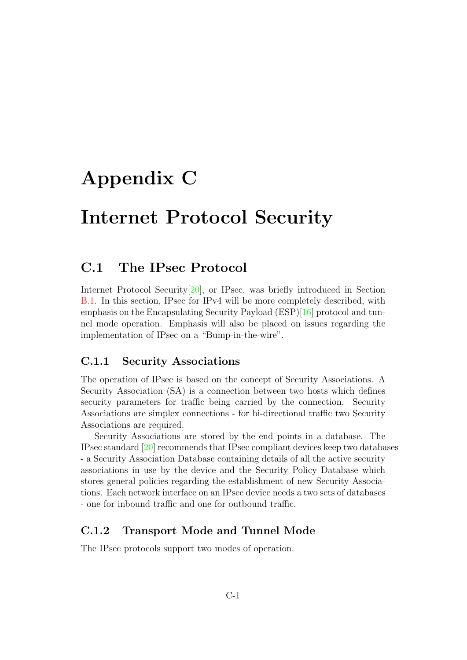# Appendix C

# Internet Protocol Security

### C.1 The IPsec Protocol

Internet Protocol Security[\[20\]](#page-102-0), or IPsec, was briefly introduced in Section [B.1.](#page-69-0) In this section, IPsec for IPv4 will be more completely described, with emphasis on the Encapsulating Security Payload (ESP)[\[16\]](#page-102-1) protocol and tunnel mode operation. Emphasis will also be placed on issues regarding the implementation of IPsec on a "Bump-in-the-wire".

### C.1.1 Security Associations

The operation of IPsec is based on the concept of Security Associations. A Security Association (SA) is a connection between two hosts which defines security parameters for traffic being carried by the connection. Security Associations are simplex connections - for bi-directional traffic two Security Associations are required.

Security Associations are stored by the end points in a database. The IPsec standard [\[20\]](#page-102-0) recommends that IPsec compliant devices keep two databases - a Security Association Database containing details of all the active security associations in use by the device and the Security Policy Database which stores general policies regarding the establishment of new Security Associations. Each network interface on an IPsec device needs a two sets of databases - one for inbound traffic and one for outbound traffic.

### C.1.2 Transport Mode and Tunnel Mode

The IPsec protocols support two modes of operation.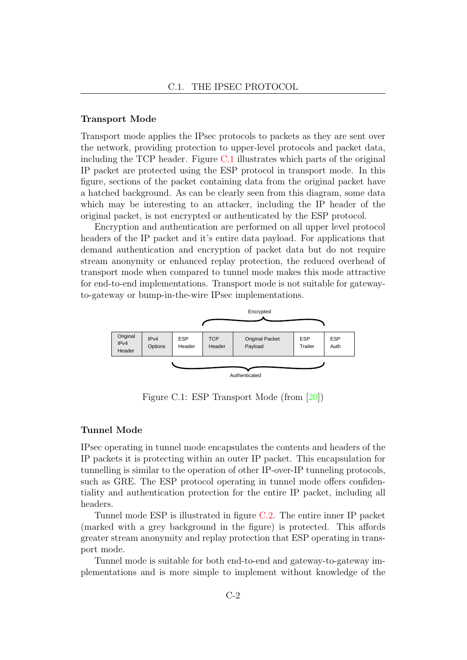#### Transport Mode

Transport mode applies the IPsec protocols to packets as they are sent over the network, providing protection to upper-level protocols and packet data, including the TCP header. Figure [C.1](#page-78-0) illustrates which parts of the original IP packet are protected using the ESP protocol in transport mode. In this figure, sections of the packet containing data from the original packet have a hatched background. As can be clearly seen from this diagram, some data which may be interesting to an attacker, including the IP header of the original packet, is not encrypted or authenticated by the ESP protocol.

Encryption and authentication are performed on all upper level protocol headers of the IP packet and it's entire data payload. For applications that demand authentication and encryption of packet data but do not require stream anonymity or enhanced replay protection, the reduced overhead of transport mode when compared to tunnel mode makes this mode attractive for end-to-end implementations. Transport mode is not suitable for gatewayto-gateway or bump-in-the-wire IPsec implementations.



<span id="page-78-0"></span>Figure C.1: ESP Transport Mode (from [\[20\]](#page-102-0))

#### Tunnel Mode

IPsec operating in tunnel mode encapsulates the contents and headers of the IP packets it is protecting within an outer IP packet. This encapsulation for tunnelling is similar to the operation of other IP-over-IP tunneling protocols, such as GRE. The ESP protocol operating in tunnel mode offers confidentiality and authentication protection for the entire IP packet, including all headers.

Tunnel mode ESP is illustrated in figure [C.2.](#page-79-0) The entire inner IP packet (marked with a grey background in the figure) is protected. This affords greater stream anonymity and replay protection that ESP operating in transport mode.

Tunnel mode is suitable for both end-to-end and gateway-to-gateway implementations and is more simple to implement without knowledge of the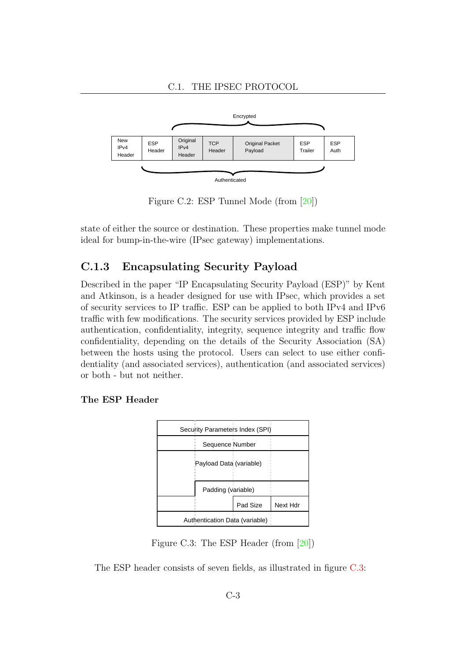

<span id="page-79-0"></span>Figure C.2: ESP Tunnel Mode (from [\[20\]](#page-102-0))

state of either the source or destination. These properties make tunnel mode ideal for bump-in-the-wire (IPsec gateway) implementations.

### C.1.3 Encapsulating Security Payload

Described in the paper "IP Encapsulating Security Payload (ESP)" by Kent and Atkinson, is a header designed for use with IPsec, which provides a set of security services to IP traffic. ESP can be applied to both IPv4 and IPv6 traffic with few modifications. The security services provided by ESP include authentication, confidentiality, integrity, sequence integrity and traffic flow confidentiality, depending on the details of the Security Association (SA) between the hosts using the protocol. Users can select to use either confidentiality (and associated services), authentication (and associated services) or both - but not neither.

### The ESP Header



<span id="page-79-1"></span>Figure C.3: The ESP Header (from [\[20\]](#page-102-0))

The ESP header consists of seven fields, as illustrated in figure [C.3:](#page-79-1)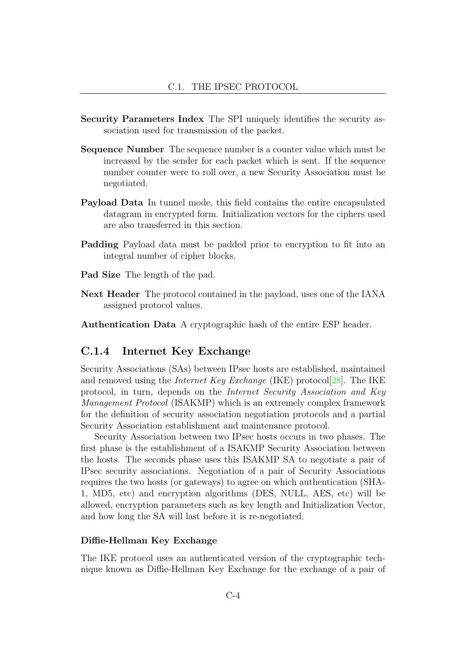- Security Parameters Index The SPI uniquely identifies the security association used for transmission of the packet.
- Sequence Number The sequence number is a counter value which must be increased by the sender for each packet which is sent. If the sequence number counter were to roll over, a new Security Association must be negotiated.
- Payload Data In tunnel mode, this field contains the entire encapsulated datagram in encrypted form. Initialization vectors for the ciphers used are also transferred in this section.
- Padding Payload data must be padded prior to encryption to fit into an integral number of cipher blocks.
- Pad Size The length of the pad.
- Next Header The protocol contained in the payload, uses one of the IANA assigned protocol values.

Authentication Data A cryptographic hash of the entire ESP header.

### C.1.4 Internet Key Exchange

Security Associations (SAs) between IPsec hosts are established, maintained and removed using the *Internet Key Exchange* (IKE) protocol<sup>[\[28\]](#page-103-5)</sup>. The IKE protocol, in turn, depends on the Internet Security Association and Key Management Protocol (ISAKMP) which is an extremely complex framework for the definition of security association negotiation protocols and a partial Security Association establishment and maintenance protocol.

Security Association between two IPsec hosts occurs in two phases. The first phase is the establishment of a ISAKMP Security Association between the hosts. The seconds phase uses this ISAKMP SA to negotiate a pair of IPsec security associations. Negotiation of a pair of Security Associations requires the two hosts (or gateways) to agree on which authentication (SHA-1, MD5, etc) and encryption algorithms (DES, NULL, AES, etc) will be allowed, encryption parameters such as key length and Initialization Vector, and how long the SA will last before it is re-negotiated.

### Diffie-Hellman Key Exchange

The IKE protocol uses an authenticated version of the cryptographic technique known as Diffie-Hellman Key Exchange for the exchange of a pair of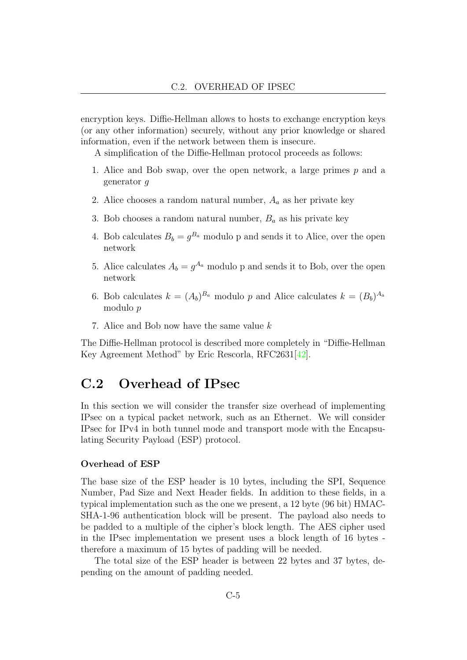encryption keys. Diffie-Hellman allows to hosts to exchange encryption keys (or any other information) securely, without any prior knowledge or shared information, even if the network between them is insecure.

A simplification of the Diffie-Hellman protocol proceeds as follows:

- 1. Alice and Bob swap, over the open network, a large primes p and a generator g
- 2. Alice chooses a random natural number,  $A_a$  as her private key
- 3. Bob chooses a random natural number,  $B_a$  as his private key
- 4. Bob calculates  $B_b = g^{B_a}$  modulo p and sends it to Alice, over the open network
- 5. Alice calculates  $A_b = g^{A_a}$  modulo p and sends it to Bob, over the open network
- 6. Bob calculates  $k = (A_b)^{B_a}$  modulo p and Alice calculates  $k = (B_b)^{A_a}$ modulo p
- 7. Alice and Bob now have the same value k

The Diffie-Hellman protocol is described more completely in "Diffie-Hellman Key Agreement Method" by Eric Rescorla, RFC2631[\[42\]](#page-104-2).

### C.2 Overhead of IPsec

In this section we will consider the transfer size overhead of implementing IPsec on a typical packet network, such as an Ethernet. We will consider IPsec for IPv4 in both tunnel mode and transport mode with the Encapsulating Security Payload (ESP) protocol.

#### Overhead of ESP

The base size of the ESP header is 10 bytes, including the SPI, Sequence Number, Pad Size and Next Header fields. In addition to these fields, in a typical implementation such as the one we present, a 12 byte (96 bit) HMAC-SHA-1-96 authentication block will be present. The payload also needs to be padded to a multiple of the cipher's block length. The AES cipher used in the IPsec implementation we present uses a block length of 16 bytes therefore a maximum of 15 bytes of padding will be needed.

The total size of the ESP header is between 22 bytes and 37 bytes, depending on the amount of padding needed.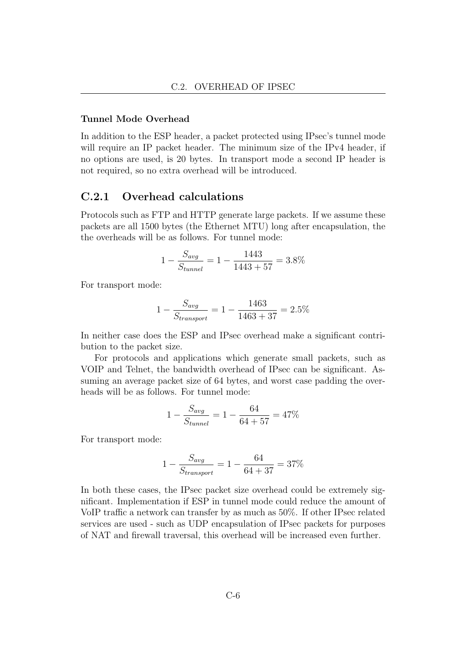### Tunnel Mode Overhead

In addition to the ESP header, a packet protected using IPsec's tunnel mode will require an IP packet header. The minimum size of the IPv4 header, if no options are used, is 20 bytes. In transport mode a second IP header is not required, so no extra overhead will be introduced.

### C.2.1 Overhead calculations

Protocols such as FTP and HTTP generate large packets. If we assume these packets are all 1500 bytes (the Ethernet MTU) long after encapsulation, the the overheads will be as follows. For tunnel mode:

$$
1 - \frac{S_{avg}}{S_{tunnel}} = 1 - \frac{1443}{1443 + 57} = 3.8\%
$$

For transport mode:

$$
1 - \frac{S_{avg}}{S_{transport}} = 1 - \frac{1463}{1463 + 37} = 2.5\%
$$

In neither case does the ESP and IPsec overhead make a significant contribution to the packet size.

For protocols and applications which generate small packets, such as VOIP and Telnet, the bandwidth overhead of IPsec can be significant. Assuming an average packet size of 64 bytes, and worst case padding the overheads will be as follows. For tunnel mode:

$$
1 - \frac{S_{avg}}{S_{tunnel}} = 1 - \frac{64}{64 + 57} = 47\%
$$

For transport mode:

$$
1 - \frac{S_{avg}}{S_{transport}} = 1 - \frac{64}{64 + 37} = 37\%
$$

In both these cases, the IPsec packet size overhead could be extremely significant. Implementation if ESP in tunnel mode could reduce the amount of VoIP traffic a network can transfer by as much as 50%. If other IPsec related services are used - such as UDP encapsulation of IPsec packets for purposes of NAT and firewall traversal, this overhead will be increased even further.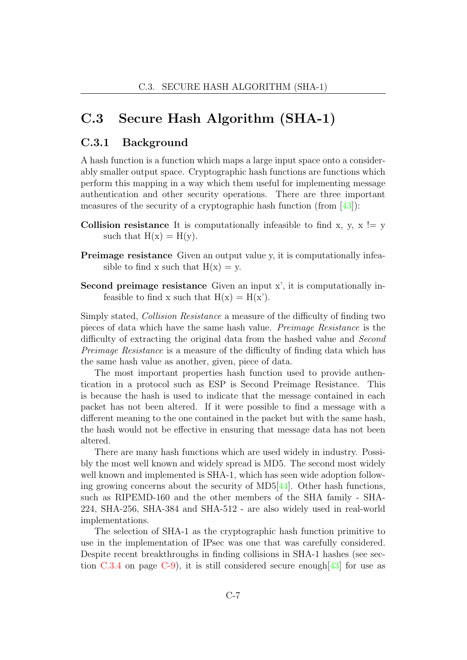### C.3 Secure Hash Algorithm (SHA-1)

### C.3.1 Background

A hash function is a function which maps a large input space onto a considerably smaller output space. Cryptographic hash functions are functions which perform this mapping in a way which them useful for implementing message authentication and other security operations. There are three important measures of the security of a cryptographic hash function (from [\[43\]](#page-104-3)):

- **Collision resistance** It is computationally infeasible to find x, y,  $x := y$ such that  $H(x) = H(y)$ .
- Preimage resistance Given an output value y, it is computationally infeasible to find x such that  $H(x) = y$ .
- Second preimage resistance Given an input x', it is computationally infeasible to find x such that  $H(x) = H(x')$ .

Simply stated, Collision Resistance a measure of the difficulty of finding two pieces of data which have the same hash value. Preimage Resistance is the difficulty of extracting the original data from the hashed value and *Second* Preimage Resistance is a measure of the difficulty of finding data which has the same hash value as another, given, piece of data.

The most important properties hash function used to provide authentication in a protocol such as ESP is Second Preimage Resistance. This is because the hash is used to indicate that the message contained in each packet has not been altered. If it were possible to find a message with a different meaning to the one contained in the packet but with the same hash, the hash would not be effective in ensuring that message data has not been altered.

There are many hash functions which are used widely in industry. Possibly the most well known and widely spread is MD5. The second most widely well known and implemented is SHA-1, which has seen wide adoption following growing concerns about the security of MD5[\[44\]](#page-104-4). Other hash functions, such as RIPEMD-160 and the other members of the SHA family - SHA-224, SHA-256, SHA-384 and SHA-512 - are also widely used in real-world implementations.

The selection of SHA-1 as the cryptographic hash function primitive to use in the implementation of IPsec was one that was carefully considered. Despite recent breakthroughs in finding collisions in SHA-1 hashes (see sec-tion [C.3.4](#page-85-0) on page [C-9\)](#page-85-0), it is still considered secure enough  $[43]$  for use as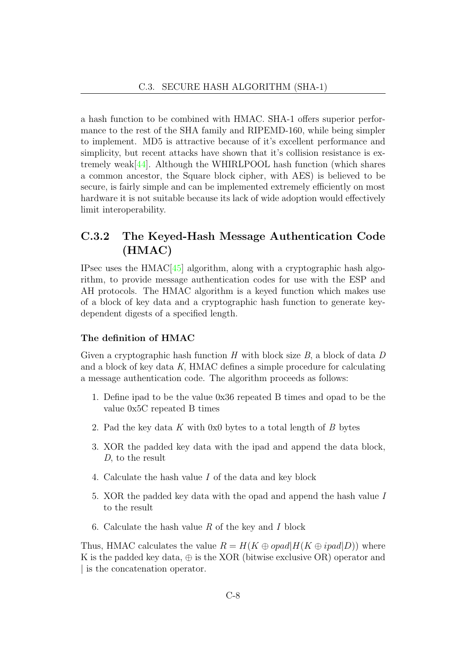a hash function to be combined with HMAC. SHA-1 offers superior performance to the rest of the SHA family and RIPEMD-160, while being simpler to implement. MD5 is attractive because of it's excellent performance and simplicity, but recent attacks have shown that it's collision resistance is extremely weak $[44]$ . Although the WHIRLPOOL hash function (which shares a common ancestor, the Square block cipher, with AES) is believed to be secure, is fairly simple and can be implemented extremely efficiently on most hardware it is not suitable because its lack of wide adoption would effectively limit interoperability.

### C.3.2 The Keyed-Hash Message Authentication Code (HMAC)

IPsec uses the  $HMAC[45]$  $HMAC[45]$  algorithm, along with a cryptographic hash algorithm, to provide message authentication codes for use with the ESP and AH protocols. The HMAC algorithm is a keyed function which makes use of a block of key data and a cryptographic hash function to generate keydependent digests of a specified length.

### The definition of HMAC

Given a cryptographic hash function  $H$  with block size  $B$ , a block of data  $D$ and a block of key data K, HMAC defines a simple procedure for calculating a message authentication code. The algorithm proceeds as follows:

- 1. Define ipad to be the value 0x36 repeated B times and opad to be the value 0x5C repeated B times
- 2. Pad the key data K with 0x0 bytes to a total length of B bytes
- 3. XOR the padded key data with the ipad and append the data block, D, to the result
- 4. Calculate the hash value I of the data and key block
- 5. XOR the padded key data with the opad and append the hash value I to the result
- 6. Calculate the hash value  $R$  of the key and  $I$  block

Thus, HMAC calculates the value  $R = H(K \oplus opad | H(K \oplus ipad | D))$  where K is the padded key data,  $\oplus$  is the XOR (bitwise exclusive OR) operator and | is the concatenation operator.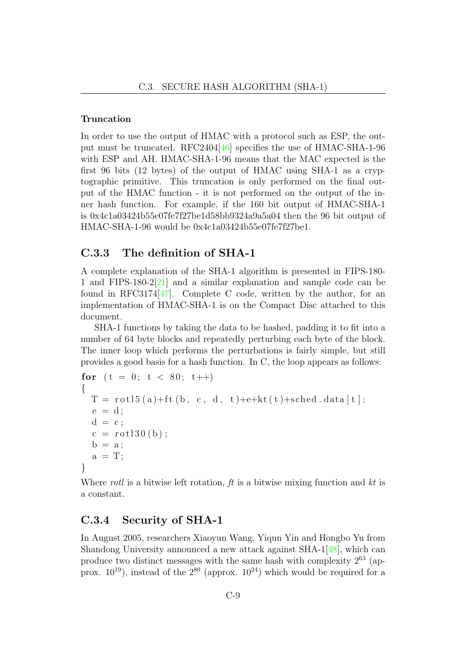### Truncation

In order to use the output of HMAC with a protocol such as ESP, the output must be truncated. RFC2404[\[46\]](#page-104-6) specifies the use of HMAC-SHA-1-96 with ESP and AH. HMAC-SHA-1-96 means that the MAC expected is the first 96 bits (12 bytes) of the output of HMAC using SHA-1 as a cryptographic primitive. This truncation is only performed on the final output of the HMAC function - it is not performed on the output of the inner hash function. For example, if the 160 bit output of HMAC-SHA-1 is 0x4c1a03424b55e07fe7f27be1d58bb9324a9a5a04 then the 96 bit output of HMAC-SHA-1-96 would be 0x4c1a03424b55e07fe7f27be1.

### C.3.3 The definition of SHA-1

A complete explanation of the SHA-1 algorithm is presented in FIPS-180- 1 and FIPS-180-2[\[21\]](#page-102-2) and a similar explanation and sample code can be found in RFC3174 $[47]$ . Complete C code, written by the author, for an implementation of HMAC-SHA-1 is on the Compact Disc attached to this document.

SHA-1 functions by taking the data to be hashed, padding it to fit into a number of 64 byte blocks and repeatedly perturbing each byte of the block. The inner loop which performs the perturbations is fairly simple, but still provides a good basis for a hash function. In C, the loop appears as follows:

```
for (t = 0; t < 80; t++){
 T = rot15 (a) + ft (b, c, d, t) + e+kt (t) + sched. data [t];e = d;
  d = c;c = rot130 (b);
  b = a;a = T;
}
```
Where rotl is a bitwise left rotation,  $ft$  is a bitwise mixing function and  $kt$  is a constant.

### <span id="page-85-0"></span>C.3.4 Security of SHA-1

In August 2005, researchers Xiaoyun Wang, Yiqun Yin and Hongbo Yu from Shandong University announced a new attack against SHA-1[\[48\]](#page-104-8), which can produce two distinct messages with the same hash with complexity  $2^{63}$  (approx.  $10^{19}$ ), instead of the  $2^{80}$  (approx.  $10^{24}$ ) which would be required for a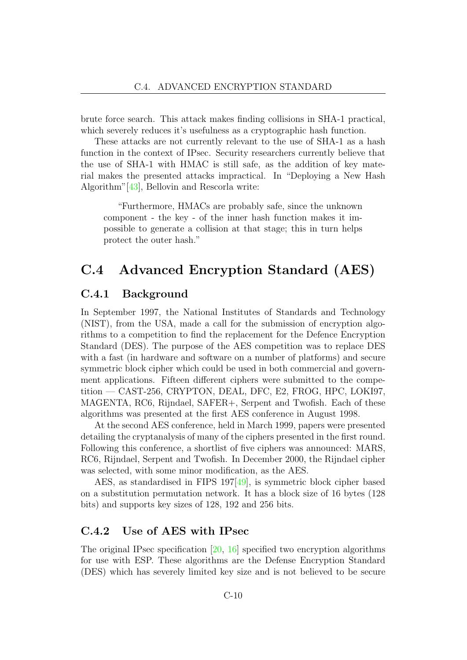brute force search. This attack makes finding collisions in SHA-1 practical, which severely reduces it's usefulness as a cryptographic hash function.

These attacks are not currently relevant to the use of SHA-1 as a hash function in the context of IPsec. Security researchers currently believe that the use of SHA-1 with HMAC is still safe, as the addition of key material makes the presented attacks impractical. In "Deploying a New Hash Algorithm"[\[43\]](#page-104-3), Bellovin and Rescorla write:

"Furthermore, HMACs are probably safe, since the unknown component - the key - of the inner hash function makes it impossible to generate a collision at that stage; this in turn helps protect the outer hash."

### C.4 Advanced Encryption Standard (AES)

### C.4.1 Background

In September 1997, the National Institutes of Standards and Technology (NIST), from the USA, made a call for the submission of encryption algorithms to a competition to find the replacement for the Defence Encryption Standard (DES). The purpose of the AES competition was to replace DES with a fast (in hardware and software on a number of platforms) and secure symmetric block cipher which could be used in both commercial and government applications. Fifteen different ciphers were submitted to the competition — CAST-256, CRYPTON, DEAL, DFC, E2, FROG, HPC, LOKI97, MAGENTA, RC6, Rijndael, SAFER+, Serpent and Twofish. Each of these algorithms was presented at the first AES conference in August 1998.

At the second AES conference, held in March 1999, papers were presented detailing the cryptanalysis of many of the ciphers presented in the first round. Following this conference, a shortlist of five ciphers was announced: MARS, RC6, Rijndael, Serpent and Twofish. In December 2000, the Rijndael cipher was selected, with some minor modification, as the AES.

AES, as standardised in FIPS 197[\[49\]](#page-104-9), is symmetric block cipher based on a substitution permutation network. It has a block size of 16 bytes (128 bits) and supports key sizes of 128, 192 and 256 bits.

### C.4.2 Use of AES with IPsec

The original IPsec specification [\[20,](#page-102-0) [16\]](#page-102-1) specified two encryption algorithms for use with ESP. These algorithms are the Defense Encryption Standard (DES) which has severely limited key size and is not believed to be secure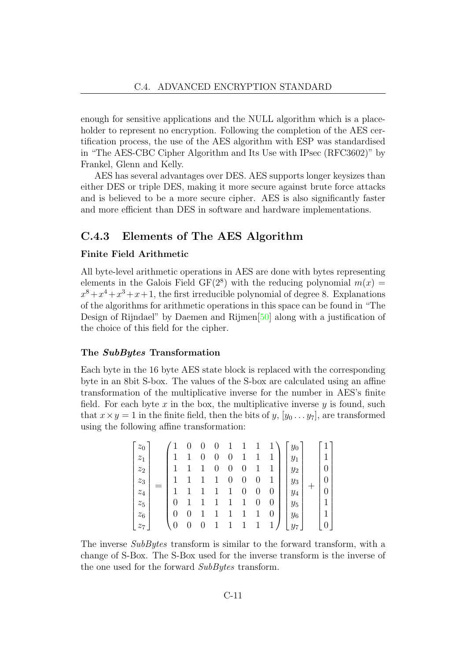enough for sensitive applications and the NULL algorithm which is a placeholder to represent no encryption. Following the completion of the AES certification process, the use of the AES algorithm with ESP was standardised in "The AES-CBC Cipher Algorithm and Its Use with IPsec (RFC3602)" by Frankel, Glenn and Kelly.

AES has several advantages over DES. AES supports longer keysizes than either DES or triple DES, making it more secure against brute force attacks and is believed to be a more secure cipher. AES is also significantly faster and more efficient than DES in software and hardware implementations.

### C.4.3 Elements of The AES Algorithm

### Finite Field Arithmetic

All byte-level arithmetic operations in AES are done with bytes representing elements in the Galois Field GF( $2^8$ ) with the reducing polynomial  $m(x) =$  $x^8 + x^4 + x^3 + x + 1$ , the first irreducible polynomial of degree 8. Explanations of the algorithms for arithmetic operations in this space can be found in "The Design of Rijndael" by Daemen and Rijmen[\[50\]](#page-104-10) along with a justification of the choice of this field for the cipher.

#### The SubBytes Transformation

Each byte in the 16 byte AES state block is replaced with the corresponding byte in an 8bit S-box. The values of the S-box are calculated using an affine transformation of the multiplicative inverse for the number in AES's finite field. For each byte  $x$  in the box, the multiplicative inverse  $y$  is found, such that  $x \times y = 1$  in the finite field, then the bits of  $y, [y_0 \dots y_7]$ , are transformed using the following affine transformation:

$$
\begin{bmatrix} z_0 \\ z_1 \\ z_2 \\ z_3 \\ z_4 \\ z_5 \\ z_6 \\ z_7 \end{bmatrix} = \begin{pmatrix} 1 & 0 & 0 & 0 & 1 & 1 & 1 & 1 \\ 1 & 1 & 0 & 0 & 0 & 1 & 1 & 1 \\ 1 & 1 & 1 & 0 & 0 & 0 & 1 & 1 \\ 1 & 1 & 1 & 1 & 0 & 0 & 0 & 1 \\ 1 & 1 & 1 & 1 & 1 & 0 & 0 & 0 \\ 0 & 1 & 1 & 1 & 1 & 1 & 0 & 0 \\ 0 & 0 & 1 & 1 & 1 & 1 & 1 & 0 \end{pmatrix} \begin{bmatrix} y_0 \\ y_1 \\ y_2 \\ y_3 \\ y_4 \\ y_5 \\ y_6 \\ y_7 \end{bmatrix} + \begin{bmatrix} 1 \\ 1 \\ 0 \\ 0 \\ 1 \\ 1 \\ 0 \end{bmatrix}
$$

The inverse SubBytes transform is similar to the forward transform, with a change of S-Box. The S-Box used for the inverse transform is the inverse of the one used for the forward SubBytes transform.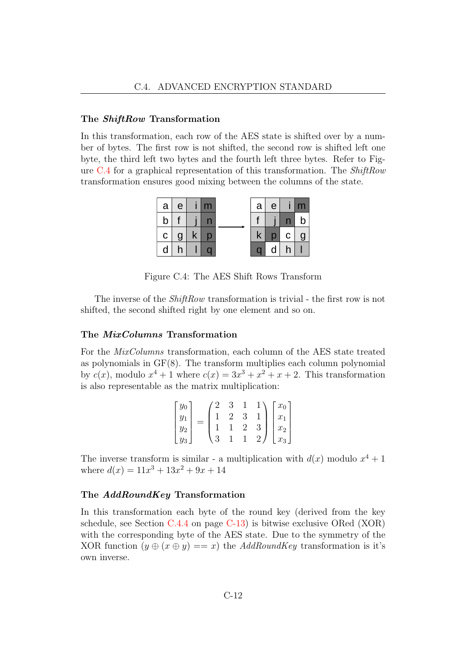#### The *ShiftRow* Transformation

In this transformation, each row of the AES state is shifted over by a number of bytes. The first row is not shifted, the second row is shifted left one byte, the third left two bytes and the fourth left three bytes. Refer to Figure [C.4](#page-88-0) for a graphical representation of this transformation. The ShiftRow transformation ensures good mixing between the columns of the state.



<span id="page-88-0"></span>Figure C.4: The AES Shift Rows Transform

The inverse of the *ShiftRow* transformation is trivial - the first row is not shifted, the second shifted right by one element and so on.

#### The MixColumns Transformation

For the MixColumns transformation, each column of the AES state treated as polynomials in GF(8). The transform multiplies each column polynomial by  $c(x)$ , modulo  $x^4 + 1$  where  $c(x) = 3x^3 + x^2 + x + 2$ . This transformation is also representable as the matrix multiplication:

$$
\begin{bmatrix} y_0 \\ y_1 \\ y_2 \\ y_3 \end{bmatrix} = \begin{pmatrix} 2 & 3 & 1 & 1 \\ 1 & 2 & 3 & 1 \\ 1 & 1 & 2 & 3 \\ 3 & 1 & 1 & 2 \end{pmatrix} \begin{bmatrix} x_0 \\ x_1 \\ x_2 \\ x_3 \end{bmatrix}
$$

The inverse transform is similar - a multiplication with  $d(x)$  modulo  $x^4 + 1$ where  $d(x) = 11x^3 + 13x^2 + 9x + 14$ 

#### The AddRoundKey Transformation

In this transformation each byte of the round key (derived from the key schedule, see Section [C.4.4](#page-89-0) on page [C-13\)](#page-89-0) is bitwise exclusive ORed (XOR) with the corresponding byte of the AES state. Due to the symmetry of the XOR function  $(y \oplus (x \oplus y) == x)$  the AddRoundKey transformation is it's own inverse.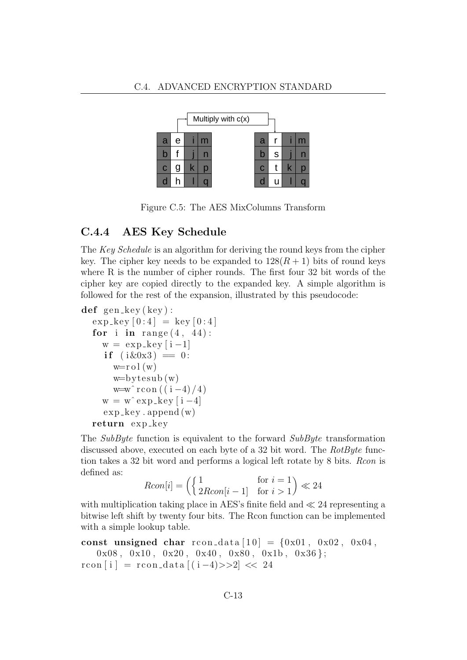

Figure C.5: The AES MixColumns Transform

### <span id="page-89-0"></span>C.4.4 AES Key Schedule

The Key Schedule is an algorithm for deriving the round keys from the cipher key. The cipher key needs to be expanded to  $128(R + 1)$  bits of round keys where R is the number of cipher rounds. The first four 32 bit words of the cipher key are copied directly to the expanded key. A simple algorithm is followed for the rest of the expansion, illustrated by this pseudocode:

```
def gen_key (key):
  \exp_k \exp[0:4] = \ker[0:4]for i in range (4, 44):
    w = exp_{k}e y[i-1]if (i\&0x3) = 0:
       w=r o l(w)w = bytesub(w)w=w^ rcon ((i-4)/4)w = w^{\hat{}} \exp_k \exp[i - 4]exp_key \cdot append(w)return exp_key
```
The SubByte function is equivalent to the forward  $SubByte$  transformation discussed above, executed on each byte of a 32 bit word. The RotByte function takes a 32 bit word and performs a logical left rotate by 8 bits. Rcon is defined as:

$$
Rcon[i] = \begin{pmatrix} 1 & \text{for } i = 1 \\ 2Rcon[i-1] & \text{for } i > 1 \end{pmatrix} \ll 24
$$

with multiplication taking place in AES's finite field and  $\ll 24$  representing a bitwise left shift by twenty four bits. The Rcon function can be implemented with a simple lookup table.

const unsigned char r con\_data  $[10] = \{0x01, 0x02, 0x04,$ 

 $0x08$ ,  $0x10$ ,  $0x20$ ,  $0x40$ ,  $0x80$ ,  $0x1b$ ,  $0x36$  };

 $r \text{con} [i] = r \text{con\_data} [(i-4) >> 2] << 24$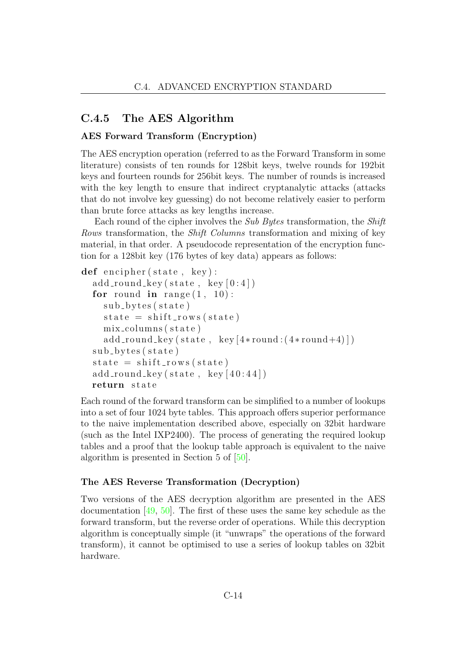### C.4.5 The AES Algorithm

### AES Forward Transform (Encryption)

The AES encryption operation (referred to as the Forward Transform in some literature) consists of ten rounds for 128bit keys, twelve rounds for 192bit keys and fourteen rounds for 256bit keys. The number of rounds is increased with the key length to ensure that indirect cryptanalytic attacks (attacks that do not involve key guessing) do not become relatively easier to perform than brute force attacks as key lengths increase.

Each round of the cipher involves the Sub Bytes transformation, the Shift Rows transformation, the Shift Columns transformation and mixing of key material, in that order. A pseudocode representation of the encryption function for a 128bit key (176 bytes of key data) appears as follows:

```
def encipher (state, key):
  add\_round\_key(\text{state}, \text{key}[0:4])for round in range (1, 10):
    sub\_bytes(state)state = shift_{rows}(state)mix_columns (state)
    add\_round\_key(\text{state}, \text{key}[4*round:(4*round+4)])sub_b <b>ytes</b> (state)state = shift_{rows}(state)add\_round\_key(state, key[40:44])return state
```
Each round of the forward transform can be simplified to a number of lookups into a set of four 1024 byte tables. This approach offers superior performance to the naive implementation described above, especially on 32bit hardware (such as the Intel IXP2400). The process of generating the required lookup tables and a proof that the lookup table approach is equivalent to the naive algorithm is presented in Section 5 of [\[50\]](#page-104-10).

#### The AES Reverse Transformation (Decryption)

Two versions of the AES decryption algorithm are presented in the AES documentation [\[49,](#page-104-9) [50\]](#page-104-10). The first of these uses the same key schedule as the forward transform, but the reverse order of operations. While this decryption algorithm is conceptually simple (it "unwraps" the operations of the forward transform), it cannot be optimised to use a series of lookup tables on 32bit hardware.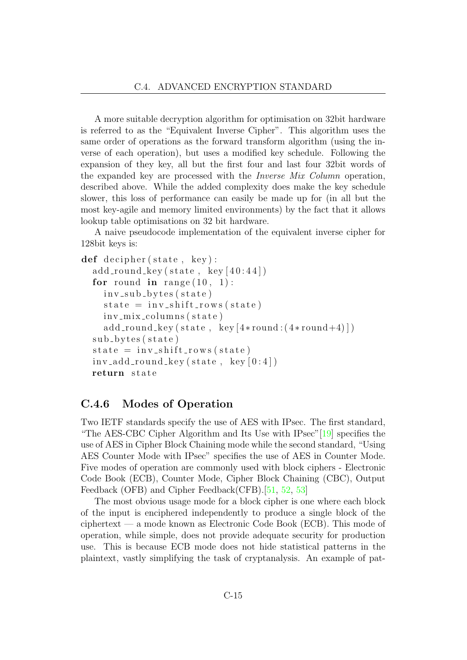A more suitable decryption algorithm for optimisation on 32bit hardware is referred to as the "Equivalent Inverse Cipher". This algorithm uses the same order of operations as the forward transform algorithm (using the inverse of each operation), but uses a modified key schedule. Following the expansion of they key, all but the first four and last four 32bit words of the expanded key are processed with the Inverse Mix Column operation, described above. While the added complexity does make the key schedule slower, this loss of performance can easily be made up for (in all but the most key-agile and memory limited environments) by the fact that it allows lookup table optimisations on 32 bit hardware.

A naive pseudocode implementation of the equivalent inverse cipher for 128bit keys is:

```
def decipher (state, key):
  add\_round\_key(\text{state}, \text{key}[40:44])for round in range (10, 1):
    inv\_sub\_bytes(state)state = inv\_shift\_rows (state)inv_{mix}columns (state)
    add\_round\_key(state, key[4*round:(4*round+4)])sub_b <b>y</b> test (state)state = inv\_shift\_rows (state)inv\_add\_round\_key(state, key[0:4])return state
```
### C.4.6 Modes of Operation

Two IETF standards specify the use of AES with IPsec. The first standard, "The AES-CBC Cipher Algorithm and Its Use with IPsec"[\[19\]](#page-102-3) specifies the use of AES in Cipher Block Chaining mode while the second standard, "Using AES Counter Mode with IPsec" specifies the use of AES in Counter Mode. Five modes of operation are commonly used with block ciphers - Electronic Code Book (ECB), Counter Mode, Cipher Block Chaining (CBC), Output Feedback (OFB) and Cipher Feedback(CFB).[\[51,](#page-104-11) [52,](#page-104-12) [53\]](#page-104-13)

The most obvious usage mode for a block cipher is one where each block of the input is enciphered independently to produce a single block of the ciphertext — a mode known as Electronic Code Book (ECB). This mode of operation, while simple, does not provide adequate security for production use. This is because ECB mode does not hide statistical patterns in the plaintext, vastly simplifying the task of cryptanalysis. An example of pat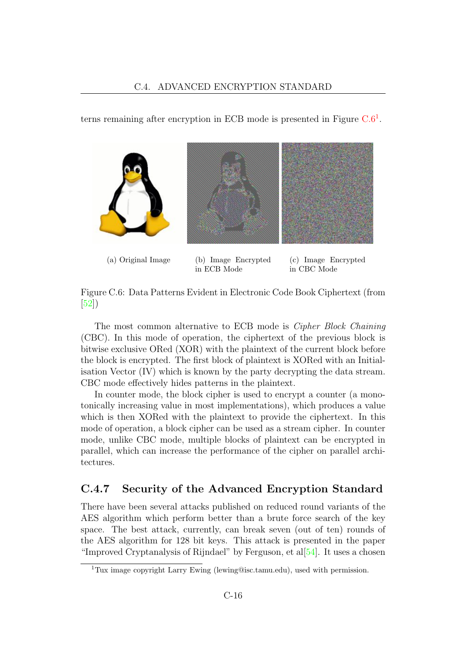terns remaining after encryption in ECB mode is presented in Figure  $C.6<sup>1</sup>$  $C.6<sup>1</sup>$  $C.6<sup>1</sup>$  $C.6<sup>1</sup>$ .



<span id="page-92-0"></span>Figure C.6: Data Patterns Evident in Electronic Code Book Ciphertext (from [\[52\]](#page-104-12))

The most common alternative to ECB mode is Cipher Block Chaining (CBC). In this mode of operation, the ciphertext of the previous block is bitwise exclusive ORed (XOR) with the plaintext of the current block before the block is encrypted. The first block of plaintext is XORed with an Initialisation Vector (IV) which is known by the party decrypting the data stream. CBC mode effectively hides patterns in the plaintext.

In counter mode, the block cipher is used to encrypt a counter (a monotonically increasing value in most implementations), which produces a value which is then XORed with the plaintext to provide the ciphertext. In this mode of operation, a block cipher can be used as a stream cipher. In counter mode, unlike CBC mode, multiple blocks of plaintext can be encrypted in parallel, which can increase the performance of the cipher on parallel architectures.

### C.4.7 Security of the Advanced Encryption Standard

There have been several attacks published on reduced round variants of the AES algorithm which perform better than a brute force search of the key space. The best attack, currently, can break seven (out of ten) rounds of the AES algorithm for 128 bit keys. This attack is presented in the paper "Improved Cryptanalysis of Rijndael" by Ferguson, et al $[54]$ . It uses a chosen

<span id="page-92-1"></span><sup>1</sup>Tux image copyright Larry Ewing (lewing@isc.tamu.edu), used with permission.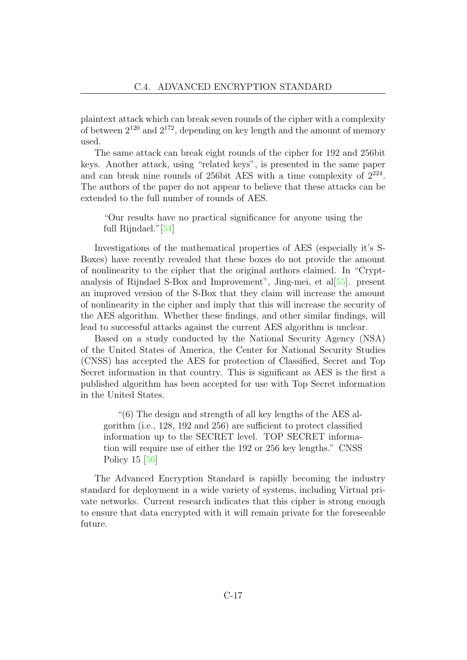plaintext attack which can break seven rounds of the cipher with a complexity of between  $2^{120}$  and  $2^{172}$ , depending on key length and the amount of memory used.

The same attack can break eight rounds of the cipher for 192 and 256bit keys. Another attack, using "related keys", is presented in the same paper and can break nine rounds of 256bit AES with a time complexity of  $2^{224}$ . The authors of the paper do not appear to believe that these attacks can be extended to the full number of rounds of AES.

"Our results have no practical significance for anyone using the full Rijndael."[\[54\]](#page-104-14)

Investigations of the mathematical properties of AES (especially it's S-Boxes) have recently revealed that these boxes do not provide the amount of nonlinearity to the cipher that the original authors claimed. In "Cryptanalysis of Rijndael S-Box and Improvement", Jing-mei, et al[\[55\]](#page-105-0). present an improved version of the S-Box that they claim will increase the amount of nonlinearity in the cipher and imply that this will increase the security of the AES algorithm. Whether these findings, and other similar findings, will lead to successful attacks against the current AES algorithm is unclear.

Based on a study conducted by the National Security Agency (NSA) of the United States of America, the Center for National Security Studies (CNSS) has accepted the AES for protection of Classified, Secret and Top Secret information in that country. This is significant as AES is the first a published algorithm has been accepted for use with Top Secret information in the United States.

"(6) The design and strength of all key lengths of the AES algorithm (i.e., 128, 192 and 256) are sufficient to protect classified information up to the SECRET level. TOP SECRET information will require use of either the 192 or 256 key lengths." CNSS Policy 15 [\[56\]](#page-105-1)

The Advanced Encryption Standard is rapidly becoming the industry standard for deployment in a wide variety of systems, including Virtual private networks. Current research indicates that this cipher is strong enough to ensure that data encrypted with it will remain private for the foreseeable future.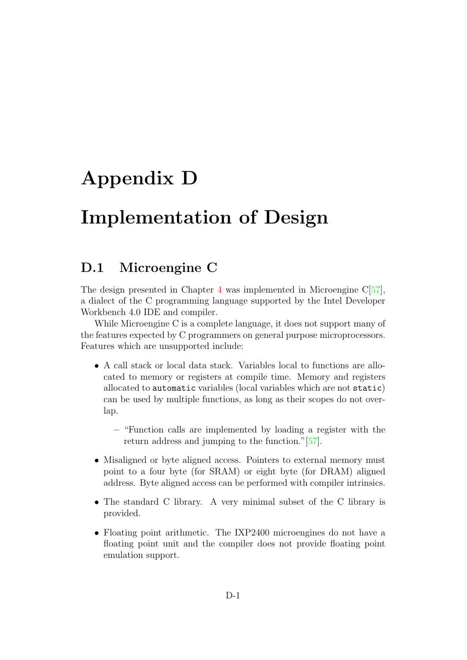# Appendix D

# Implementation of Design

### D.1 Microengine C

The design presented in Chapter [4](#page-32-0) was implemented in Microengine C[\[57\]](#page-105-2), a dialect of the C programming language supported by the Intel Developer Workbench 4.0 IDE and compiler.

While Microengine C is a complete language, it does not support many of the features expected by C programmers on general purpose microprocessors. Features which are unsupported include:

- A call stack or local data stack. Variables local to functions are allocated to memory or registers at compile time. Memory and registers allocated to automatic variables (local variables which are not static) can be used by multiple functions, as long as their scopes do not overlap.
	- "Function calls are implemented by loading a register with the return address and jumping to the function."[\[57\]](#page-105-2).
- Misaligned or byte aligned access. Pointers to external memory must point to a four byte (for SRAM) or eight byte (for DRAM) aligned address. Byte aligned access can be performed with compiler intrinsics.
- The standard C library. A very minimal subset of the C library is provided.
- Floating point arithmetic. The IXP2400 microengines do not have a floating point unit and the compiler does not provide floating point emulation support.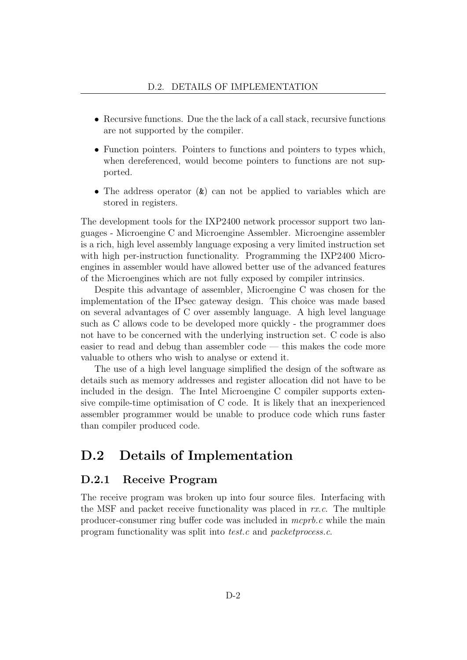- Recursive functions. Due the the lack of a call stack, recursive functions are not supported by the compiler.
- Function pointers. Pointers to functions and pointers to types which, when dereferenced, would become pointers to functions are not supported.
- The address operator  $(\&)$  can not be applied to variables which are stored in registers.

The development tools for the IXP2400 network processor support two languages - Microengine C and Microengine Assembler. Microengine assembler is a rich, high level assembly language exposing a very limited instruction set with high per-instruction functionality. Programming the IXP2400 Microengines in assembler would have allowed better use of the advanced features of the Microengines which are not fully exposed by compiler intrinsics.

Despite this advantage of assembler, Microengine C was chosen for the implementation of the IPsec gateway design. This choice was made based on several advantages of C over assembly language. A high level language such as C allows code to be developed more quickly - the programmer does not have to be concerned with the underlying instruction set. C code is also easier to read and debug than assembler code — this makes the code more valuable to others who wish to analyse or extend it.

The use of a high level language simplified the design of the software as details such as memory addresses and register allocation did not have to be included in the design. The Intel Microengine C compiler supports extensive compile-time optimisation of C code. It is likely that an inexperienced assembler programmer would be unable to produce code which runs faster than compiler produced code.

### D.2 Details of Implementation

### D.2.1 Receive Program

The receive program was broken up into four source files. Interfacing with the MSF and packet receive functionality was placed in  $rx.c$ . The multiple producer-consumer ring buffer code was included in mcprb.c while the main program functionality was split into test.c and packetprocess.c.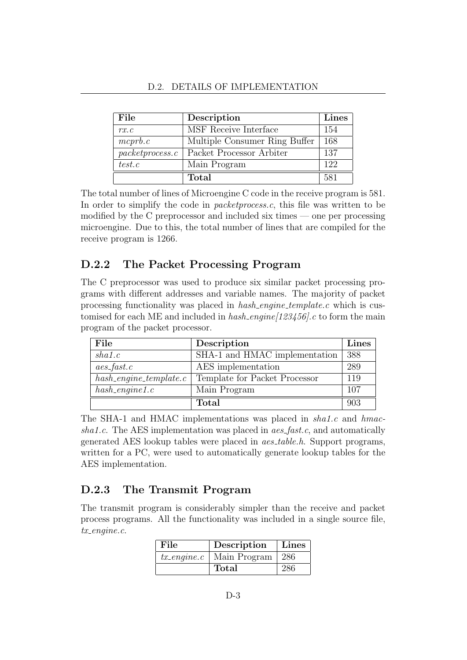| File             | Description                   | Lines |
|------------------|-------------------------------|-------|
| rx.c             | MSF Receive Interface         | 154   |
| $m$ c $prb.c$    | Multiple Consumer Ring Buffer | 168   |
| packet process.c | Packet Processor Arbiter      | 137   |
| test.c           | Main Program                  | 122   |
|                  | <b>Total</b>                  | 581   |

The total number of lines of Microengine C code in the receive program is 581. In order to simplify the code in packetprocess.c, this file was written to be modified by the C preprocessor and included six times — one per processing microengine. Due to this, the total number of lines that are compiled for the receive program is 1266.

### D.2.2 The Packet Processing Program

The C preprocessor was used to produce six similar packet processing programs with different addresses and variable names. The majority of packet processing functionality was placed in *hash\_engine\_template.c* which is customised for each ME and included in  $hash\_engine[123456]$ .c to form the main program of the packet processor.

| File                       | Description                   | Lines |
|----------------------------|-------------------------------|-------|
| sha1.c                     | SHA-1 and HMAC implementation | 388   |
| $aes\_{fast.c}$            | AES implementation            | 289   |
| $hash\_engine\_template.c$ | Template for Packet Processor | 119   |
| $hash\_engine1.c$          | Main Program                  | 107   |
|                            | <b>Total</b>                  | 903   |

The SHA-1 and HMAC implementations was placed in sha1.c and hmacshalt.c. The AES implementation was placed in  $aes_fast.c$ , and automatically generated AES lookup tables were placed in aes table.h. Support programs, written for a PC, were used to automatically generate lookup tables for the AES implementation.

### D.2.3 The Transmit Program

The transmit program is considerably simpler than the receive and packet process programs. All the functionality was included in a single source file, tx\_engine.c.

| File                    | Description  | Lines |
|-------------------------|--------------|-------|
| $tx_{\text{-}}engine.c$ | Main Program | 286   |
|                         | Total        | 286   |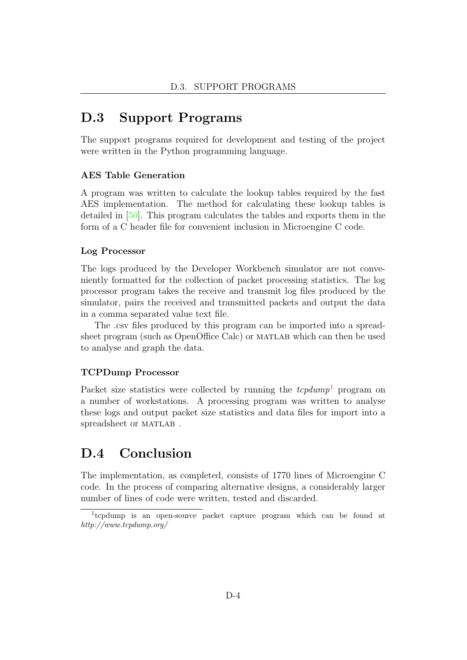### D.3 Support Programs

The support programs required for development and testing of the project were written in the Python programming language.

### AES Table Generation

A program was written to calculate the lookup tables required by the fast AES implementation. The method for calculating these lookup tables is detailed in [\[50\]](#page-104-10). This program calculates the tables and exports them in the form of a C header file for convenient inclusion in Microengine C code.

#### Log Processor

The logs produced by the Developer Workbench simulator are not conveniently formatted for the collection of packet processing statistics. The log processor program takes the receive and transmit log files produced by the simulator, pairs the received and transmitted packets and output the data in a comma separated value text file.

The .csv files produced by this program can be imported into a spreadsheet program (such as OpenOffice Calc) or MATLAB which can then be used to analyse and graph the data.

#### TCPDump Processor

Packet size statistics were collected by running the  $tcpdump<sup>1</sup>$  $tcpdump<sup>1</sup>$  $tcpdump<sup>1</sup>$  program on a number of workstations. A processing program was written to analyse these logs and output packet size statistics and data files for import into a spreadsheet or MATLAB.

### D.4 Conclusion

The implementation, as completed, consists of 1770 lines of Microengine C code. In the process of comparing alternative designs, a considerably larger number of lines of code were written, tested and discarded.

<span id="page-97-0"></span><sup>&</sup>lt;sup>1</sup>tcpdump is an open-source packet capture program which can be found at http://www.tcpdump.org/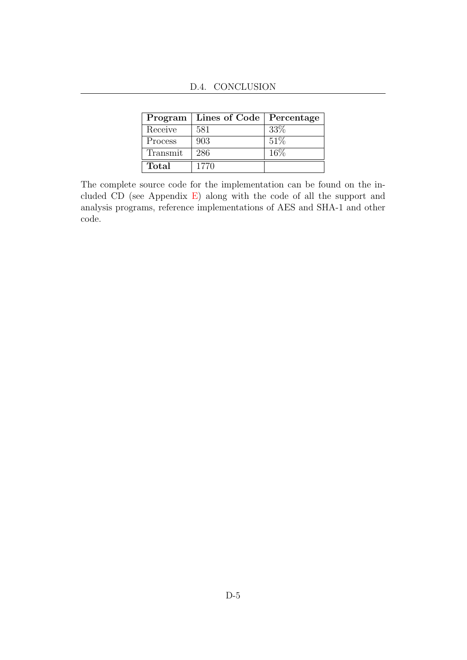|         | Program   Lines of Code   Percentage |      |
|---------|--------------------------------------|------|
| Receive | 581                                  | 33\% |
| Process | 903                                  | 51%  |

Transmit 286 16%

Total 1770

D.4. CONCLUSION

The complete source code for the implementation can be found on the included CD (see Appendix [E\)](#page-99-0) along with the code of all the support and analysis programs, reference implementations of AES and SHA-1 and other code.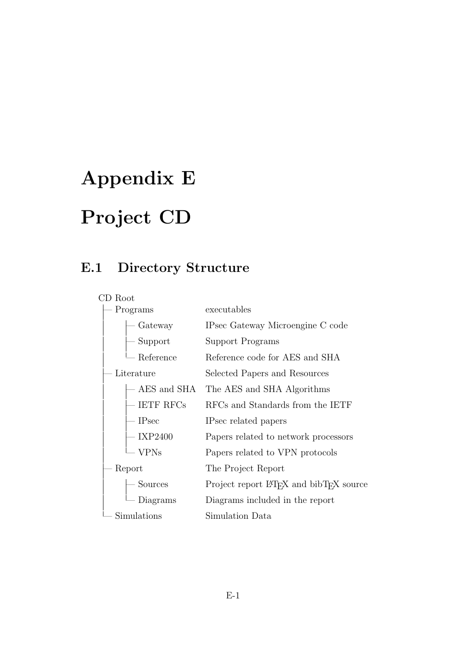# <span id="page-99-0"></span>Appendix E Project CD

## E.1 Directory Structure

| CD Root       |                                                                  |  |
|---------------|------------------------------------------------------------------|--|
| Programs      | executables                                                      |  |
| Gateway       | IPsec Gateway Microengine C code                                 |  |
| - Support     | Support Programs                                                 |  |
| Reference     | Reference code for AES and SHA                                   |  |
| Literature    | Selected Papers and Resources                                    |  |
| AES and SHA   | The AES and SHA Algorithms                                       |  |
| $-$ IETF RFCs | RFCs and Standards from the IETF                                 |  |
| $-$ IPsec     | IPsec related papers                                             |  |
| – IXP2400     | Papers related to network processors                             |  |
| <b>VPNs</b>   | Papers related to VPN protocols                                  |  |
| Report        | The Project Report                                               |  |
| Sources       | Project report LAT <sub>F</sub> X and bibT <sub>F</sub> X source |  |
| Diagrams      | Diagrams included in the report                                  |  |
| Simulations   | Simulation Data                                                  |  |
|               |                                                                  |  |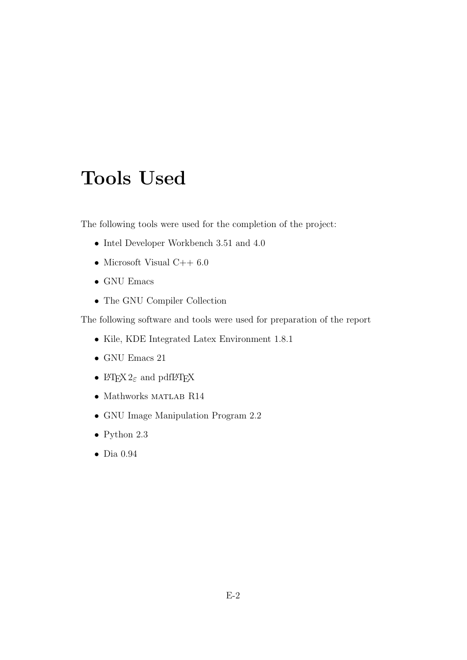# Tools Used

The following tools were used for the completion of the project:

- Intel Developer Workbench 3.51 and 4.0
- Microsoft Visual C++ 6.0
- GNU Emacs
- The GNU Compiler Collection

The following software and tools were used for preparation of the report

- Kile, KDE Integrated Latex Environment 1.8.1
- GNU Emacs 21
- I#T<sub>E</sub>X  $2\varepsilon$  and pdfI#T<sub>E</sub>X
- $\bullet\,$  Mathworks MATLAB R14
- GNU Image Manipulation Program 2.2
- $\bullet\,$  Python 2.3
- Dia 0.94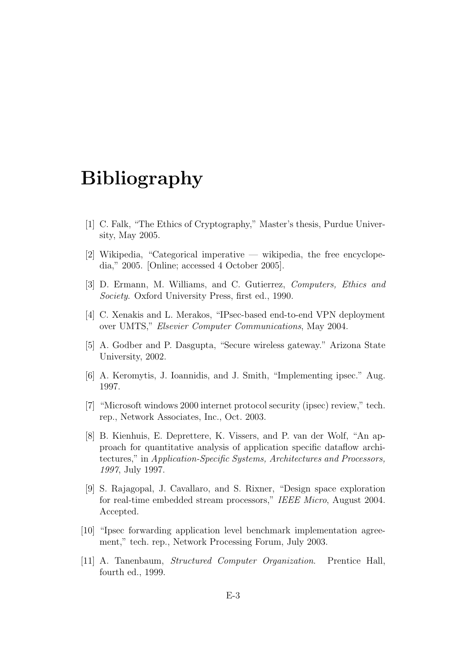# Bibliography

- [1] C. Falk, "The Ethics of Cryptography," Master's thesis, Purdue University, May 2005.
- [2] Wikipedia, "Categorical imperative wikipedia, the free encyclopedia," 2005. [Online; accessed 4 October 2005].
- [3] D. Ermann, M. Williams, and C. Gutierrez, Computers, Ethics and Society. Oxford University Press, first ed., 1990.
- [4] C. Xenakis and L. Merakos, "IPsec-based end-to-end VPN deployment over UMTS," Elsevier Computer Communications, May 2004.
- [5] A. Godber and P. Dasgupta, "Secure wireless gateway." Arizona State University, 2002.
- [6] A. Keromytis, J. Ioannidis, and J. Smith, "Implementing ipsec." Aug. 1997.
- [7] "Microsoft windows 2000 internet protocol security (ipsec) review," tech. rep., Network Associates, Inc., Oct. 2003.
- [8] B. Kienhuis, E. Deprettere, K. Vissers, and P. van der Wolf, "An approach for quantitative analysis of application specific dataflow architectures," in Application-Specific Systems, Architectures and Processors, 1997, July 1997.
- [9] S. Rajagopal, J. Cavallaro, and S. Rixner, "Design space exploration for real-time embedded stream processors," IEEE Micro, August 2004. Accepted.
- [10] "Ipsec forwarding application level benchmark implementation agreement," tech. rep., Network Processing Forum, July 2003.
- [11] A. Tanenbaum, Structured Computer Organization. Prentice Hall, fourth ed., 1999.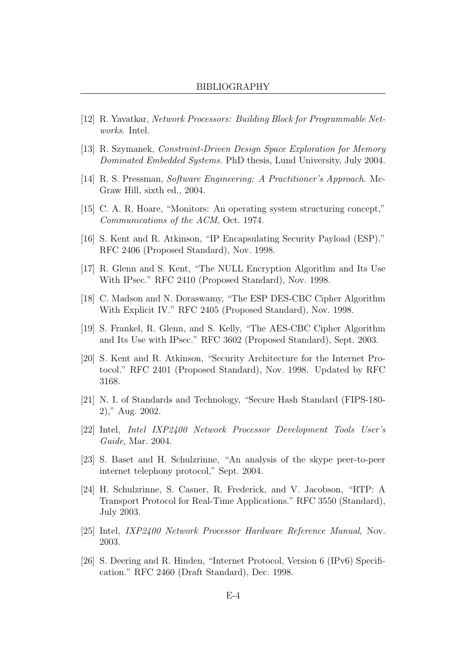- [12] R. Yavatkar, Network Processors: Building Block for Programmable Networks. Intel.
- [13] R. Szymanek, Constraint-Driven Design Space Exploration for Memory Dominated Embedded Systems. PhD thesis, Lund University, July 2004.
- [14] R. S. Pressman, Software Engineering: A Practitioner's Approach. Mc-Graw Hill, sixth ed., 2004.
- [15] C. A. R. Hoare, "Monitors: An operating system structuring concept," Communications of the ACM, Oct. 1974.
- <span id="page-102-1"></span>[16] S. Kent and R. Atkinson, "IP Encapsulating Security Payload (ESP)." RFC 2406 (Proposed Standard), Nov. 1998.
- [17] R. Glenn and S. Kent, "The NULL Encryption Algorithm and Its Use With IPsec." RFC 2410 (Proposed Standard), Nov. 1998.
- [18] C. Madson and N. Doraswamy, "The ESP DES-CBC Cipher Algorithm With Explicit IV." RFC 2405 (Proposed Standard), Nov. 1998.
- <span id="page-102-3"></span>[19] S. Frankel, R. Glenn, and S. Kelly, "The AES-CBC Cipher Algorithm and Its Use with IPsec." RFC 3602 (Proposed Standard), Sept. 2003.
- <span id="page-102-0"></span>[20] S. Kent and R. Atkinson, "Security Architecture for the Internet Protocol." RFC 2401 (Proposed Standard), Nov. 1998. Updated by RFC 3168.
- <span id="page-102-2"></span>[21] N. I. of Standards and Technology, "Secure Hash Standard (FIPS-180- 2)," Aug. 2002.
- [22] Intel, Intel IXP2400 Network Processor Development Tools User's Guide, Mar. 2004.
- [23] S. Baset and H. Schulzrinne, "An analysis of the skype peer-to-peer internet telephony protocol," Sept. 2004.
- [24] H. Schulzrinne, S. Casner, R. Frederick, and V. Jacobson, "RTP: A Transport Protocol for Real-Time Applications." RFC 3550 (Standard), July 2003.
- [25] Intel, IXP2400 Network Processor Hardware Reference Manual, Nov. 2003.
- [26] S. Deering and R. Hinden, "Internet Protocol, Version 6 (IPv6) Specification." RFC 2460 (Draft Standard), Dec. 1998.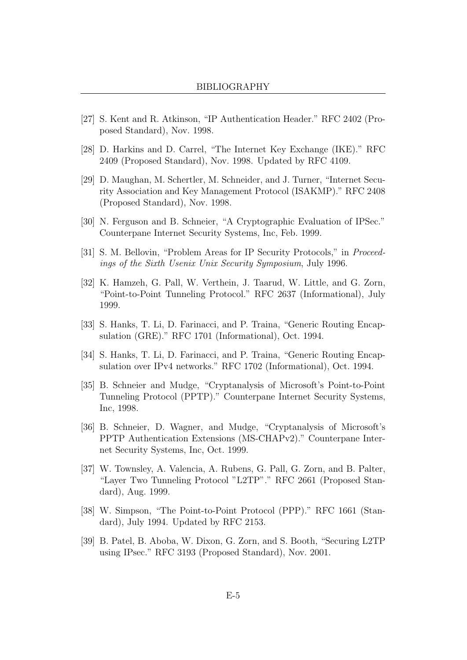- [27] S. Kent and R. Atkinson, "IP Authentication Header." RFC 2402 (Proposed Standard), Nov. 1998.
- <span id="page-103-5"></span>[28] D. Harkins and D. Carrel, "The Internet Key Exchange (IKE)." RFC 2409 (Proposed Standard), Nov. 1998. Updated by RFC 4109.
- [29] D. Maughan, M. Schertler, M. Schneider, and J. Turner, "Internet Security Association and Key Management Protocol (ISAKMP)." RFC 2408 (Proposed Standard), Nov. 1998.
- [30] N. Ferguson and B. Schneier, "A Cryptographic Evaluation of IPSec." Counterpane Internet Security Systems, Inc, Feb. 1999.
- [31] S. M. Bellovin, "Problem Areas for IP Security Protocols," in Proceedings of the Sixth Usenix Unix Security Symposium, July 1996.
- [32] K. Hamzeh, G. Pall, W. Verthein, J. Taarud, W. Little, and G. Zorn, "Point-to-Point Tunneling Protocol." RFC 2637 (Informational), July 1999.
- [33] S. Hanks, T. Li, D. Farinacci, and P. Traina, "Generic Routing Encapsulation (GRE)." RFC 1701 (Informational), Oct. 1994.
- [34] S. Hanks, T. Li, D. Farinacci, and P. Traina, "Generic Routing Encapsulation over IPv4 networks." RFC 1702 (Informational), Oct. 1994.
- <span id="page-103-0"></span>[35] B. Schneier and Mudge, "Cryptanalysis of Microsoft's Point-to-Point Tunneling Protocol (PPTP)." Counterpane Internet Security Systems, Inc, 1998.
- <span id="page-103-1"></span>[36] B. Schneier, D. Wagner, and Mudge, "Cryptanalysis of Microsoft's PPTP Authentication Extensions (MS-CHAPv2)." Counterpane Internet Security Systems, Inc, Oct. 1999.
- <span id="page-103-2"></span>[37] W. Townsley, A. Valencia, A. Rubens, G. Pall, G. Zorn, and B. Palter, "Layer Two Tunneling Protocol "L2TP"." RFC 2661 (Proposed Standard), Aug. 1999.
- <span id="page-103-3"></span>[38] W. Simpson, "The Point-to-Point Protocol (PPP)." RFC 1661 (Standard), July 1994. Updated by RFC 2153.
- <span id="page-103-4"></span>[39] B. Patel, B. Aboba, W. Dixon, G. Zorn, and S. Booth, "Securing L2TP using IPsec." RFC 3193 (Proposed Standard), Nov. 2001.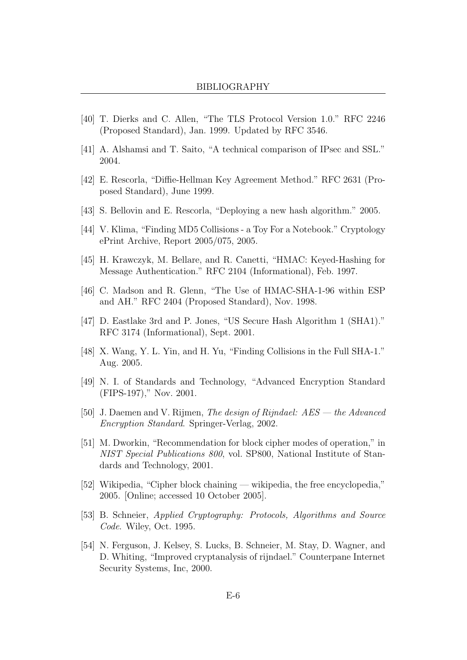- <span id="page-104-0"></span>[40] T. Dierks and C. Allen, "The TLS Protocol Version 1.0." RFC 2246 (Proposed Standard), Jan. 1999. Updated by RFC 3546.
- <span id="page-104-1"></span>[41] A. Alshamsi and T. Saito, "A technical comparison of IPsec and SSL." 2004.
- <span id="page-104-2"></span>[42] E. Rescorla, "Diffie-Hellman Key Agreement Method." RFC 2631 (Proposed Standard), June 1999.
- <span id="page-104-3"></span>[43] S. Bellovin and E. Rescorla, "Deploying a new hash algorithm." 2005.
- <span id="page-104-4"></span>[44] V. Klima, "Finding MD5 Collisions - a Toy For a Notebook." Cryptology ePrint Archive, Report 2005/075, 2005.
- <span id="page-104-5"></span>[45] H. Krawczyk, M. Bellare, and R. Canetti, "HMAC: Keyed-Hashing for Message Authentication." RFC 2104 (Informational), Feb. 1997.
- <span id="page-104-6"></span>[46] C. Madson and R. Glenn, "The Use of HMAC-SHA-1-96 within ESP and AH." RFC 2404 (Proposed Standard), Nov. 1998.
- <span id="page-104-7"></span>[47] D. Eastlake 3rd and P. Jones, "US Secure Hash Algorithm 1 (SHA1)." RFC 3174 (Informational), Sept. 2001.
- <span id="page-104-8"></span>[48] X. Wang, Y. L. Yin, and H. Yu, "Finding Collisions in the Full SHA-1." Aug. 2005.
- <span id="page-104-9"></span>[49] N. I. of Standards and Technology, "Advanced Encryption Standard (FIPS-197)," Nov. 2001.
- <span id="page-104-10"></span>[50] J. Daemen and V. Rijmen, The design of Rijndael: AES — the Advanced Encryption Standard. Springer-Verlag, 2002.
- <span id="page-104-11"></span>[51] M. Dworkin, "Recommendation for block cipher modes of operation," in NIST Special Publications 800, vol. SP800, National Institute of Standards and Technology, 2001.
- <span id="page-104-12"></span>[52] Wikipedia, "Cipher block chaining — wikipedia, the free encyclopedia," 2005. [Online; accessed 10 October 2005].
- <span id="page-104-13"></span>[53] B. Schneier, Applied Cryptography: Protocols, Algorithms and Source Code. Wiley, Oct. 1995.
- <span id="page-104-14"></span>[54] N. Ferguson, J. Kelsey, S. Lucks, B. Schneier, M. Stay, D. Wagner, and D. Whiting, "Improved cryptanalysis of rijndael." Counterpane Internet Security Systems, Inc, 2000.